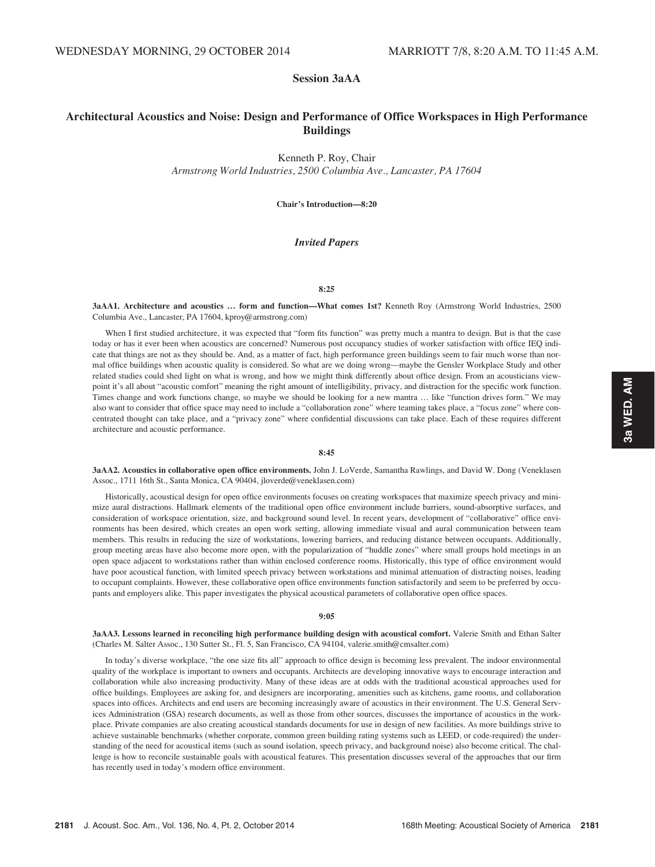# Session 3aAA

# Architectural Acoustics and Noise: Design and Performance of Office Workspaces in High Performance Buildings

Kenneth P. Roy, Chair

Armstrong World Industries, 2500 Columbia Ave., Lancaster, PA 17604

Chair's Introduction—8:20

# Invited Papers

## 8:25

3aAA1. Architecture and acoustics … form and function—What comes 1st? Kenneth Roy (Armstrong World Industries, 2500 Columbia Ave., Lancaster, PA 17604, kproy@armstrong.com)

When I first studied architecture, it was expected that "form fits function" was pretty much a mantra to design. But is that the case today or has it ever been when acoustics are concerned? Numerous post occupancy studies of worker satisfaction with office IEQ indicate that things are not as they should be. And, as a matter of fact, high performance green buildings seem to fair much worse than normal office buildings when acoustic quality is considered. So what are we doing wrong—maybe the Gensler Workplace Study and other related studies could shed light on what is wrong, and how we might think differently about office design. From an acousticians viewpoint it's all about "acoustic comfort" meaning the right amount of intelligibility, privacy, and distraction for the specific work function. Times change and work functions change, so maybe we should be looking for a new mantra … like "function drives form." We may also want to consider that office space may need to include a "collaboration zone" where teaming takes place, a "focus zone" where concentrated thought can take place, and a "privacy zone" where confidential discussions can take place. Each of these requires different architecture and acoustic performance.

# 8:45

3aAA2. Acoustics in collaborative open office environments. John J. LoVerde, Samantha Rawlings, and David W. Dong (Veneklasen Assoc., 1711 16th St., Santa Monica, CA 90404, jloverde@veneklasen.com)

Historically, acoustical design for open office environments focuses on creating workspaces that maximize speech privacy and minimize aural distractions. Hallmark elements of the traditional open office environment include barriers, sound-absorptive surfaces, and consideration of workspace orientation, size, and background sound level. In recent years, development of "collaborative" office environments has been desired, which creates an open work setting, allowing immediate visual and aural communication between team members. This results in reducing the size of workstations, lowering barriers, and reducing distance between occupants. Additionally, group meeting areas have also become more open, with the popularization of "huddle zones" where small groups hold meetings in an open space adjacent to workstations rather than within enclosed conference rooms. Historically, this type of office environment would have poor acoustical function, with limited speech privacy between workstations and minimal attenuation of distracting noises, leading to occupant complaints. However, these collaborative open office environments function satisfactorily and seem to be preferred by occupants and employers alike. This paper investigates the physical acoustical parameters of collaborative open office spaces.

### 9:05

3aAA3. Lessons learned in reconciling high performance building design with acoustical comfort. Valerie Smith and Ethan Salter (Charles M. Salter Assoc., 130 Sutter St., Fl. 5, San Francisco, CA 94104, valerie.smith@cmsalter.com)

In today's diverse workplace, "the one size fits all" approach to office design is becoming less prevalent. The indoor environmental quality of the workplace is important to owners and occupants. Architects are developing innovative ways to encourage interaction and collaboration while also increasing productivity. Many of these ideas are at odds with the traditional acoustical approaches used for office buildings. Employees are asking for, and designers are incorporating, amenities such as kitchens, game rooms, and collaboration spaces into offices. Architects and end users are becoming increasingly aware of acoustics in their environment. The U.S. General Services Administration (GSA) research documents, as well as those from other sources, discusses the importance of acoustics in the workplace. Private companies are also creating acoustical standards documents for use in design of new facilities. As more buildings strive to achieve sustainable benchmarks (whether corporate, common green building rating systems such as LEED, or code-required) the understanding of the need for acoustical items (such as sound isolation, speech privacy, and background noise) also become critical. The challenge is how to reconcile sustainable goals with acoustical features. This presentation discusses several of the approaches that our firm has recently used in today's modern office environment.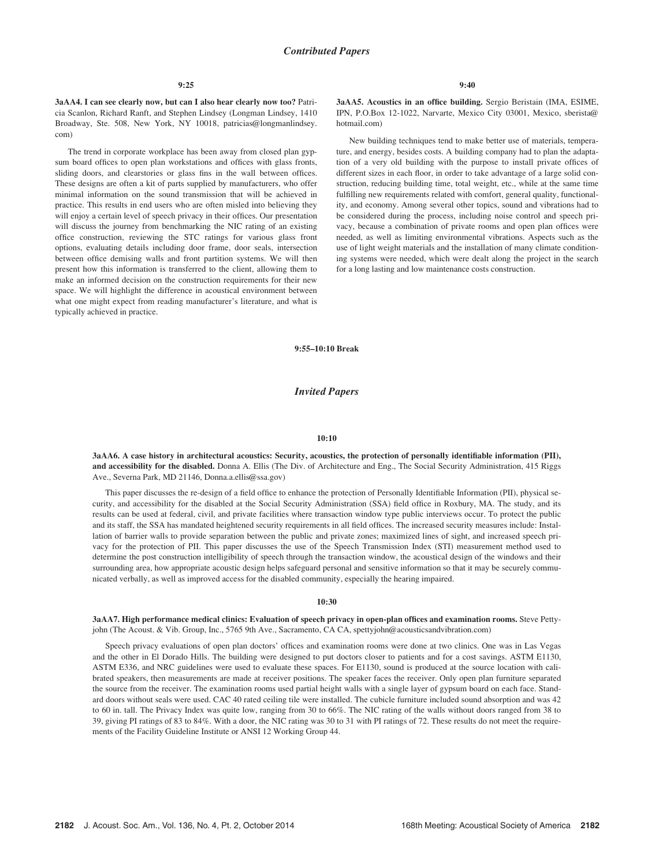3aAA4. I can see clearly now, but can I also hear clearly now too? Patricia Scanlon, Richard Ranft, and Stephen Lindsey (Longman Lindsey, 1410 Broadway, Ste. 508, New York, NY 10018, patricias@longmanlindsey. com)

The trend in corporate workplace has been away from closed plan gypsum board offices to open plan workstations and offices with glass fronts, sliding doors, and clearstories or glass fins in the wall between offices. These designs are often a kit of parts supplied by manufacturers, who offer minimal information on the sound transmission that will be achieved in practice. This results in end users who are often misled into believing they will enjoy a certain level of speech privacy in their offices. Our presentation will discuss the journey from benchmarking the NIC rating of an existing office construction, reviewing the STC ratings for various glass front options, evaluating details including door frame, door seals, intersection between office demising walls and front partition systems. We will then present how this information is transferred to the client, allowing them to make an informed decision on the construction requirements for their new space. We will highlight the difference in acoustical environment between what one might expect from reading manufacturer's literature, and what is typically achieved in practice.

3aAA5. Acoustics in an office building. Sergio Beristain (IMA, ESIME, IPN, P.O.Box 12-1022, Narvarte, Mexico City 03001, Mexico, sberista@ hotmail.com)

New building techniques tend to make better use of materials, temperature, and energy, besides costs. A building company had to plan the adaptation of a very old building with the purpose to install private offices of different sizes in each floor, in order to take advantage of a large solid construction, reducing building time, total weight, etc., while at the same time fulfilling new requirements related with comfort, general quality, functionality, and economy. Among several other topics, sound and vibrations had to be considered during the process, including noise control and speech privacy, because a combination of private rooms and open plan offices were needed, as well as limiting environmental vibrations. Aspects such as the use of light weight materials and the installation of many climate conditioning systems were needed, which were dealt along the project in the search for a long lasting and low maintenance costs construction.

### 9:55–10:10 Break

# Invited Papers

### 10:10

3aAA6. A case history in architectural acoustics: Security, acoustics, the protection of personally identifiable information (PII), and accessibility for the disabled. Donna A. Ellis (The Div. of Architecture and Eng., The Social Security Administration, 415 Riggs Ave., Severna Park, MD 21146, Donna.a.ellis@ssa.gov)

This paper discusses the re-design of a field office to enhance the protection of Personally Identifiable Information (PII), physical security, and accessibility for the disabled at the Social Security Administration (SSA) field office in Roxbury, MA. The study, and its results can be used at federal, civil, and private facilities where transaction window type public interviews occur. To protect the public and its staff, the SSA has mandated heightened security requirements in all field offices. The increased security measures include: Installation of barrier walls to provide separation between the public and private zones; maximized lines of sight, and increased speech privacy for the protection of PII. This paper discusses the use of the Speech Transmission Index (STI) measurement method used to determine the post construction intelligibility of speech through the transaction window, the acoustical design of the windows and their surrounding area, how appropriate acoustic design helps safeguard personal and sensitive information so that it may be securely communicated verbally, as well as improved access for the disabled community, especially the hearing impaired.

### 10:30

# 3aAA7. High performance medical clinics: Evaluation of speech privacy in open-plan offices and examination rooms. Steve Pettyjohn (The Acoust. & Vib. Group, Inc., 5765 9th Ave., Sacramento, CA CA, spettyjohn@acousticsandvibration.com)

Speech privacy evaluations of open plan doctors' offices and examination rooms were done at two clinics. One was in Las Vegas and the other in El Dorado Hills. The building were designed to put doctors closer to patients and for a cost savings. ASTM E1130, ASTM E336, and NRC guidelines were used to evaluate these spaces. For E1130, sound is produced at the source location with calibrated speakers, then measurements are made at receiver positions. The speaker faces the receiver. Only open plan furniture separated the source from the receiver. The examination rooms used partial height walls with a single layer of gypsum board on each face. Standard doors without seals were used. CAC 40 rated ceiling tile were installed. The cubicle furniture included sound absorption and was 42 to 60 in. tall. The Privacy Index was quite low, ranging from 30 to 66%. The NIC rating of the walls without doors ranged from 38 to 39, giving PI ratings of 83 to 84%. With a door, the NIC rating was 30 to 31 with PI ratings of 72. These results do not meet the requirements of the Facility Guideline Institute or ANSI 12 Working Group 44.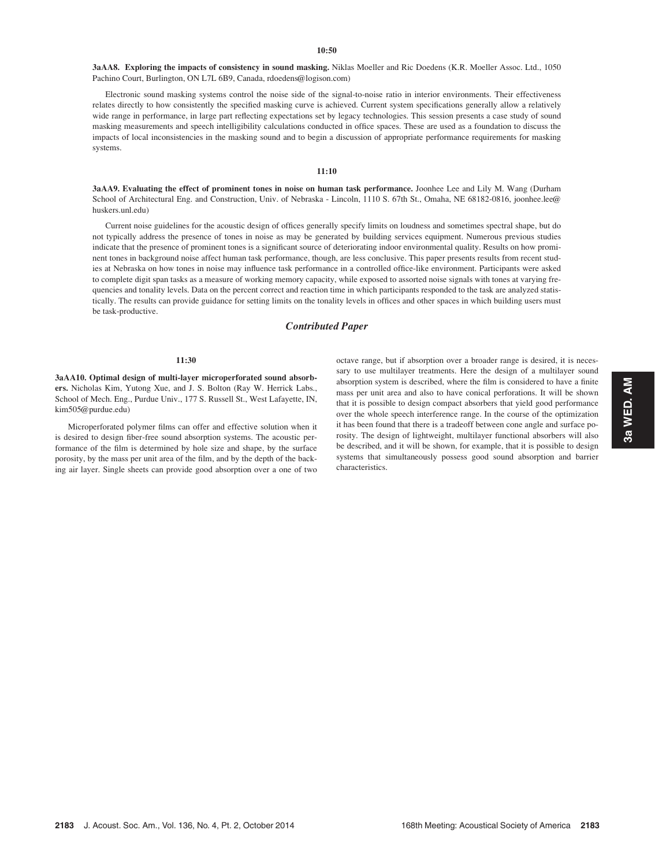3aAA8. Exploring the impacts of consistency in sound masking. Niklas Moeller and Ric Doedens (K.R. Moeller Assoc. Ltd., 1050 Pachino Court, Burlington, ON L7L 6B9, Canada, rdoedens@logison.com)

Electronic sound masking systems control the noise side of the signal-to-noise ratio in interior environments. Their effectiveness relates directly to how consistently the specified masking curve is achieved. Current system specifications generally allow a relatively wide range in performance, in large part reflecting expectations set by legacy technologies. This session presents a case study of sound masking measurements and speech intelligibility calculations conducted in office spaces. These are used as a foundation to discuss the impacts of local inconsistencies in the masking sound and to begin a discussion of appropriate performance requirements for masking systems.

# 11:10

3aAA9. Evaluating the effect of prominent tones in noise on human task performance. Joonhee Lee and Lily M. Wang (Durham School of Architectural Eng. and Construction, Univ. of Nebraska - Lincoln, 1110 S. 67th St., Omaha, NE 68182-0816, joonhee.lee@ huskers.unl.edu)

Current noise guidelines for the acoustic design of offices generally specify limits on loudness and sometimes spectral shape, but do not typically address the presence of tones in noise as may be generated by building services equipment. Numerous previous studies indicate that the presence of prominent tones is a significant source of deteriorating indoor environmental quality. Results on how prominent tones in background noise affect human task performance, though, are less conclusive. This paper presents results from recent studies at Nebraska on how tones in noise may influence task performance in a controlled office-like environment. Participants were asked to complete digit span tasks as a measure of working memory capacity, while exposed to assorted noise signals with tones at varying frequencies and tonality levels. Data on the percent correct and reaction time in which participants responded to the task are analyzed statistically. The results can provide guidance for setting limits on the tonality levels in offices and other spaces in which building users must be task-productive.

# Contributed Paper

## 11:30

3aAA10. Optimal design of multi-layer microperforated sound absorbers. Nicholas Kim, Yutong Xue, and J. S. Bolton (Ray W. Herrick Labs., School of Mech. Eng., Purdue Univ., 177 S. Russell St., West Lafayette, IN, kim505@purdue.edu)

Microperforated polymer films can offer and effective solution when it is desired to design fiber-free sound absorption systems. The acoustic performance of the film is determined by hole size and shape, by the surface porosity, by the mass per unit area of the film, and by the depth of the backing air layer. Single sheets can provide good absorption over a one of two octave range, but if absorption over a broader range is desired, it is necessary to use multilayer treatments. Here the design of a multilayer sound absorption system is described, where the film is considered to have a finite mass per unit area and also to have conical perforations. It will be shown that it is possible to design compact absorbers that yield good performance over the whole speech interference range. In the course of the optimization it has been found that there is a tradeoff between cone angle and surface porosity. The design of lightweight, multilayer functional absorbers will also be described, and it will be shown, for example, that it is possible to design systems that simultaneously possess good sound absorption and barrier characteristics.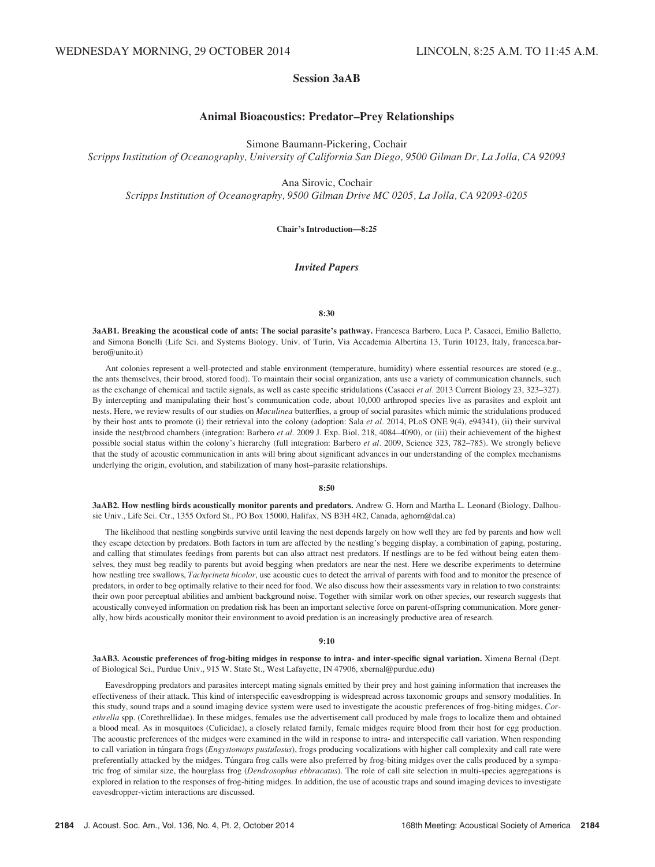# Session 3aAB

# Animal Bioacoustics: Predator–Prey Relationships

Simone Baumann-Pickering, Cochair

Scripps Institution of Oceanography, University of California San Diego, 9500 Gilman Dr, La Jolla, CA 92093

Ana Sirovic, Cochair

Scripps Institution of Oceanography, 9500 Gilman Drive MC 0205, La Jolla, CA 92093-0205

Chair's Introduction—8:25

# Invited Papers

### 8:30

3aAB1. Breaking the acoustical code of ants: The social parasite's pathway. Francesca Barbero, Luca P. Casacci, Emilio Balletto, and Simona Bonelli (Life Sci. and Systems Biology, Univ. of Turin, Via Accademia Albertina 13, Turin 10123, Italy, francesca.barbero@unito.it)

Ant colonies represent a well-protected and stable environment (temperature, humidity) where essential resources are stored (e.g., the ants themselves, their brood, stored food). To maintain their social organization, ants use a variety of communication channels, such as the exchange of chemical and tactile signals, as well as caste specific stridulations (Casacci et al. 2013 Current Biology 23, 323–327). By intercepting and manipulating their host's communication code, about 10,000 arthropod species live as parasites and exploit ant nests. Here, we review results of our studies on *Maculinea* butterflies, a group of social parasites which mimic the stridulations produced by their host ants to promote (i) their retrieval into the colony (adoption: Sala et al. 2014, PLoS ONE 9(4), e94341), (ii) their survival inside the nest/brood chambers (integration: Barbero et al. 2009 J. Exp. Biol. 218, 4084–4090), or (iii) their achievement of the highest possible social status within the colony's hierarchy (full integration: Barbero et al. 2009, Science 323, 782–785). We strongly believe that the study of acoustic communication in ants will bring about significant advances in our understanding of the complex mechanisms underlying the origin, evolution, and stabilization of many host–parasite relationships.

# 8:50

3aAB2. How nestling birds acoustically monitor parents and predators. Andrew G. Horn and Martha L. Leonard (Biology, Dalhousie Univ., Life Sci. Ctr., 1355 Oxford St., PO Box 15000, Halifax, NS B3H 4R2, Canada, aghorn@dal.ca)

The likelihood that nestling songbirds survive until leaving the nest depends largely on how well they are fed by parents and how well they escape detection by predators. Both factors in turn are affected by the nestling's begging display, a combination of gaping, posturing, and calling that stimulates feedings from parents but can also attract nest predators. If nestlings are to be fed without being eaten themselves, they must beg readily to parents but avoid begging when predators are near the nest. Here we describe experiments to determine how nestling tree swallows, *Tachycineta bicolor*, use acoustic cues to detect the arrival of parents with food and to monitor the presence of predators, in order to beg optimally relative to their need for food. We also discuss how their assessments vary in relation to two constraints: their own poor perceptual abilities and ambient background noise. Together with similar work on other species, our research suggests that acoustically conveyed information on predation risk has been an important selective force on parent-offspring communication. More generally, how birds acoustically monitor their environment to avoid predation is an increasingly productive area of research.

# 9:10

3aAB3. Acoustic preferences of frog-biting midges in response to intra- and inter-specific signal variation. Ximena Bernal (Dept. of Biological Sci., Purdue Univ., 915 W. State St., West Lafayette, IN 47906, xbernal@purdue.edu)

Eavesdropping predators and parasites intercept mating signals emitted by their prey and host gaining information that increases the effectiveness of their attack. This kind of interspecific eavesdropping is widespread across taxonomic groups and sensory modalities. In this study, sound traps and a sound imaging device system were used to investigate the acoustic preferences of frog-biting midges, Corethrella spp. (Corethrellidae). In these midges, females use the advertisement call produced by male frogs to localize them and obtained a blood meal. As in mosquitoes (Culicidae), a closely related family, female midges require blood from their host for egg production. The acoustic preferences of the midges were examined in the wild in response to intra- and interspecific call variation. When responding to call variation in túngara frogs (Engystomops pustulosus), frogs producing vocalizations with higher call complexity and call rate were preferentially attacked by the midges. Túngara frog calls were also preferred by frog-biting midges over the calls produced by a sympatric frog of similar size, the hourglass frog (Dendrosophus ebbracatus). The role of call site selection in multi-species aggregations is explored in relation to the responses of frog-biting midges. In addition, the use of acoustic traps and sound imaging devices to investigate eavesdropper-victim interactions are discussed.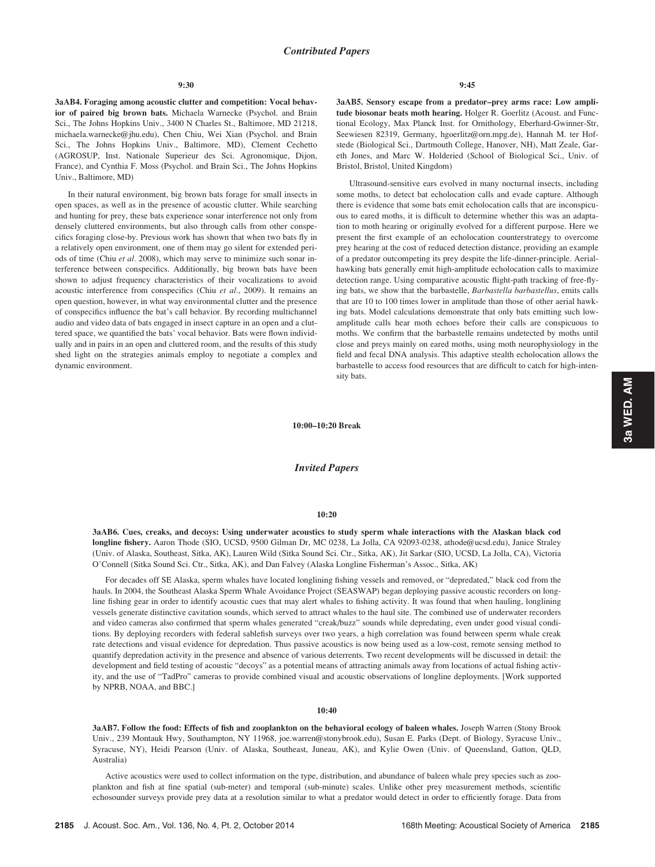### 9:30

3aAB4. Foraging among acoustic clutter and competition: Vocal behavior of paired big brown bats. Michaela Warnecke (Psychol. and Brain Sci., The Johns Hopkins Univ., 3400 N Charles St., Baltimore, MD 21218, michaela.warnecke@jhu.edu), Chen Chiu, Wei Xian (Psychol. and Brain Sci., The Johns Hopkins Univ., Baltimore, MD), Clement Cechetto (AGROSUP, Inst. Nationale Superieur des Sci. Agronomique, Dijon, France), and Cynthia F. Moss (Psychol. and Brain Sci., The Johns Hopkins Univ., Baltimore, MD)

In their natural environment, big brown bats forage for small insects in open spaces, as well as in the presence of acoustic clutter. While searching and hunting for prey, these bats experience sonar interference not only from densely cluttered environments, but also through calls from other conspecifics foraging close-by. Previous work has shown that when two bats fly in a relatively open environment, one of them may go silent for extended periods of time (Chiu et al. 2008), which may serve to minimize such sonar interference between conspecifics. Additionally, big brown bats have been shown to adjust frequency characteristics of their vocalizations to avoid acoustic interference from conspecifics (Chiu et al., 2009). It remains an open question, however, in what way environmental clutter and the presence of conspecifics influence the bat's call behavior. By recording multichannel audio and video data of bats engaged in insect capture in an open and a cluttered space, we quantified the bats' vocal behavior. Bats were flown individually and in pairs in an open and cluttered room, and the results of this study shed light on the strategies animals employ to negotiate a complex and dynamic environment.

3aAB5. Sensory escape from a predator–prey arms race: Low amplitude biosonar beats moth hearing. Holger R. Goerlitz (Acoust. and Functional Ecology, Max Planck Inst. for Ornithology, Eberhard-Gwinner-Str, Seewiesen 82319, Germany, hgoerlitz@orn.mpg.de), Hannah M. ter Hofstede (Biological Sci., Dartmouth College, Hanover, NH), Matt Zeale, Gareth Jones, and Marc W. Holderied (School of Biological Sci., Univ. of Bristol, Bristol, United Kingdom)

Ultrasound-sensitive ears evolved in many nocturnal insects, including some moths, to detect bat echolocation calls and evade capture. Although there is evidence that some bats emit echolocation calls that are inconspicuous to eared moths, it is difficult to determine whether this was an adaptation to moth hearing or originally evolved for a different purpose. Here we present the first example of an echolocation counterstrategy to overcome prey hearing at the cost of reduced detection distance, providing an example of a predator outcompeting its prey despite the life-dinner-principle. Aerialhawking bats generally emit high-amplitude echolocation calls to maximize detection range. Using comparative acoustic flight-path tracking of free-flying bats, we show that the barbastelle, Barbastella barbastellus, emits calls that are 10 to 100 times lower in amplitude than those of other aerial hawking bats. Model calculations demonstrate that only bats emitting such lowamplitude calls hear moth echoes before their calls are conspicuous to moths. We confirm that the barbastelle remains undetected by moths until close and preys mainly on eared moths, using moth neurophysiology in the field and fecal DNA analysis. This adaptive stealth echolocation allows the barbastelle to access food resources that are difficult to catch for high-intensity bats.

10:00–10:20 Break

# Invited Papers

## 10:20

3aAB6. Cues, creaks, and decoys: Using underwater acoustics to study sperm whale interactions with the Alaskan black cod longline fishery. Aaron Thode (SIO, UCSD, 9500 Gilman Dr, MC 0238, La Jolla, CA 92093-0238, athode@ucsd.edu), Janice Straley (Univ. of Alaska, Southeast, Sitka, AK), Lauren Wild (Sitka Sound Sci. Ctr., Sitka, AK), Jit Sarkar (SIO, UCSD, La Jolla, CA), Victoria O'Connell (Sitka Sound Sci. Ctr., Sitka, AK), and Dan Falvey (Alaska Longline Fisherman's Assoc., Sitka, AK)

For decades off SE Alaska, sperm whales have located longlining fishing vessels and removed, or "depredated," black cod from the hauls. In 2004, the Southeast Alaska Sperm Whale Avoidance Project (SEASWAP) began deploying passive acoustic recorders on longline fishing gear in order to identify acoustic cues that may alert whales to fishing activity. It was found that when hauling, longlining vessels generate distinctive cavitation sounds, which served to attract whales to the haul site. The combined use of underwater recorders and video cameras also confirmed that sperm whales generated "creak/buzz" sounds while depredating, even under good visual conditions. By deploying recorders with federal sablefish surveys over two years, a high correlation was found between sperm whale creak rate detections and visual evidence for depredation. Thus passive acoustics is now being used as a low-cost, remote sensing method to quantify depredation activity in the presence and absence of various deterrents. Two recent developments will be discussed in detail: the development and field testing of acoustic "decoys" as a potential means of attracting animals away from locations of actual fishing activity, and the use of "TadPro" cameras to provide combined visual and acoustic observations of longline deployments. [Work supported by NPRB, NOAA, and BBC.]

### 10:40

3aAB7. Follow the food: Effects of fish and zooplankton on the behavioral ecology of baleen whales. Joseph Warren (Stony Brook Univ., 239 Montauk Hwy, Southampton, NY 11968, joe.warren@stonybrook.edu), Susan E. Parks (Dept. of Biology, Syracuse Univ., Syracuse, NY), Heidi Pearson (Univ. of Alaska, Southeast, Juneau, AK), and Kylie Owen (Univ. of Queensland, Gatton, QLD, Australia)

Active acoustics were used to collect information on the type, distribution, and abundance of baleen whale prey species such as zooplankton and fish at fine spatial (sub-meter) and temporal (sub-minute) scales. Unlike other prey measurement methods, scientific echosounder surveys provide prey data at a resolution similar to what a predator would detect in order to efficiently forage. Data from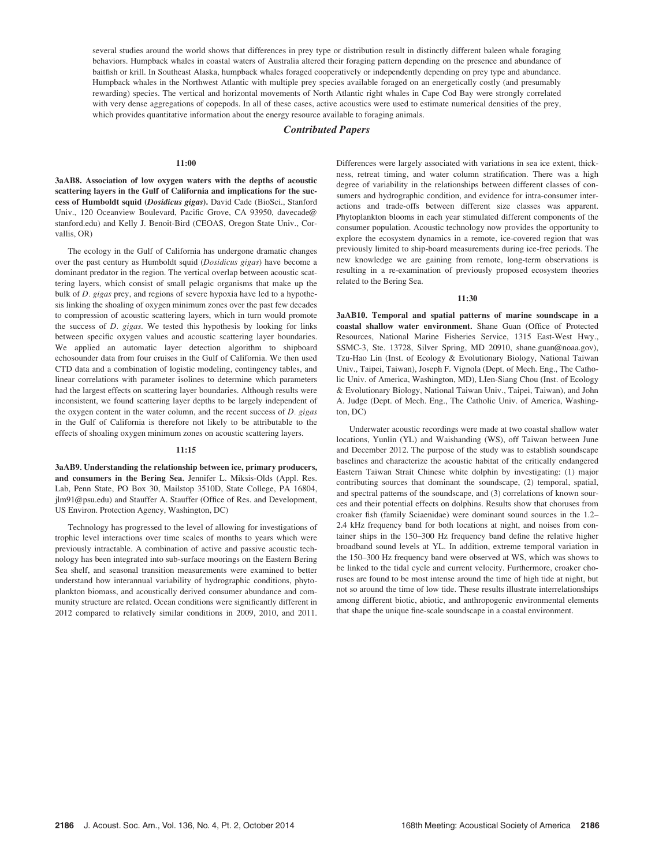several studies around the world shows that differences in prey type or distribution result in distinctly different baleen whale foraging behaviors. Humpback whales in coastal waters of Australia altered their foraging pattern depending on the presence and abundance of baitfish or krill. In Southeast Alaska, humpback whales foraged cooperatively or independently depending on prey type and abundance. Humpback whales in the Northwest Atlantic with multiple prey species available foraged on an energetically costly (and presumably rewarding) species. The vertical and horizontal movements of North Atlantic right whales in Cape Cod Bay were strongly correlated with very dense aggregations of copepods. In all of these cases, active acoustics were used to estimate numerical densities of the prey, which provides quantitative information about the energy resource available to foraging animals.

# Contributed Papers

## 11:00

3aAB8. Association of low oxygen waters with the depths of acoustic scattering layers in the Gulf of California and implications for the success of Humboldt squid (Dosidicus gigas). David Cade (BioSci., Stanford Univ., 120 Oceanview Boulevard, Pacific Grove, CA 93950, davecade@ stanford.edu) and Kelly J. Benoit-Bird (CEOAS, Oregon State Univ., Corvallis, OR)

The ecology in the Gulf of California has undergone dramatic changes over the past century as Humboldt squid (Dosidicus gigas) have become a dominant predator in the region. The vertical overlap between acoustic scattering layers, which consist of small pelagic organisms that make up the bulk of D. gigas prey, and regions of severe hypoxia have led to a hypothesis linking the shoaling of oxygen minimum zones over the past few decades to compression of acoustic scattering layers, which in turn would promote the success of D. gigas. We tested this hypothesis by looking for links between specific oxygen values and acoustic scattering layer boundaries. We applied an automatic layer detection algorithm to shipboard echosounder data from four cruises in the Gulf of California. We then used CTD data and a combination of logistic modeling, contingency tables, and linear correlations with parameter isolines to determine which parameters had the largest effects on scattering layer boundaries. Although results were inconsistent, we found scattering layer depths to be largely independent of the oxygen content in the water column, and the recent success of D. gigas in the Gulf of California is therefore not likely to be attributable to the effects of shoaling oxygen minimum zones on acoustic scattering layers.

### 11:15

3aAB9. Understanding the relationship between ice, primary producers, and consumers in the Bering Sea. Jennifer L. Miksis-Olds (Appl. Res. Lab, Penn State, PO Box 30, Mailstop 3510D, State College, PA 16804, jlm91@psu.edu) and Stauffer A. Stauffer (Office of Res. and Development, US Environ. Protection Agency, Washington, DC)

Technology has progressed to the level of allowing for investigations of trophic level interactions over time scales of months to years which were previously intractable. A combination of active and passive acoustic technology has been integrated into sub-surface moorings on the Eastern Bering Sea shelf, and seasonal transition measurements were examined to better understand how interannual variability of hydrographic conditions, phytoplankton biomass, and acoustically derived consumer abundance and community structure are related. Ocean conditions were significantly different in 2012 compared to relatively similar conditions in 2009, 2010, and 2011. Differences were largely associated with variations in sea ice extent, thickness, retreat timing, and water column stratification. There was a high degree of variability in the relationships between different classes of consumers and hydrographic condition, and evidence for intra-consumer interactions and trade-offs between different size classes was apparent. Phytoplankton blooms in each year stimulated different components of the consumer population. Acoustic technology now provides the opportunity to explore the ecosystem dynamics in a remote, ice-covered region that was previously limited to ship-board measurements during ice-free periods. The new knowledge we are gaining from remote, long-term observations is resulting in a re-examination of previously proposed ecosystem theories related to the Bering Sea.

# 11:30

3aAB10. Temporal and spatial patterns of marine soundscape in a coastal shallow water environment. Shane Guan (Office of Protected Resources, National Marine Fisheries Service, 1315 East-West Hwy., SSMC-3, Ste. 13728, Silver Spring, MD 20910, shane.guan@noaa.gov), Tzu-Hao Lin (Inst. of Ecology & Evolutionary Biology, National Taiwan Univ., Taipei, Taiwan), Joseph F. Vignola (Dept. of Mech. Eng., The Catholic Univ. of America, Washington, MD), LIen-Siang Chou (Inst. of Ecology & Evolutionary Biology, National Taiwan Univ., Taipei, Taiwan), and John A. Judge (Dept. of Mech. Eng., The Catholic Univ. of America, Washington, DC)

Underwater acoustic recordings were made at two coastal shallow water locations, Yunlin (YL) and Waishanding (WS), off Taiwan between June and December 2012. The purpose of the study was to establish soundscape baselines and characterize the acoustic habitat of the critically endangered Eastern Taiwan Strait Chinese white dolphin by investigating: (1) major contributing sources that dominant the soundscape, (2) temporal, spatial, and spectral patterns of the soundscape, and (3) correlations of known sources and their potential effects on dolphins. Results show that choruses from croaker fish (family Sciaenidae) were dominant sound sources in the 1.2– 2.4 kHz frequency band for both locations at night, and noises from container ships in the 150–300 Hz frequency band define the relative higher broadband sound levels at YL. In addition, extreme temporal variation in the 150–300 Hz frequency band were observed at WS, which was shows to be linked to the tidal cycle and current velocity. Furthermore, croaker choruses are found to be most intense around the time of high tide at night, but not so around the time of low tide. These results illustrate interrelationships among different biotic, abiotic, and anthropogenic environmental elements that shape the unique fine-scale soundscape in a coastal environment.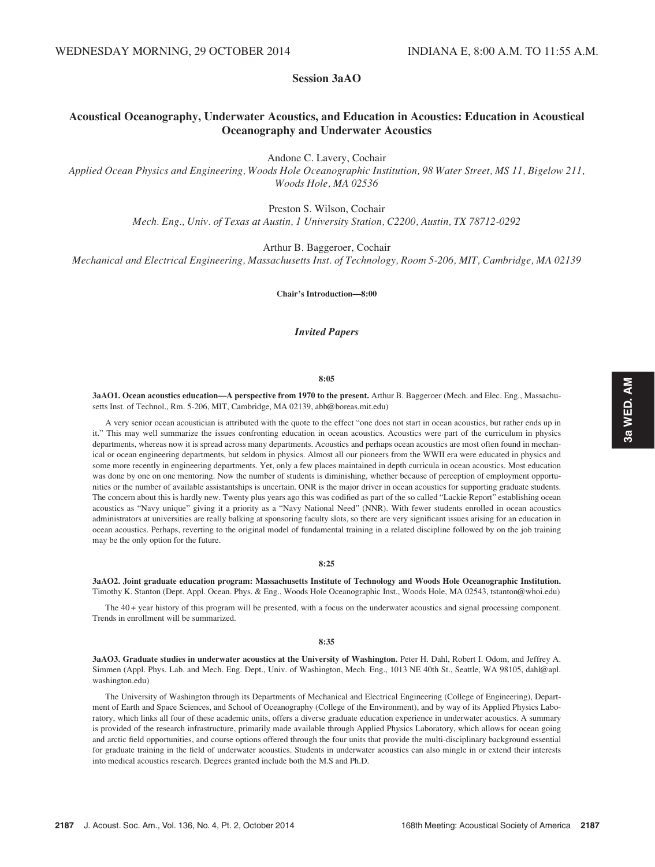# Session 3aAO

# Acoustical Oceanography, Underwater Acoustics, and Education in Acoustics: Education in Acoustical Oceanography and Underwater Acoustics

Andone C. Lavery, Cochair

Applied Ocean Physics and Engineering, Woods Hole Oceanographic Institution, 98 Water Street, MS 11, Bigelow 211, Woods Hole, MA 02536

Preston S. Wilson, Cochair

Mech. Eng., Univ. of Texas at Austin, 1 University Station, C2200, Austin, TX 78712-0292

Arthur B. Baggeroer, Cochair

Mechanical and Electrical Engineering, Massachusetts Inst. of Technology, Room 5-206, MIT, Cambridge, MA 02139

Chair's Introduction—8:00

# Invited Papers

### 8:05

3aAO1. Ocean acoustics education—A perspective from 1970 to the present. Arthur B. Baggeroer (Mech. and Elec. Eng., Massachusetts Inst. of Technol., Rm. 5-206, MIT, Cambridge, MA 02139, abb@boreas.mit.edu)

A very senior ocean acoustician is attributed with the quote to the effect "one does not start in ocean acoustics, but rather ends up in it." This may well summarize the issues confronting education in ocean acoustics. Acoustics were part of the curriculum in physics departments, whereas now it is spread across many departments. Acoustics and perhaps ocean acoustics are most often found in mechanical or ocean engineering departments, but seldom in physics. Almost all our pioneers from the WWII era were educated in physics and some more recently in engineering departments. Yet, only a few places maintained in depth curricula in ocean acoustics. Most education was done by one on one mentoring. Now the number of students is diminishing, whether because of perception of employment opportunities or the number of available assistantships is uncertain. ONR is the major driver in ocean acoustics for supporting graduate students. The concern about this is hardly new. Twenty plus years ago this was codified as part of the so called "Lackie Report" establishing ocean acoustics as "Navy unique" giving it a priority as a "Navy National Need" (NNR). With fewer students enrolled in ocean acoustics administrators at universities are really balking at sponsoring faculty slots, so there are very significant issues arising for an education in ocean acoustics. Perhaps, reverting to the original model of fundamental training in a related discipline followed by on the job training may be the only option for the future.

### 8:25

3aAO2. Joint graduate education program: Massachusetts Institute of Technology and Woods Hole Oceanographic Institution. Timothy K. Stanton (Dept. Appl. Ocean. Phys. & Eng., Woods Hole Oceanographic Inst., Woods Hole, MA 02543, tstanton@whoi.edu)

The 40 + year history of this program will be presented, with a focus on the underwater acoustics and signal processing component. Trends in enrollment will be summarized.

### 8:35

3aAO3. Graduate studies in underwater acoustics at the University of Washington. Peter H. Dahl, Robert I. Odom, and Jeffrey A. Simmen (Appl. Phys. Lab. and Mech. Eng. Dept., Univ. of Washington, Mech. Eng., 1013 NE 40th St., Seattle, WA 98105, dahl@apl. washington.edu)

The University of Washington through its Departments of Mechanical and Electrical Engineering (College of Engineering), Department of Earth and Space Sciences, and School of Oceanography (College of the Environment), and by way of its Applied Physics Laboratory, which links all four of these academic units, offers a diverse graduate education experience in underwater acoustics. A summary is provided of the research infrastructure, primarily made available through Applied Physics Laboratory, which allows for ocean going and arctic field opportunities, and course options offered through the four units that provide the multi-disciplinary background essential for graduate training in the field of underwater acoustics. Students in underwater acoustics can also mingle in or extend their interests into medical acoustics research. Degrees granted include both the M.S and Ph.D.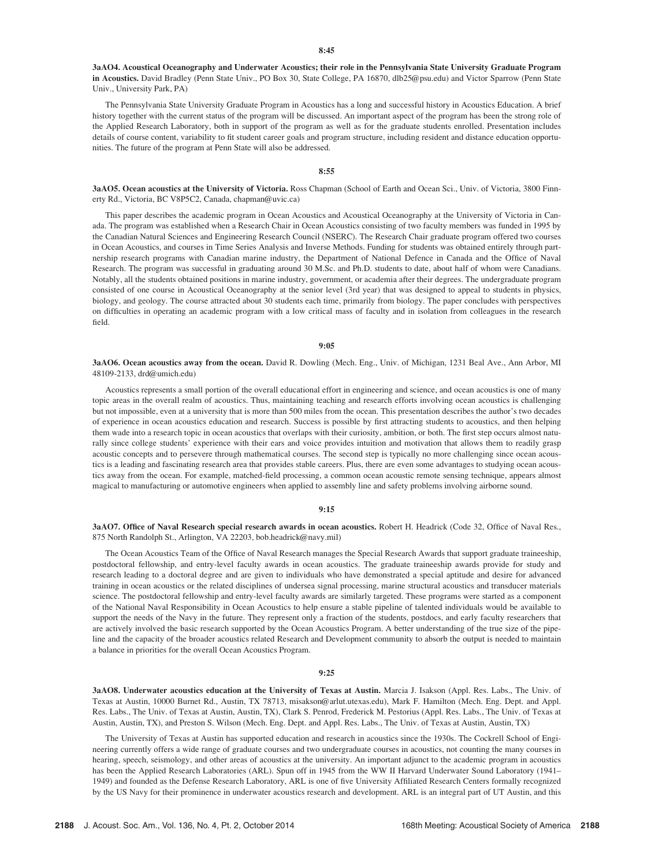3aAO4. Acoustical Oceanography and Underwater Acoustics; their role in the Pennsylvania State University Graduate Program in Acoustics. David Bradley (Penn State Univ., PO Box 30, State College, PA 16870, dlb25@psu.edu) and Victor Sparrow (Penn State Univ., University Park, PA)

The Pennsylvania State University Graduate Program in Acoustics has a long and successful history in Acoustics Education. A brief history together with the current status of the program will be discussed. An important aspect of the program has been the strong role of the Applied Research Laboratory, both in support of the program as well as for the graduate students enrolled. Presentation includes details of course content, variability to fit student career goals and program structure, including resident and distance education opportunities. The future of the program at Penn State will also be addressed.

# $8:55$

3aAO5. Ocean acoustics at the University of Victoria. Ross Chapman (School of Earth and Ocean Sci., Univ. of Victoria, 3800 Finnerty Rd., Victoria, BC V8P5C2, Canada, chapman@uvic.ca)

This paper describes the academic program in Ocean Acoustics and Acoustical Oceanography at the University of Victoria in Canada. The program was established when a Research Chair in Ocean Acoustics consisting of two faculty members was funded in 1995 by the Canadian Natural Sciences and Engineering Research Council (NSERC). The Research Chair graduate program offered two courses in Ocean Acoustics, and courses in Time Series Analysis and Inverse Methods. Funding for students was obtained entirely through partnership research programs with Canadian marine industry, the Department of National Defence in Canada and the Office of Naval Research. The program was successful in graduating around 30 M.Sc. and Ph.D. students to date, about half of whom were Canadians. Notably, all the students obtained positions in marine industry, government, or academia after their degrees. The undergraduate program consisted of one course in Acoustical Oceanography at the senior level (3rd year) that was designed to appeal to students in physics, biology, and geology. The course attracted about 30 students each time, primarily from biology. The paper concludes with perspectives on difficulties in operating an academic program with a low critical mass of faculty and in isolation from colleagues in the research field.

## 9:05

3aAO6. Ocean acoustics away from the ocean. David R. Dowling (Mech. Eng., Univ. of Michigan, 1231 Beal Ave., Ann Arbor, MI 48109-2133, drd@umich.edu)

Acoustics represents a small portion of the overall educational effort in engineering and science, and ocean acoustics is one of many topic areas in the overall realm of acoustics. Thus, maintaining teaching and research efforts involving ocean acoustics is challenging but not impossible, even at a university that is more than 500 miles from the ocean. This presentation describes the author's two decades of experience in ocean acoustics education and research. Success is possible by first attracting students to acoustics, and then helping them wade into a research topic in ocean acoustics that overlaps with their curiosity, ambition, or both. The first step occurs almost naturally since college students' experience with their ears and voice provides intuition and motivation that allows them to readily grasp acoustic concepts and to persevere through mathematical courses. The second step is typically no more challenging since ocean acoustics is a leading and fascinating research area that provides stable careers. Plus, there are even some advantages to studying ocean acoustics away from the ocean. For example, matched-field processing, a common ocean acoustic remote sensing technique, appears almost magical to manufacturing or automotive engineers when applied to assembly line and safety problems involving airborne sound.

### 9:15

3aAO7. Office of Naval Research special research awards in ocean acoustics. Robert H. Headrick (Code 32, Office of Naval Res., 875 North Randolph St., Arlington, VA 22203, bob.headrick@navy.mil)

The Ocean Acoustics Team of the Office of Naval Research manages the Special Research Awards that support graduate traineeship, postdoctoral fellowship, and entry-level faculty awards in ocean acoustics. The graduate traineeship awards provide for study and research leading to a doctoral degree and are given to individuals who have demonstrated a special aptitude and desire for advanced training in ocean acoustics or the related disciplines of undersea signal processing, marine structural acoustics and transducer materials science. The postdoctoral fellowship and entry-level faculty awards are similarly targeted. These programs were started as a component of the National Naval Responsibility in Ocean Acoustics to help ensure a stable pipeline of talented individuals would be available to support the needs of the Navy in the future. They represent only a fraction of the students, postdocs, and early faculty researchers that are actively involved the basic research supported by the Ocean Acoustics Program. A better understanding of the true size of the pipeline and the capacity of the broader acoustics related Research and Development community to absorb the output is needed to maintain a balance in priorities for the overall Ocean Acoustics Program.

## 9:25

3aAO8. Underwater acoustics education at the University of Texas at Austin. Marcia J. Isakson (Appl. Res. Labs., The Univ. of Texas at Austin, 10000 Burnet Rd., Austin, TX 78713, misakson@arlut.utexas.edu), Mark F. Hamilton (Mech. Eng. Dept. and Appl. Res. Labs., The Univ. of Texas at Austin, Austin, TX), Clark S. Penrod, Frederick M. Pestorius (Appl. Res. Labs., The Univ. of Texas at Austin, Austin, TX), and Preston S. Wilson (Mech. Eng. Dept. and Appl. Res. Labs., The Univ. of Texas at Austin, Austin, TX)

The University of Texas at Austin has supported education and research in acoustics since the 1930s. The Cockrell School of Engineering currently offers a wide range of graduate courses and two undergraduate courses in acoustics, not counting the many courses in hearing, speech, seismology, and other areas of acoustics at the university. An important adjunct to the academic program in acoustics has been the Applied Research Laboratories (ARL). Spun off in 1945 from the WW II Harvard Underwater Sound Laboratory (1941– 1949) and founded as the Defense Research Laboratory, ARL is one of five University Affiliated Research Centers formally recognized by the US Navy for their prominence in underwater acoustics research and development. ARL is an integral part of UT Austin, and this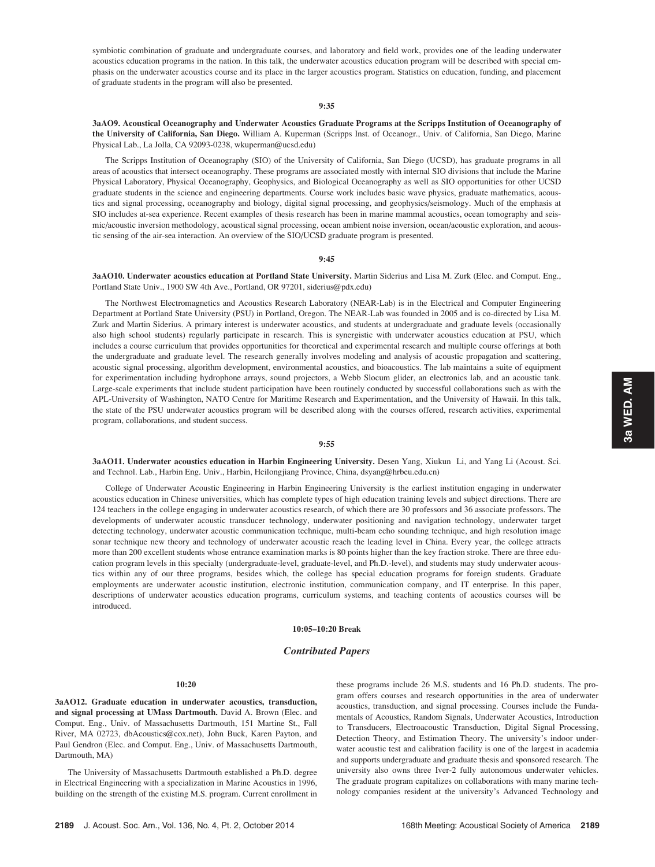symbiotic combination of graduate and undergraduate courses, and laboratory and field work, provides one of the leading underwater acoustics education programs in the nation. In this talk, the underwater acoustics education program will be described with special emphasis on the underwater acoustics course and its place in the larger acoustics program. Statistics on education, funding, and placement of graduate students in the program will also be presented.

# 9:35

3aAO9. Acoustical Oceanography and Underwater Acoustics Graduate Programs at the Scripps Institution of Oceanography of the University of California, San Diego. William A. Kuperman (Scripps Inst. of Oceanogr., Univ. of California, San Diego, Marine Physical Lab., La Jolla, CA 92093-0238, wkuperman@ucsd.edu)

The Scripps Institution of Oceanography (SIO) of the University of California, San Diego (UCSD), has graduate programs in all areas of acoustics that intersect oceanography. These programs are associated mostly with internal SIO divisions that include the Marine Physical Laboratory, Physical Oceanography, Geophysics, and Biological Oceanography as well as SIO opportunities for other UCSD graduate students in the science and engineering departments. Course work includes basic wave physics, graduate mathematics, acoustics and signal processing, oceanography and biology, digital signal processing, and geophysics/seismology. Much of the emphasis at SIO includes at-sea experience. Recent examples of thesis research has been in marine mammal acoustics, ocean tomography and seismic/acoustic inversion methodology, acoustical signal processing, ocean ambient noise inversion, ocean/acoustic exploration, and acoustic sensing of the air-sea interaction. An overview of the SIO/UCSD graduate program is presented.

### 9:45

3aAO10. Underwater acoustics education at Portland State University. Martin Siderius and Lisa M. Zurk (Elec. and Comput. Eng., Portland State Univ., 1900 SW 4th Ave., Portland, OR 97201, siderius@pdx.edu)

The Northwest Electromagnetics and Acoustics Research Laboratory (NEAR-Lab) is in the Electrical and Computer Engineering Department at Portland State University (PSU) in Portland, Oregon. The NEAR-Lab was founded in 2005 and is co-directed by Lisa M. Zurk and Martin Siderius. A primary interest is underwater acoustics, and students at undergraduate and graduate levels (occasionally also high school students) regularly participate in research. This is synergistic with underwater acoustics education at PSU, which includes a course curriculum that provides opportunities for theoretical and experimental research and multiple course offerings at both the undergraduate and graduate level. The research generally involves modeling and analysis of acoustic propagation and scattering, acoustic signal processing, algorithm development, environmental acoustics, and bioacoustics. The lab maintains a suite of equipment for experimentation including hydrophone arrays, sound projectors, a Webb Slocum glider, an electronics lab, and an acoustic tank. Large-scale experiments that include student participation have been routinely conducted by successful collaborations such as with the APL-University of Washington, NATO Centre for Maritime Research and Experimentation, and the University of Hawaii. In this talk, the state of the PSU underwater acoustics program will be described along with the courses offered, research activities, experimental program, collaborations, and student success.

### 9:55

3aAO11. Underwater acoustics education in Harbin Engineering University. Desen Yang, Xiukun Li, and Yang Li (Acoust. Sci. and Technol. Lab., Harbin Eng. Univ., Harbin, Heilongjiang Province, China, dsyang@hrbeu.edu.cn)

College of Underwater Acoustic Engineering in Harbin Engineering University is the earliest institution engaging in underwater acoustics education in Chinese universities, which has complete types of high education training levels and subject directions. There are 124 teachers in the college engaging in underwater acoustics research, of which there are 30 professors and 36 associate professors. The developments of underwater acoustic transducer technology, underwater positioning and navigation technology, underwater target detecting technology, underwater acoustic communication technique, multi-beam echo sounding technique, and high resolution image sonar technique new theory and technology of underwater acoustic reach the leading level in China. Every year, the college attracts more than 200 excellent students whose entrance examination marks is 80 points higher than the key fraction stroke. There are three education program levels in this specialty (undergraduate-level, graduate-level, and Ph.D.-level), and students may study underwater acoustics within any of our three programs, besides which, the college has special education programs for foreign students. Graduate employments are underwater acoustic institution, electronic institution, communication company, and IT enterprise. In this paper, descriptions of underwater acoustics education programs, curriculum systems, and teaching contents of acoustics courses will be introduced.

## 10:05–10:20 Break

# Contributed Papers

# 10:20

3aAO12. Graduate education in underwater acoustics, transduction, and signal processing at UMass Dartmouth. David A. Brown (Elec. and Comput. Eng., Univ. of Massachusetts Dartmouth, 151 Martine St., Fall River, MA 02723, dbAcoustics@cox.net), John Buck, Karen Payton, and Paul Gendron (Elec. and Comput. Eng., Univ. of Massachusetts Dartmouth, Dartmouth, MA)

The University of Massachusetts Dartmouth established a Ph.D. degree in Electrical Engineering with a specialization in Marine Acoustics in 1996, building on the strength of the existing M.S. program. Current enrollment in these programs include 26 M.S. students and 16 Ph.D. students. The program offers courses and research opportunities in the area of underwater acoustics, transduction, and signal processing. Courses include the Fundamentals of Acoustics, Random Signals, Underwater Acoustics, Introduction to Transducers, Electroacoustic Transduction, Digital Signal Processing, Detection Theory, and Estimation Theory. The university's indoor underwater acoustic test and calibration facility is one of the largest in academia and supports undergraduate and graduate thesis and sponsored research. The university also owns three Iver-2 fully autonomous underwater vehicles. The graduate program capitalizes on collaborations with many marine technology companies resident at the university's Advanced Technology and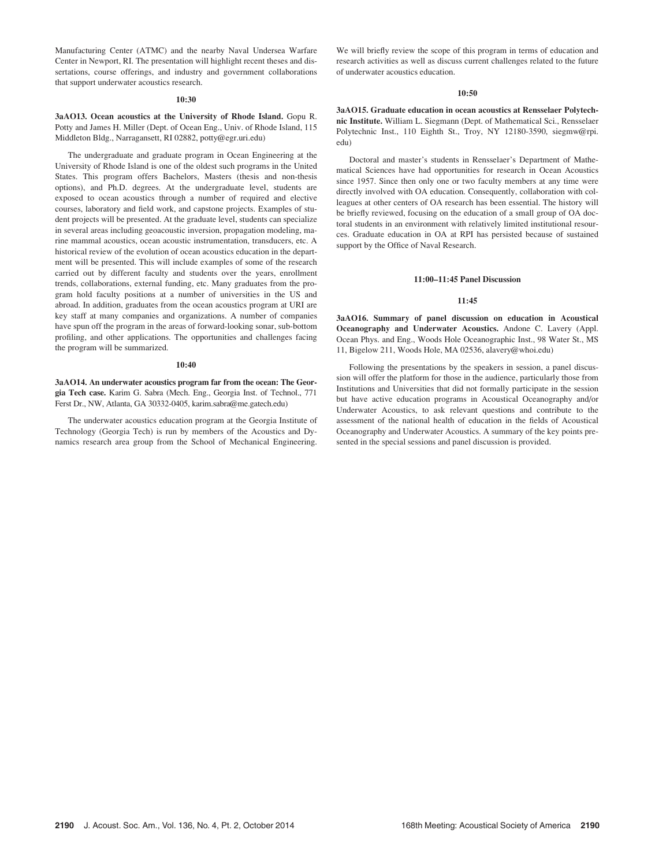Manufacturing Center (ATMC) and the nearby Naval Undersea Warfare Center in Newport, RI. The presentation will highlight recent theses and dissertations, course offerings, and industry and government collaborations that support underwater acoustics research.

### 10:30

3aAO13. Ocean acoustics at the University of Rhode Island. Gopu R. Potty and James H. Miller (Dept. of Ocean Eng., Univ. of Rhode Island, 115 Middleton Bldg., Narragansett, RI 02882, potty@egr.uri.edu)

The undergraduate and graduate program in Ocean Engineering at the University of Rhode Island is one of the oldest such programs in the United States. This program offers Bachelors, Masters (thesis and non-thesis options), and Ph.D. degrees. At the undergraduate level, students are exposed to ocean acoustics through a number of required and elective courses, laboratory and field work, and capstone projects. Examples of student projects will be presented. At the graduate level, students can specialize in several areas including geoacoustic inversion, propagation modeling, marine mammal acoustics, ocean acoustic instrumentation, transducers, etc. A historical review of the evolution of ocean acoustics education in the department will be presented. This will include examples of some of the research carried out by different faculty and students over the years, enrollment trends, collaborations, external funding, etc. Many graduates from the program hold faculty positions at a number of universities in the US and abroad. In addition, graduates from the ocean acoustics program at URI are key staff at many companies and organizations. A number of companies have spun off the program in the areas of forward-looking sonar, sub-bottom profiling, and other applications. The opportunities and challenges facing the program will be summarized.

### 10:40

3aAO14. An underwater acoustics program far from the ocean: The Georgia Tech case. Karim G. Sabra (Mech. Eng., Georgia Inst. of Technol., 771 Ferst Dr., NW, Atlanta, GA 30332-0405, karim.sabra@me.gatech.edu)

The underwater acoustics education program at the Georgia Institute of Technology (Georgia Tech) is run by members of the Acoustics and Dynamics research area group from the School of Mechanical Engineering. We will briefly review the scope of this program in terms of education and research activities as well as discuss current challenges related to the future of underwater acoustics education.

## 10:50

3aAO15. Graduate education in ocean acoustics at Rensselaer Polytechnic Institute. William L. Siegmann (Dept. of Mathematical Sci., Rensselaer Polytechnic Inst., 110 Eighth St., Troy, NY 12180-3590, siegmw@rpi. edu)

Doctoral and master's students in Rensselaer's Department of Mathematical Sciences have had opportunities for research in Ocean Acoustics since 1957. Since then only one or two faculty members at any time were directly involved with OA education. Consequently, collaboration with colleagues at other centers of OA research has been essential. The history will be briefly reviewed, focusing on the education of a small group of OA doctoral students in an environment with relatively limited institutional resources. Graduate education in OA at RPI has persisted because of sustained support by the Office of Naval Research.

### 11:00–11:45 Panel Discussion

## 11:45

3aAO16. Summary of panel discussion on education in Acoustical Oceanography and Underwater Acoustics. Andone C. Lavery (Appl. Ocean Phys. and Eng., Woods Hole Oceanographic Inst., 98 Water St., MS 11, Bigelow 211, Woods Hole, MA 02536, alavery@whoi.edu)

Following the presentations by the speakers in session, a panel discussion will offer the platform for those in the audience, particularly those from Institutions and Universities that did not formally participate in the session but have active education programs in Acoustical Oceanography and/or Underwater Acoustics, to ask relevant questions and contribute to the assessment of the national health of education in the fields of Acoustical Oceanography and Underwater Acoustics. A summary of the key points presented in the special sessions and panel discussion is provided.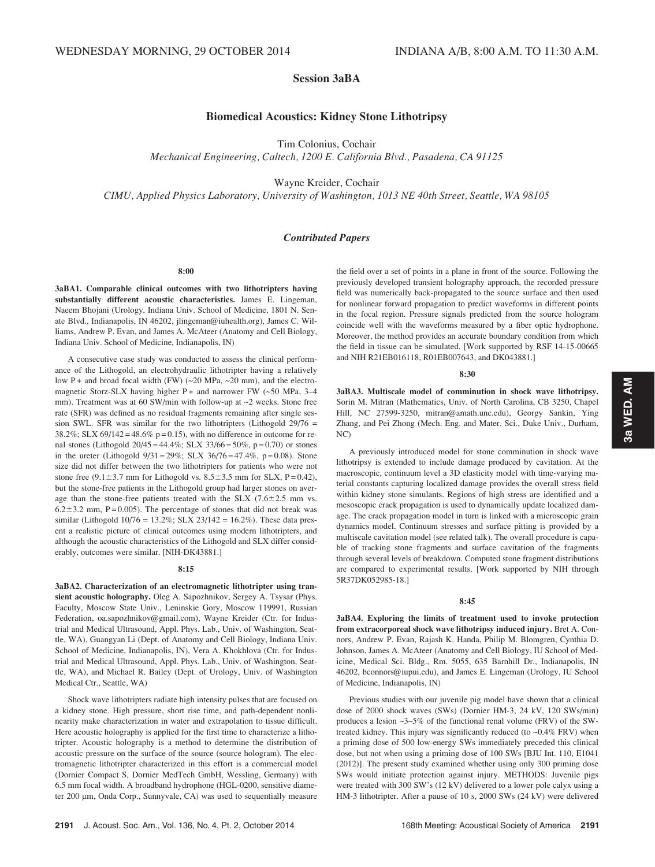# Session 3aBA

# Biomedical Acoustics: Kidney Stone Lithotripsy

Tim Colonius, Cochair

Mechanical Engineering, Caltech, 1200 E. California Blvd., Pasadena, CA 91125

Wayne Kreider, Cochair

CIMU, Applied Physics Laboratory, University of Washington, 1013 NE 40th Street, Seattle, WA 98105

# Contributed Papers

8:00

3aBA1. Comparable clinical outcomes with two lithotripters having substantially different acoustic characteristics. James E. Lingeman, Naeem Bhojani (Urology, Indiana Univ. School of Medicine, 1801 N. Senate Blvd., Indianapolis, IN 46202, jlingeman@iuhealth.org), James C. Williams, Andrew P. Evan, and James A. McAteer (Anatomy and Cell Biology, Indiana Univ. School of Medicine, Indianapolis, IN)

A consecutive case study was conducted to assess the clinical performance of the Lithogold, an electrohydraulic lithotripter having a relatively low P + and broad focal width (FW) (~20 MPa, ~20 mm), and the electromagnetic Storz-SLX having higher P+ and narrower FW (~50 MPa, 3-4 mm). Treatment was at 60 SW/min with follow-up at ~2 weeks. Stone free rate (SFR) was defined as no residual fragments remaining after single session SWL. SFR was similar for the two lithotripters (Lithogold  $29/76 =$ 38.2%; SLX 69/142 = 48.6% p = 0.15), with no difference in outcome for renal stones (Lithogold  $20/45 = 44.4\%$ ; SLX  $33/66 = 50\%$ , p = 0.70) or stones in the ureter (Lithogold  $9/31 = 29\%$ ; SLX  $36/76 = 47.4\%$ , p = 0.08). Stone size did not differ between the two lithotripters for patients who were not stone free  $(9.1\pm3.7 \text{ mm}$  for Lithogold vs.  $8.5\pm3.5 \text{ mm}$  for SLX, P = 0.42), but the stone-free patients in the Lithogold group had larger stones on average than the stone-free patients treated with the SLX  $(7.6 \pm 2.5 \text{ mm vs.})$  $6.2\pm3.2$  mm, P = 0.005). The percentage of stones that did not break was similar (Lithogold 10/76 = 13.2%; SLX 23/142 = 16.2%). These data present a realistic picture of clinical outcomes using modern lithotripters, and although the acoustic characteristics of the Lithogold and SLX differ considerably, outcomes were similar. [NIH-DK43881.]

## 8:15

3aBA2. Characterization of an electromagnetic lithotripter using transient acoustic holography. Oleg A. Sapozhnikov, Sergey A. Tsysar (Phys. Faculty, Moscow State Univ., Leninskie Gory, Moscow 119991, Russian Federation, oa.sapozhnikov@gmail.com), Wayne Kreider (Ctr. for Industrial and Medical Ultrasound, Appl. Phys. Lab., Univ. of Washington, Seattle, WA), Guangyan Li (Dept. of Anatomy and Cell Biology, Indiana Univ. School of Medicine, Indianapolis, IN), Vera A. Khokhlova (Ctr. for Industrial and Medical Ultrasound, Appl. Phys. Lab., Univ. of Washington, Seattle, WA), and Michael R. Bailey (Dept. of Urology, Univ. of Washington Medical Ctr., Seattle, WA)

Shock wave lithotripters radiate high intensity pulses that are focused on a kidney stone. High pressure, short rise time, and path-dependent nonlinearity make characterization in water and extrapolation to tissue difficult. Here acoustic holography is applied for the first time to characterize a lithotripter. Acoustic holography is a method to determine the distribution of acoustic pressure on the surface of the source (source hologram). The electromagnetic lithotripter characterized in this effort is a commercial model (Dornier Compact S, Dornier MedTech GmbH, Wessling, Germany) with 6.5 mm focal width. A broadband hydrophone (HGL-0200, sensitive diameter 200 μm, Onda Corp., Sunnyvale, CA) was used to sequentially measure the field over a set of points in a plane in front of the source. Following the previously developed transient holography approach, the recorded pressure field was numerically back-propagated to the source surface and then used for nonlinear forward propagation to predict waveforms in different points in the focal region. Pressure signals predicted from the source hologram coincide well with the waveforms measured by a fiber optic hydrophone. Moreover, the method provides an accurate boundary condition from which the field in tissue can be simulated. [Work supported by RSF 14-15-00665 and NIH R21EB016118, R01EB007643, and DK043881.]

### 8:30

3aBA3. Multiscale model of comminution in shock wave lithotripsy. Sorin M. Mitran (Mathematics, Univ. of North Carolina, CB 3250, Chapel Hill, NC 27599-3250, mitran@amath.unc.edu), Georgy Sankin, Ying Zhang, and Pei Zhong (Mech. Eng. and Mater. Sci., Duke Univ., Durham, NC)

A previously introduced model for stone comminution in shock wave lithotripsy is extended to include damage produced by cavitation. At the macroscopic, continuum level a 3D elasticity model with time-varying material constants capturing localized damage provides the overall stress field within kidney stone simulants. Regions of high stress are identified and a mesoscopic crack propagation is used to dynamically update localized damage. The crack propagation model in turn is linked with a microscopic grain dynamics model. Continuum stresses and surface pitting is provided by a multiscale cavitation model (see related talk). The overall procedure is capable of tracking stone fragments and surface cavitation of the fragments through several levels of breakdown. Computed stone fragment distributions are compared to experimental results. [Work supported by NIH through 5R37DK052985-18.]

### 8:45

3aBA4. Exploring the limits of treatment used to invoke protection from extracorporeal shock wave lithotripsy induced injury. Bret A. Connors, Andrew P. Evan, Rajash K. Handa, Philip M. Blomgren, Cynthia D. Johnson, James A. McAteer (Anatomy and Cell Biology, IU School of Medicine, Medical Sci. Bldg., Rm. 5055, 635 Barnhill Dr., Indianapolis, IN 46202, bconnors@iupui.edu), and James E. Lingeman (Urology, IU School of Medicine, Indianapolis, IN)

Previous studies with our juvenile pig model have shown that a clinical dose of 2000 shock waves (SWs) (Dornier HM-3, 24 kV, 120 SWs/min) produces a lesion ~3–5% of the functional renal volume (FRV) of the SWtreated kidney. This injury was significantly reduced (to ~0.4% FRV) when a priming dose of 500 low-energy SWs immediately preceded this clinical dose, but not when using a priming dose of 100 SWs [BJU Int. 110, E1041 (2012)]. The present study examined whether using only 300 priming dose SWs would initiate protection against injury. METHODS: Juvenile pigs were treated with 300 SW's (12 kV) delivered to a lower pole calyx using a HM-3 lithotripter. After a pause of 10 s, 2000 SWs (24 kV) were delivered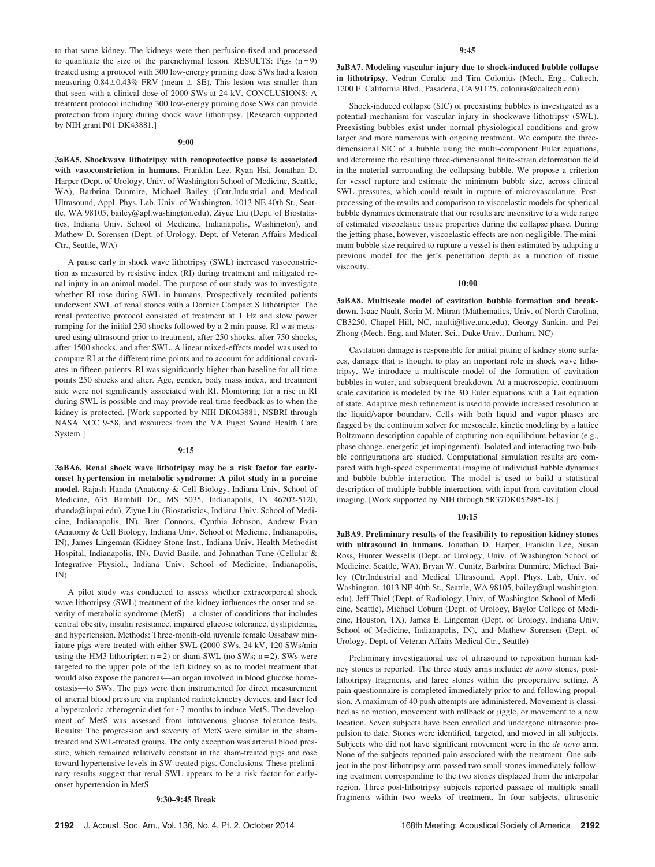to that same kidney. The kidneys were then perfusion-fixed and processed to quantitate the size of the parenchymal lesion. RESULTS: Pigs  $(n=9)$ treated using a protocol with 300 low-energy priming dose SWs had a lesion measuring  $0.84\pm0.43\%$  FRV (mean  $\pm$  SE). This lesion was smaller than that seen with a clinical dose of 2000 SWs at 24 kV. CONCLUSIONS: A treatment protocol including 300 low-energy priming dose SWs can provide protection from injury during shock wave lithotripsy. [Research supported by NIH grant P01 DK43881.]

### 9:00

3aBA5. Shockwave lithotripsy with renoprotective pause is associated with vasoconstriction in humans. Franklin Lee, Ryan Hsi, Jonathan D. Harper (Dept. of Urology, Univ. of Washington School of Medicine, Seattle, WA), Barbrina Dunmire, Michael Bailey (Cntr.Industrial and Medical Ultrasound, Appl. Phys. Lab, Univ. of Washington, 1013 NE 40th St., Seattle, WA 98105, bailey@apl.washington.edu), Ziyue Liu (Dept. of Biostatistics, Indiana Univ. School of Medicine, Indianapolis, Washington), and Mathew D. Sorensen (Dept. of Urology, Dept. of Veteran Affairs Medical Ctr., Seattle, WA)

A pause early in shock wave lithotripsy (SWL) increased vasoconstriction as measured by resistive index (RI) during treatment and mitigated renal injury in an animal model. The purpose of our study was to investigate whether RI rose during SWL in humans. Prospectively recruited patients underwent SWL of renal stones with a Dornier Compact S lithotripter. The renal protective protocol consisted of treatment at 1 Hz and slow power ramping for the initial 250 shocks followed by a 2 min pause. RI was measured using ultrasound prior to treatment, after 250 shocks, after 750 shocks, after 1500 shocks, and after SWL. A linear mixed-effects model was used to compare RI at the different time points and to account for additional covariates in fifteen patients. RI was significantly higher than baseline for all time points 250 shocks and after. Age, gender, body mass index, and treatment side were not significantly associated with RI. Monitoring for a rise in RI during SWL is possible and may provide real-time feedback as to when the kidney is protected. [Work supported by NIH DK043881, NSBRI through NASA NCC 9-58, and resources from the VA Puget Sound Health Care System.]

### 9:15

3aBA6. Renal shock wave lithotripsy may be a risk factor for earlyonset hypertension in metabolic syndrome: A pilot study in a porcine model. Rajash Handa (Anatomy & Cell Biology, Indiana Univ. School of Medicine, 635 Barnhill Dr., MS 5035, Indianapolis, IN 46202-5120, rhanda@iupui.edu), Ziyue Liu (Biostatistics, Indiana Univ. School of Medicine, Indianapolis, IN), Bret Connors, Cynthia Johnson, Andrew Evan (Anatomy & Cell Biology, Indiana Univ. School of Medicine, Indianapolis, IN), James Lingeman (Kidney Stone Inst., Indiana Univ. Health Methodist Hospital, Indianapolis, IN), David Basile, and Johnathan Tune (Cellular & Integrative Physiol., Indiana Univ. School of Medicine, Indianapolis, IN)

A pilot study was conducted to assess whether extracorporeal shock wave lithotripsy (SWL) treatment of the kidney influences the onset and severity of metabolic syndrome (MetS)—a cluster of conditions that includes central obesity, insulin resistance, impaired glucose tolerance, dyslipidemia, and hypertension. Methods: Three-month-old juvenile female Ossabaw miniature pigs were treated with either SWL (2000 SWs, 24 kV, 120 SWs/min using the HM3 lithotripter;  $n = 2$ ) or sham-SWL (no SWs;  $n = 2$ ). SWs were targeted to the upper pole of the left kidney so as to model treatment that would also expose the pancreas—an organ involved in blood glucose homeostasis—to SWs. The pigs were then instrumented for direct measurement of arterial blood pressure via implanted radiotelemetry devices, and later fed a hypercaloric atherogenic diet for ~7 months to induce MetS. The development of MetS was assessed from intravenous glucose tolerance tests. Results: The progression and severity of MetS were similar in the shamtreated and SWL-treated groups. The only exception was arterial blood pressure, which remained relatively constant in the sham-treated pigs and rose toward hypertensive levels in SW-treated pigs. Conclusions. These preliminary results suggest that renal SWL appears to be a risk factor for earlyonset hypertension in MetS.

### 9:30–9:45 Break

3aBA7. Modeling vascular injury due to shock-induced bubble collapse in lithotripsy. Vedran Coralic and Tim Colonius (Mech. Eng., Caltech, 1200 E. California Blvd., Pasadena, CA 91125, colonius@caltech.edu)

Shock-induced collapse (SIC) of preexisting bubbles is investigated as a potential mechanism for vascular injury in shockwave lithotripsy (SWL). Preexisting bubbles exist under normal physiological conditions and grow larger and more numerous with ongoing treatment. We compute the threedimensional SIC of a bubble using the multi-component Euler equations, and determine the resulting three-dimensional finite-strain deformation field in the material surrounding the collapsing bubble. We propose a criterion for vessel rupture and estimate the minimum bubble size, across clinical SWL pressures, which could result in rupture of microvasculature. Postprocessing of the results and comparison to viscoelastic models for spherical bubble dynamics demonstrate that our results are insensitive to a wide range of estimated viscoelastic tissue properties during the collapse phase. During the jetting phase, however, viscoelastic effects are non-negligible. The minimum bubble size required to rupture a vessel is then estimated by adapting a previous model for the jet's penetration depth as a function of tissue viscosity.

## 10:00

3aBA8. Multiscale model of cavitation bubble formation and breakdown. Isaac Nault, Sorin M. Mitran (Mathematics, Univ. of North Carolina, CB3250, Chapel Hill, NC, naulti@live.unc.edu), Georgy Sankin, and Pei Zhong (Mech. Eng. and Mater. Sci., Duke Univ., Durham, NC)

Cavitation damage is responsible for initial pitting of kidney stone surfaces, damage that is thought to play an important role in shock wave lithotripsy. We introduce a multiscale model of the formation of cavitation bubbles in water, and subsequent breakdown. At a macroscopic, continuum scale cavitation is modeled by the 3D Euler equations with a Tait equation of state. Adaptive mesh refinement is used to provide increased resolution at the liquid/vapor boundary. Cells with both liquid and vapor phases are flagged by the continuum solver for mesoscale, kinetic modeling by a lattice Boltzmann description capable of capturing non-equilibrium behavior (e.g., phase change, energetic jet impingement). Isolated and interacting two-bubble configurations are studied. Computational simulation results are compared with high-speed experimental imaging of individual bubble dynamics and bubble–bubble interaction. The model is used to build a statistical description of multiple-bubble interaction, with input from cavitation cloud imaging. [Work supported by NIH through 5R37DK052985-18.]

# 10:15

3aBA9. Preliminary results of the feasibility to reposition kidney stones with ultrasound in humans. Jonathan D. Harper, Franklin Lee, Susan Ross, Hunter Wessells (Dept. of Urology, Univ. of Washington School of Medicine, Seattle, WA), Bryan W. Cunitz, Barbrina Dunmire, Michael Bailey (Ctr.Industrial and Medical Ultrasound, Appl. Phys. Lab, Univ. of Washington, 1013 NE 40th St., Seattle, WA 98105, bailey@apl.washington. edu), Jeff Thiel (Dept. of Radiology, Univ. of Washington School of Medicine, Seattle), Michael Coburn (Dept. of Urology, Baylor College of Medicine, Houston, TX), James E. Lingeman (Dept. of Urology, Indiana Univ. School of Medicine, Indianapolis, IN), and Mathew Sorensen (Dept. of Urology, Dept. of Veteran Affairs Medical Ctr., Seattle)

Preliminary investigational use of ultrasound to reposition human kidney stones is reported. The three study arms include: de novo stones, postlithotripsy fragments, and large stones within the preoperative setting. A pain questionnaire is completed immediately prior to and following propulsion. A maximum of 40 push attempts are administered. Movement is classified as no motion, movement with rollback or jiggle, or movement to a new location. Seven subjects have been enrolled and undergone ultrasonic propulsion to date. Stones were identified, targeted, and moved in all subjects. Subjects who did not have significant movement were in the de novo arm. None of the subjects reported pain associated with the treatment. One subject in the post-lithotripsy arm passed two small stones immediately following treatment corresponding to the two stones displaced from the interpolar region. Three post-lithotripsy subjects reported passage of multiple small fragments within two weeks of treatment. In four subjects, ultrasonic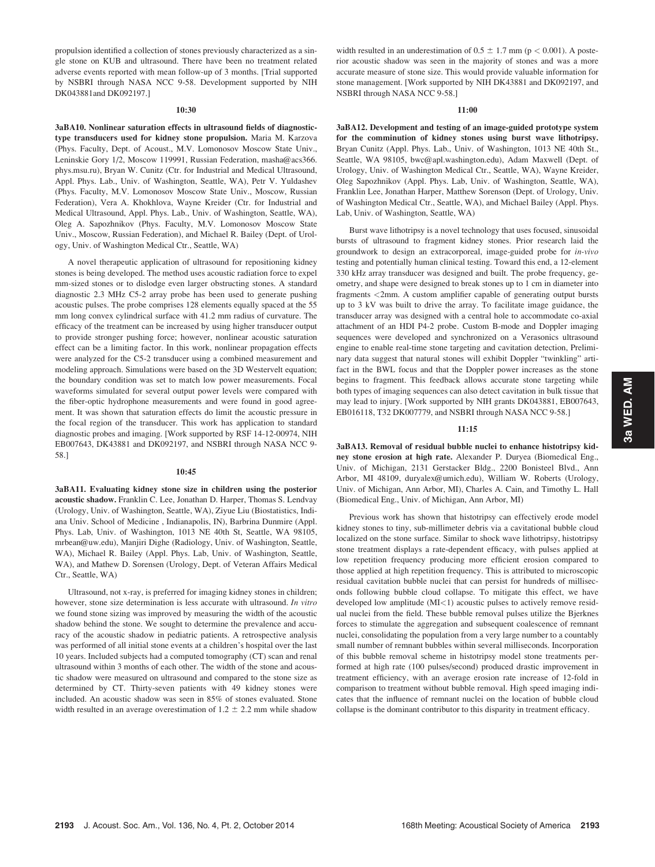propulsion identified a collection of stones previously characterized as a single stone on KUB and ultrasound. There have been no treatment related adverse events reported with mean follow-up of 3 months. [Trial supported by NSBRI through NASA NCC 9-58. Development supported by NIH DK043881and DK092197.]

## 10:30

3aBA10. Nonlinear saturation effects in ultrasound fields of diagnostictype transducers used for kidney stone propulsion. Maria M. Karzova (Phys. Faculty, Dept. of Acoust., M.V. Lomonosov Moscow State Univ., Leninskie Gory 1/2, Moscow 119991, Russian Federation, masha@acs366. phys.msu.ru), Bryan W. Cunitz (Ctr. for Industrial and Medical Ultrasound, Appl. Phys. Lab., Univ. of Washington, Seattle, WA), Petr V. Yuldashev (Phys. Faculty, M.V. Lomonosov Moscow State Univ., Moscow, Russian Federation), Vera A. Khokhlova, Wayne Kreider (Ctr. for Industrial and Medical Ultrasound, Appl. Phys. Lab., Univ. of Washington, Seattle, WA), Oleg A. Sapozhnikov (Phys. Faculty, M.V. Lomonosov Moscow State Univ., Moscow, Russian Federation), and Michael R. Bailey (Dept. of Urology, Univ. of Washington Medical Ctr., Seattle, WA)

A novel therapeutic application of ultrasound for repositioning kidney stones is being developed. The method uses acoustic radiation force to expel mm-sized stones or to dislodge even larger obstructing stones. A standard diagnostic 2.3 MHz C5-2 array probe has been used to generate pushing acoustic pulses. The probe comprises 128 elements equally spaced at the 55 mm long convex cylindrical surface with 41.2 mm radius of curvature. The efficacy of the treatment can be increased by using higher transducer output to provide stronger pushing force; however, nonlinear acoustic saturation effect can be a limiting factor. In this work, nonlinear propagation effects were analyzed for the C5-2 transducer using a combined measurement and modeling approach. Simulations were based on the 3D Westervelt equation; the boundary condition was set to match low power measurements. Focal waveforms simulated for several output power levels were compared with the fiber-optic hydrophone measurements and were found in good agreement. It was shown that saturation effects do limit the acoustic pressure in the focal region of the transducer. This work has application to standard diagnostic probes and imaging. [Work supported by RSF 14-12-00974, NIH EB007643, DK43881 and DK092197, and NSBRI through NASA NCC 9- 58.]

### 10:45

3aBA11. Evaluating kidney stone size in children using the posterior acoustic shadow. Franklin C. Lee, Jonathan D. Harper, Thomas S. Lendvay (Urology, Univ. of Washington, Seattle, WA), Ziyue Liu (Biostatistics, Indiana Univ. School of Medicine , Indianapolis, IN), Barbrina Dunmire (Appl. Phys. Lab, Univ. of Washington, 1013 NE 40th St, Seattle, WA 98105, mrbean@uw.edu), Manjiri Dighe (Radiology, Univ. of Washington, Seattle, WA), Michael R. Bailey (Appl. Phys. Lab, Univ. of Washington, Seattle, WA), and Mathew D. Sorensen (Urology, Dept. of Veteran Affairs Medical Ctr., Seattle, WA)

Ultrasound, not x-ray, is preferred for imaging kidney stones in children; however, stone size determination is less accurate with ultrasound. In vitro we found stone sizing was improved by measuring the width of the acoustic shadow behind the stone. We sought to determine the prevalence and accuracy of the acoustic shadow in pediatric patients. A retrospective analysis was performed of all initial stone events at a children's hospital over the last 10 years. Included subjects had a computed tomography (CT) scan and renal ultrasound within 3 months of each other. The width of the stone and acoustic shadow were measured on ultrasound and compared to the stone size as determined by CT. Thirty-seven patients with 49 kidney stones were included. An acoustic shadow was seen in 85% of stones evaluated. Stone width resulted in an average overestimation of  $1.2 \pm 2.2$  mm while shadow width resulted in an underestimation of  $0.5 \pm 1.7$  mm (p < 0.001). A posterior acoustic shadow was seen in the majority of stones and was a more accurate measure of stone size. This would provide valuable information for stone management. [Work supported by NIH DK43881 and DK092197, and NSBRI through NASA NCC 9-58.]

## 11:00

3aBA12. Development and testing of an image-guided prototype system for the comminution of kidney stones using burst wave lithotripsy. Bryan Cunitz (Appl. Phys. Lab., Univ. of Washington, 1013 NE 40th St., Seattle, WA 98105, bwc@apl.washington.edu), Adam Maxwell (Dept. of Urology, Univ. of Washington Medical Ctr., Seattle, WA), Wayne Kreider, Oleg Sapozhnikov (Appl. Phys. Lab, Univ. of Washington, Seattle, WA), Franklin Lee, Jonathan Harper, Matthew Sorenson (Dept. of Urology, Univ. of Washington Medical Ctr., Seattle, WA), and Michael Bailey (Appl. Phys. Lab, Univ. of Washington, Seattle, WA)

Burst wave lithotripsy is a novel technology that uses focused, sinusoidal bursts of ultrasound to fragment kidney stones. Prior research laid the groundwork to design an extracorporeal, image-guided probe for in-vivo testing and potentially human clinical testing. Toward this end, a 12-element 330 kHz array transducer was designed and built. The probe frequency, geometry, and shape were designed to break stones up to 1 cm in diameter into fragments <2mm. A custom amplifier capable of generating output bursts up to 3 kV was built to drive the array. To facilitate image guidance, the transducer array was designed with a central hole to accommodate co-axial attachment of an HDI P4-2 probe. Custom B-mode and Doppler imaging sequences were developed and synchronized on a Verasonics ultrasound engine to enable real-time stone targeting and cavitation detection, Preliminary data suggest that natural stones will exhibit Doppler "twinkling" artifact in the BWL focus and that the Doppler power increases as the stone begins to fragment. This feedback allows accurate stone targeting while both types of imaging sequences can also detect cavitation in bulk tissue that may lead to injury. [Work supported by NIH grants DK043881, EB007643, EB016118, T32 DK007779, and NSBRI through NASA NCC 9-58.]

### 11:15

3aBA13. Removal of residual bubble nuclei to enhance histotripsy kidney stone erosion at high rate. Alexander P. Duryea (Biomedical Eng., Univ. of Michigan, 2131 Gerstacker Bldg., 2200 Bonisteel Blvd., Ann Arbor, MI 48109, duryalex@umich.edu), William W. Roberts (Urology, Univ. of Michigan, Ann Arbor, MI), Charles A. Cain, and Timothy L. Hall (Biomedical Eng., Univ. of Michigan, Ann Arbor, MI)

Previous work has shown that histotripsy can effectively erode model kidney stones to tiny, sub-millimeter debris via a cavitational bubble cloud localized on the stone surface. Similar to shock wave lithotripsy, histotripsy stone treatment displays a rate-dependent efficacy, with pulses applied at low repetition frequency producing more efficient erosion compared to those applied at high repetition frequency. This is attributed to microscopic residual cavitation bubble nuclei that can persist for hundreds of milliseconds following bubble cloud collapse. To mitigate this effect, we have developed low amplitude  $(MI<1)$  acoustic pulses to actively remove residual nuclei from the field. These bubble removal pulses utilize the Bjerknes forces to stimulate the aggregation and subsequent coalescence of remnant nuclei, consolidating the population from a very large number to a countably small number of remnant bubbles within several milliseconds. Incorporation of this bubble removal scheme in histotripsy model stone treatments performed at high rate (100 pulses/second) produced drastic improvement in treatment efficiency, with an average erosion rate increase of 12-fold in comparison to treatment without bubble removal. High speed imaging indicates that the influence of remnant nuclei on the location of bubble cloud collapse is the dominant contributor to this disparity in treatment efficacy.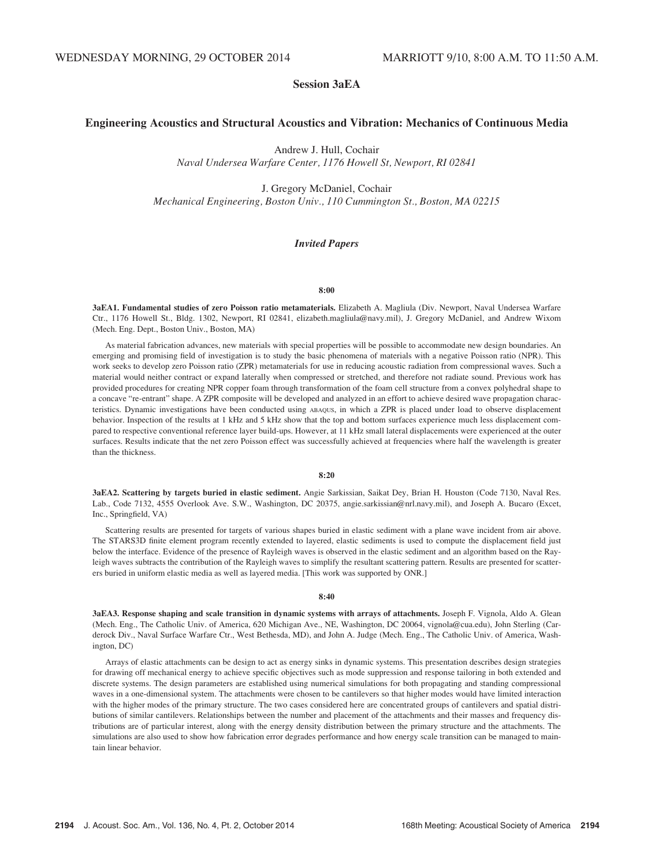# Session 3aEA

# Engineering Acoustics and Structural Acoustics and Vibration: Mechanics of Continuous Media

Andrew J. Hull, Cochair

Naval Undersea Warfare Center, 1176 Howell St, Newport, RI 02841

J. Gregory McDaniel, Cochair

Mechanical Engineering, Boston Univ., 110 Cummington St., Boston, MA 02215

# Invited Papers

# 8:00

3aEA1. Fundamental studies of zero Poisson ratio metamaterials. Elizabeth A. Magliula (Div. Newport, Naval Undersea Warfare Ctr., 1176 Howell St., Bldg. 1302, Newport, RI 02841, elizabeth.magliula@navy.mil), J. Gregory McDaniel, and Andrew Wixom (Mech. Eng. Dept., Boston Univ., Boston, MA)

As material fabrication advances, new materials with special properties will be possible to accommodate new design boundaries. An emerging and promising field of investigation is to study the basic phenomena of materials with a negative Poisson ratio (NPR). This work seeks to develop zero Poisson ratio (ZPR) metamaterials for use in reducing acoustic radiation from compressional waves. Such a material would neither contract or expand laterally when compressed or stretched, and therefore not radiate sound. Previous work has provided procedures for creating NPR copper foam through transformation of the foam cell structure from a convex polyhedral shape to a concave "re-entrant" shape. A ZPR composite will be developed and analyzed in an effort to achieve desired wave propagation characteristics. Dynamic investigations have been conducted using ABAQUS, in which a ZPR is placed under load to observe displacement behavior. Inspection of the results at 1 kHz and 5 kHz show that the top and bottom surfaces experience much less displacement compared to respective conventional reference layer build-ups. However, at 11 kHz small lateral displacements were experienced at the outer surfaces. Results indicate that the net zero Poisson effect was successfully achieved at frequencies where half the wavelength is greater than the thickness.

### 8:20

3aEA2. Scattering by targets buried in elastic sediment. Angie Sarkissian, Saikat Dey, Brian H. Houston (Code 7130, Naval Res. Lab., Code 7132, 4555 Overlook Ave. S.W., Washington, DC 20375, angie.sarkissian@nrl.navy.mil), and Joseph A. Bucaro (Excet, Inc., Springfield, VA)

Scattering results are presented for targets of various shapes buried in elastic sediment with a plane wave incident from air above. The STARS3D finite element program recently extended to layered, elastic sediments is used to compute the displacement field just below the interface. Evidence of the presence of Rayleigh waves is observed in the elastic sediment and an algorithm based on the Rayleigh waves subtracts the contribution of the Rayleigh waves to simplify the resultant scattering pattern. Results are presented for scatterers buried in uniform elastic media as well as layered media. [This work was supported by ONR.]

## 8:40

3aEA3. Response shaping and scale transition in dynamic systems with arrays of attachments. Joseph F. Vignola, Aldo A. Glean (Mech. Eng., The Catholic Univ. of America, 620 Michigan Ave., NE, Washington, DC 20064, vignola@cua.edu), John Sterling (Carderock Div., Naval Surface Warfare Ctr., West Bethesda, MD), and John A. Judge (Mech. Eng., The Catholic Univ. of America, Washington, DC)

Arrays of elastic attachments can be design to act as energy sinks in dynamic systems. This presentation describes design strategies for drawing off mechanical energy to achieve specific objectives such as mode suppression and response tailoring in both extended and discrete systems. The design parameters are established using numerical simulations for both propagating and standing compressional waves in a one-dimensional system. The attachments were chosen to be cantilevers so that higher modes would have limited interaction with the higher modes of the primary structure. The two cases considered here are concentrated groups of cantilevers and spatial distributions of similar cantilevers. Relationships between the number and placement of the attachments and their masses and frequency distributions are of particular interest, along with the energy density distribution between the primary structure and the attachments. The simulations are also used to show how fabrication error degrades performance and how energy scale transition can be managed to maintain linear behavior.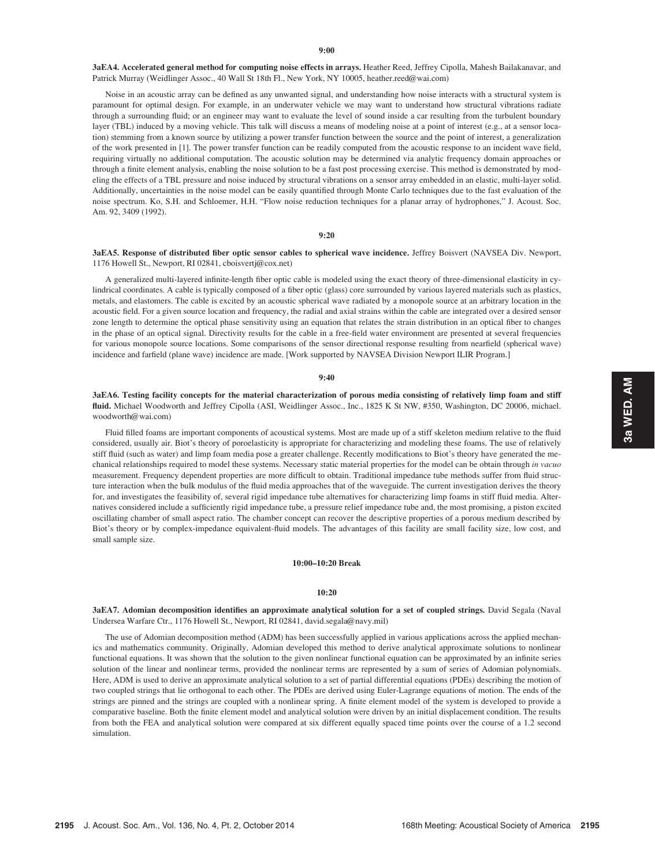3aEA4. Accelerated general method for computing noise effects in arrays. Heather Reed, Jeffrey Cipolla, Mahesh Bailakanavar, and Patrick Murray (Weidlinger Assoc., 40 Wall St 18th Fl., New York, NY 10005, heather.reed@wai.com)

Noise in an acoustic array can be defined as any unwanted signal, and understanding how noise interacts with a structural system is paramount for optimal design. For example, in an underwater vehicle we may want to understand how structural vibrations radiate through a surrounding fluid; or an engineer may want to evaluate the level of sound inside a car resulting from the turbulent boundary layer (TBL) induced by a moving vehicle. This talk will discuss a means of modeling noise at a point of interest (e.g., at a sensor location) stemming from a known source by utilizing a power transfer function between the source and the point of interest, a generalization of the work presented in [1]. The power transfer function can be readily computed from the acoustic response to an incident wave field, requiring virtually no additional computation. The acoustic solution may be determined via analytic frequency domain approaches or through a finite element analysis, enabling the noise solution to be a fast post processing exercise. This method is demonstrated by modeling the effects of a TBL pressure and noise induced by structural vibrations on a sensor array embedded in an elastic, multi-layer solid. Additionally, uncertainties in the noise model can be easily quantified through Monte Carlo techniques due to the fast evaluation of the noise spectrum. Ko, S.H. and Schloemer, H.H. "Flow noise reduction techniques for a planar array of hydrophones," J. Acoust. Soc. Am. 92, 3409 (1992).

# 9:20

3aEA5. Response of distributed fiber optic sensor cables to spherical wave incidence. Jeffrey Boisvert (NAVSEA Div. Newport, 1176 Howell St., Newport, RI 02841, cboisvertj@cox.net)

A generalized multi-layered infinite-length fiber optic cable is modeled using the exact theory of three-dimensional elasticity in cylindrical coordinates. A cable is typically composed of a fiber optic (glass) core surrounded by various layered materials such as plastics, metals, and elastomers. The cable is excited by an acoustic spherical wave radiated by a monopole source at an arbitrary location in the acoustic field. For a given source location and frequency, the radial and axial strains within the cable are integrated over a desired sensor zone length to determine the optical phase sensitivity using an equation that relates the strain distribution in an optical fiber to changes in the phase of an optical signal. Directivity results for the cable in a free-field water environment are presented at several frequencies for various monopole source locations. Some comparisons of the sensor directional response resulting from nearfield (spherical wave) incidence and farfield (plane wave) incidence are made. [Work supported by NAVSEA Division Newport ILIR Program.]

### 9:40

3aEA6. Testing facility concepts for the material characterization of porous media consisting of relatively limp foam and stiff fluid. Michael Woodworth and Jeffrey Cipolla (ASI, Weidlinger Assoc., Inc., 1825 K St NW, #350, Washington, DC 20006, michael. woodworth@wai.com)

Fluid filled foams are important components of acoustical systems. Most are made up of a stiff skeleton medium relative to the fluid considered, usually air. Biot's theory of poroelasticity is appropriate for characterizing and modeling these foams. The use of relatively stiff fluid (such as water) and limp foam media pose a greater challenge. Recently modifications to Biot's theory have generated the mechanical relationships required to model these systems. Necessary static material properties for the model can be obtain through in vacuo measurement. Frequency dependent properties are more difficult to obtain. Traditional impedance tube methods suffer from fluid structure interaction when the bulk modulus of the fluid media approaches that of the waveguide. The current investigation derives the theory for, and investigates the feasibility of, several rigid impedance tube alternatives for characterizing limp foams in stiff fluid media. Alternatives considered include a sufficiently rigid impedance tube, a pressure relief impedance tube and, the most promising, a piston excited oscillating chamber of small aspect ratio. The chamber concept can recover the descriptive properties of a porous medium described by Biot's theory or by complex-impedance equivalent-fluid models. The advantages of this facility are small facility size, low cost, and small sample size.

## 10:00–10:20 Break

### 10:20

3aEA7. Adomian decomposition identifies an approximate analytical solution for a set of coupled strings. David Segala (Naval Undersea Warfare Ctr., 1176 Howell St., Newport, RI 02841, david.segala@navy.mil)

The use of Adomian decomposition method (ADM) has been successfully applied in various applications across the applied mechanics and mathematics community. Originally, Adomian developed this method to derive analytical approximate solutions to nonlinear functional equations. It was shown that the solution to the given nonlinear functional equation can be approximated by an infinite series solution of the linear and nonlinear terms, provided the nonlinear terms are represented by a sum of series of Adomian polynomials. Here, ADM is used to derive an approximate analytical solution to a set of partial differential equations (PDEs) describing the motion of two coupled strings that lie orthogonal to each other. The PDEs are derived using Euler-Lagrange equations of motion. The ends of the strings are pinned and the strings are coupled with a nonlinear spring. A finite element model of the system is developed to provide a comparative baseline. Both the finite element model and analytical solution were driven by an initial displacement condition. The results from both the FEA and analytical solution were compared at six different equally spaced time points over the course of a 1.2 second simulation.

3a WED. AM 3a WED. AM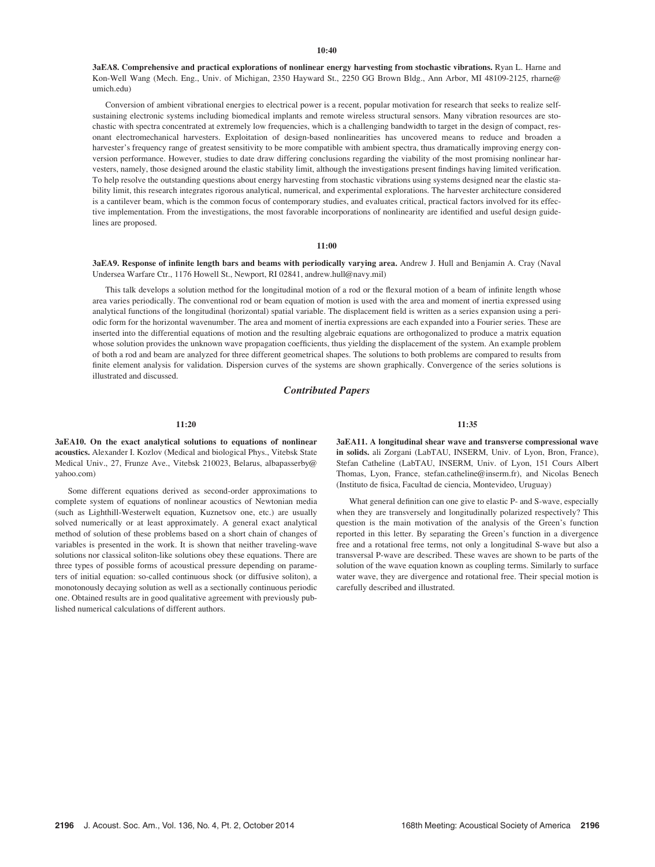### $10:40$

3aEA8. Comprehensive and practical explorations of nonlinear energy harvesting from stochastic vibrations. Ryan L. Harne and Kon-Well Wang (Mech. Eng., Univ. of Michigan, 2350 Hayward St., 2250 GG Brown Bldg., Ann Arbor, MI 48109-2125, rharne@ umich.edu)

Conversion of ambient vibrational energies to electrical power is a recent, popular motivation for research that seeks to realize selfsustaining electronic systems including biomedical implants and remote wireless structural sensors. Many vibration resources are stochastic with spectra concentrated at extremely low frequencies, which is a challenging bandwidth to target in the design of compact, resonant electromechanical harvesters. Exploitation of design-based nonlinearities has uncovered means to reduce and broaden a harvester's frequency range of greatest sensitivity to be more compatible with ambient spectra, thus dramatically improving energy conversion performance. However, studies to date draw differing conclusions regarding the viability of the most promising nonlinear harvesters, namely, those designed around the elastic stability limit, although the investigations present findings having limited verification. To help resolve the outstanding questions about energy harvesting from stochastic vibrations using systems designed near the elastic stability limit, this research integrates rigorous analytical, numerical, and experimental explorations. The harvester architecture considered is a cantilever beam, which is the common focus of contemporary studies, and evaluates critical, practical factors involved for its effective implementation. From the investigations, the most favorable incorporations of nonlinearity are identified and useful design guidelines are proposed.

## $11:00$

3aEA9. Response of infinite length bars and beams with periodically varying area. Andrew J. Hull and Benjamin A. Cray (Naval Undersea Warfare Ctr., 1176 Howell St., Newport, RI 02841, andrew.hull@navy.mil)

This talk develops a solution method for the longitudinal motion of a rod or the flexural motion of a beam of infinite length whose area varies periodically. The conventional rod or beam equation of motion is used with the area and moment of inertia expressed using analytical functions of the longitudinal (horizontal) spatial variable. The displacement field is written as a series expansion using a periodic form for the horizontal wavenumber. The area and moment of inertia expressions are each expanded into a Fourier series. These are inserted into the differential equations of motion and the resulting algebraic equations are orthogonalized to produce a matrix equation whose solution provides the unknown wave propagation coefficients, thus yielding the displacement of the system. An example problem of both a rod and beam are analyzed for three different geometrical shapes. The solutions to both problems are compared to results from finite element analysis for validation. Dispersion curves of the systems are shown graphically. Convergence of the series solutions is illustrated and discussed.

# Contributed Papers

### $11:20$

3aEA10. On the exact analytical solutions to equations of nonlinear acoustics. Alexander I. Kozlov (Medical and biological Phys., Vitebsk State Medical Univ., 27, Frunze Ave., Vitebsk 210023, Belarus, albapasserby@ yahoo.com)

Some different equations derived as second-order approximations to complete system of equations of nonlinear acoustics of Newtonian media (such as Lighthill-Westerwelt equation, Kuznetsov one, etc.) are usually solved numerically or at least approximately. A general exact analytical method of solution of these problems based on a short chain of changes of variables is presented in the work. It is shown that neither traveling-wave solutions nor classical soliton-like solutions obey these equations. There are three types of possible forms of acoustical pressure depending on parameters of initial equation: so-called continuous shock (or diffusive soliton), a monotonously decaying solution as well as a sectionally continuous periodic one. Obtained results are in good qualitative agreement with previously published numerical calculations of different authors.

11:35

3aEA11. A longitudinal shear wave and transverse compressional wave in solids. ali Zorgani (LabTAU, INSERM, Univ. of Lyon, Bron, France), Stefan Catheline (LabTAU, INSERM, Univ. of Lyon, 151 Cours Albert Thomas, Lyon, France, stefan.catheline@inserm.fr), and Nicolas Benech (Instituto de fisica, Facultad de ciencia, Montevideo, Uruguay)

What general definition can one give to elastic P- and S-wave, especially when they are transversely and longitudinally polarized respectively? This question is the main motivation of the analysis of the Green's function reported in this letter. By separating the Green's function in a divergence free and a rotational free terms, not only a longitudinal S-wave but also a transversal P-wave are described. These waves are shown to be parts of the solution of the wave equation known as coupling terms. Similarly to surface water wave, they are divergence and rotational free. Their special motion is carefully described and illustrated.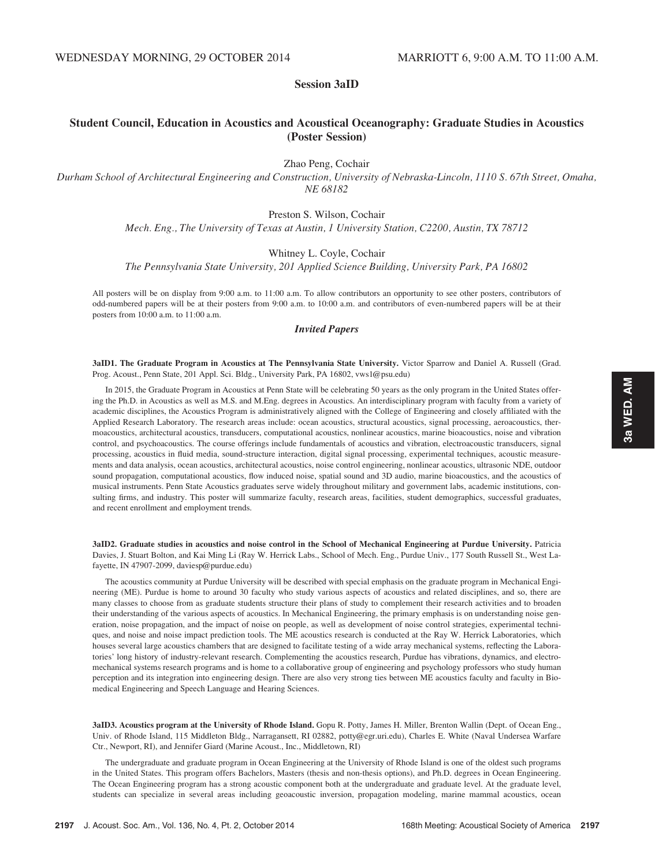# Session 3aID

# Student Council, Education in Acoustics and Acoustical Oceanography: Graduate Studies in Acoustics (Poster Session)

Zhao Peng, Cochair

Durham School of Architectural Engineering and Construction, University of Nebraska-Lincoln, 1110 S. 67th Street, Omaha, NE 68182

# Preston S. Wilson, Cochair

Mech. Eng., The University of Texas at Austin, 1 University Station, C2200, Austin, TX 78712

# Whitney L. Coyle, Cochair

The Pennsylvania State University, 201 Applied Science Building, University Park, PA 16802

All posters will be on display from 9:00 a.m. to 11:00 a.m. To allow contributors an opportunity to see other posters, contributors of odd-numbered papers will be at their posters from 9:00 a.m. to 10:00 a.m. and contributors of even-numbered papers will be at their posters from 10:00 a.m. to 11:00 a.m.

# Invited Papers

3aID1. The Graduate Program in Acoustics at The Pennsylvania State University. Victor Sparrow and Daniel A. Russell (Grad. Prog. Acoust., Penn State, 201 Appl. Sci. Bldg., University Park, PA 16802, vws1@psu.edu)

In 2015, the Graduate Program in Acoustics at Penn State will be celebrating 50 years as the only program in the United States offering the Ph.D. in Acoustics as well as M.S. and M.Eng. degrees in Acoustics. An interdisciplinary program with faculty from a variety of academic disciplines, the Acoustics Program is administratively aligned with the College of Engineering and closely affiliated with the Applied Research Laboratory. The research areas include: ocean acoustics, structural acoustics, signal processing, aeroacoustics, thermoacoustics, architectural acoustics, transducers, computational acoustics, nonlinear acoustics, marine bioacoustics, noise and vibration control, and psychoacoustics. The course offerings include fundamentals of acoustics and vibration, electroacoustic transducers, signal processing, acoustics in fluid media, sound-structure interaction, digital signal processing, experimental techniques, acoustic measurements and data analysis, ocean acoustics, architectural acoustics, noise control engineering, nonlinear acoustics, ultrasonic NDE, outdoor sound propagation, computational acoustics, flow induced noise, spatial sound and 3D audio, marine bioacoustics, and the acoustics of musical instruments. Penn State Acoustics graduates serve widely throughout military and government labs, academic institutions, consulting firms, and industry. This poster will summarize faculty, research areas, facilities, student demographics, successful graduates, and recent enrollment and employment trends.

3aID2. Graduate studies in acoustics and noise control in the School of Mechanical Engineering at Purdue University. Patricia Davies, J. Stuart Bolton, and Kai Ming Li (Ray W. Herrick Labs., School of Mech. Eng., Purdue Univ., 177 South Russell St., West Lafayette, IN 47907-2099, daviesp@purdue.edu)

The acoustics community at Purdue University will be described with special emphasis on the graduate program in Mechanical Engineering (ME). Purdue is home to around 30 faculty who study various aspects of acoustics and related disciplines, and so, there are many classes to choose from as graduate students structure their plans of study to complement their research activities and to broaden their understanding of the various aspects of acoustics. In Mechanical Engineering, the primary emphasis is on understanding noise generation, noise propagation, and the impact of noise on people, as well as development of noise control strategies, experimental techniques, and noise and noise impact prediction tools. The ME acoustics research is conducted at the Ray W. Herrick Laboratories, which houses several large acoustics chambers that are designed to facilitate testing of a wide array mechanical systems, reflecting the Laboratories' long history of industry-relevant research. Complementing the acoustics research, Purdue has vibrations, dynamics, and electromechanical systems research programs and is home to a collaborative group of engineering and psychology professors who study human perception and its integration into engineering design. There are also very strong ties between ME acoustics faculty and faculty in Biomedical Engineering and Speech Language and Hearing Sciences.

3aID3. Acoustics program at the University of Rhode Island. Gopu R. Potty, James H. Miller, Brenton Wallin (Dept. of Ocean Eng., Univ. of Rhode Island, 115 Middleton Bldg., Narragansett, RI 02882, potty@egr.uri.edu), Charles E. White (Naval Undersea Warfare Ctr., Newport, RI), and Jennifer Giard (Marine Acoust., Inc., Middletown, RI)

The undergraduate and graduate program in Ocean Engineering at the University of Rhode Island is one of the oldest such programs in the United States. This program offers Bachelors, Masters (thesis and non-thesis options), and Ph.D. degrees in Ocean Engineering. The Ocean Engineering program has a strong acoustic component both at the undergraduate and graduate level. At the graduate level, students can specialize in several areas including geoacoustic inversion, propagation modeling, marine mammal acoustics, ocean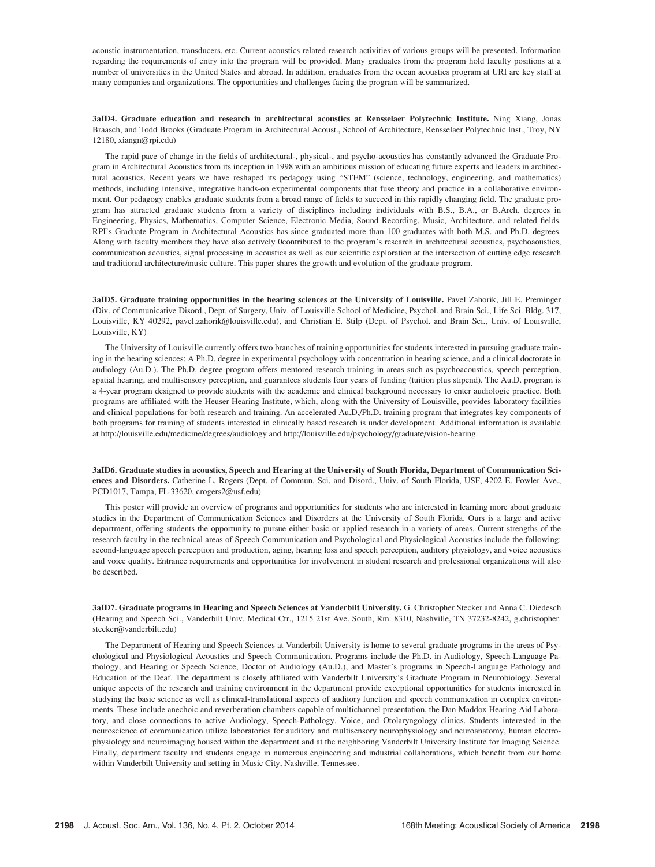acoustic instrumentation, transducers, etc. Current acoustics related research activities of various groups will be presented. Information regarding the requirements of entry into the program will be provided. Many graduates from the program hold faculty positions at a number of universities in the United States and abroad. In addition, graduates from the ocean acoustics program at URI are key staff at many companies and organizations. The opportunities and challenges facing the program will be summarized.

3aID4. Graduate education and research in architectural acoustics at Rensselaer Polytechnic Institute. Ning Xiang, Jonas Braasch, and Todd Brooks (Graduate Program in Architectural Acoust., School of Architecture, Rensselaer Polytechnic Inst., Troy, NY 12180, xiangn@rpi.edu)

The rapid pace of change in the fields of architectural-, physical-, and psycho-acoustics has constantly advanced the Graduate Program in Architectural Acoustics from its inception in 1998 with an ambitious mission of educating future experts and leaders in architectural acoustics. Recent years we have reshaped its pedagogy using "STEM" (science, technology, engineering, and mathematics) methods, including intensive, integrative hands-on experimental components that fuse theory and practice in a collaborative environment. Our pedagogy enables graduate students from a broad range of fields to succeed in this rapidly changing field. The graduate program has attracted graduate students from a variety of disciplines including individuals with B.S., B.A., or B.Arch. degrees in Engineering, Physics, Mathematics, Computer Science, Electronic Media, Sound Recording, Music, Architecture, and related fields. RPI's Graduate Program in Architectural Acoustics has since graduated more than 100 graduates with both M.S. and Ph.D. degrees. Along with faculty members they have also actively 0contributed to the program's research in architectural acoustics, psychoaoustics, communication acoustics, signal processing in acoustics as well as our scientific exploration at the intersection of cutting edge research and traditional architecture/music culture. This paper shares the growth and evolution of the graduate program.

3aID5. Graduate training opportunities in the hearing sciences at the University of Louisville. Pavel Zahorik, Jill E. Preminger (Div. of Communicative Disord., Dept. of Surgery, Univ. of Louisville School of Medicine, Psychol. and Brain Sci., Life Sci. Bldg. 317, Louisville, KY 40292, pavel.zahorik@louisville.edu), and Christian E. Stilp (Dept. of Psychol. and Brain Sci., Univ. of Louisville, Louisville, KY)

The University of Louisville currently offers two branches of training opportunities for students interested in pursuing graduate training in the hearing sciences: A Ph.D. degree in experimental psychology with concentration in hearing science, and a clinical doctorate in audiology (Au.D.). The Ph.D. degree program offers mentored research training in areas such as psychoacoustics, speech perception, spatial hearing, and multisensory perception, and guarantees students four years of funding (tuition plus stipend). The Au.D. program is a 4-year program designed to provide students with the academic and clinical background necessary to enter audiologic practice. Both programs are affiliated with the Heuser Hearing Institute, which, along with the University of Louisville, provides laboratory facilities and clinical populations for both research and training. An accelerated Au.D./Ph.D. training program that integrates key components of both programs for training of students interested in clinically based research is under development. Additional information is available at http://louisville.edu/medicine/degrees/audiology and http://louisville.edu/psychology/graduate/vision-hearing.

3aID6. Graduate studies in acoustics, Speech and Hearing at the University of South Florida, Department of Communication Sciences and Disorders. Catherine L. Rogers (Dept. of Commun. Sci. and Disord., Univ. of South Florida, USF, 4202 E. Fowler Ave., PCD1017, Tampa, FL 33620, crogers2@usf.edu)

This poster will provide an overview of programs and opportunities for students who are interested in learning more about graduate studies in the Department of Communication Sciences and Disorders at the University of South Florida. Ours is a large and active department, offering students the opportunity to pursue either basic or applied research in a variety of areas. Current strengths of the research faculty in the technical areas of Speech Communication and Psychological and Physiological Acoustics include the following: second-language speech perception and production, aging, hearing loss and speech perception, auditory physiology, and voice acoustics and voice quality. Entrance requirements and opportunities for involvement in student research and professional organizations will also be described.

3aID7. Graduate programs in Hearing and Speech Sciences at Vanderbilt University. G. Christopher Stecker and Anna C. Diedesch (Hearing and Speech Sci., Vanderbilt Univ. Medical Ctr., 1215 21st Ave. South, Rm. 8310, Nashville, TN 37232-8242, g.christopher. stecker@vanderbilt.edu)

The Department of Hearing and Speech Sciences at Vanderbilt University is home to several graduate programs in the areas of Psychological and Physiological Acoustics and Speech Communication. Programs include the Ph.D. in Audiology, Speech-Language Pathology, and Hearing or Speech Science, Doctor of Audiology (Au.D.), and Master's programs in Speech-Language Pathology and Education of the Deaf. The department is closely affiliated with Vanderbilt University's Graduate Program in Neurobiology. Several unique aspects of the research and training environment in the department provide exceptional opportunities for students interested in studying the basic science as well as clinical-translational aspects of auditory function and speech communication in complex environments. These include anechoic and reverberation chambers capable of multichannel presentation, the Dan Maddox Hearing Aid Laboratory, and close connections to active Audiology, Speech-Pathology, Voice, and Otolaryngology clinics. Students interested in the neuroscience of communication utilize laboratories for auditory and multisensory neurophysiology and neuroanatomy, human electrophysiology and neuroimaging housed within the department and at the neighboring Vanderbilt University Institute for Imaging Science. Finally, department faculty and students engage in numerous engineering and industrial collaborations, which benefit from our home within Vanderbilt University and setting in Music City, Nashville. Tennessee.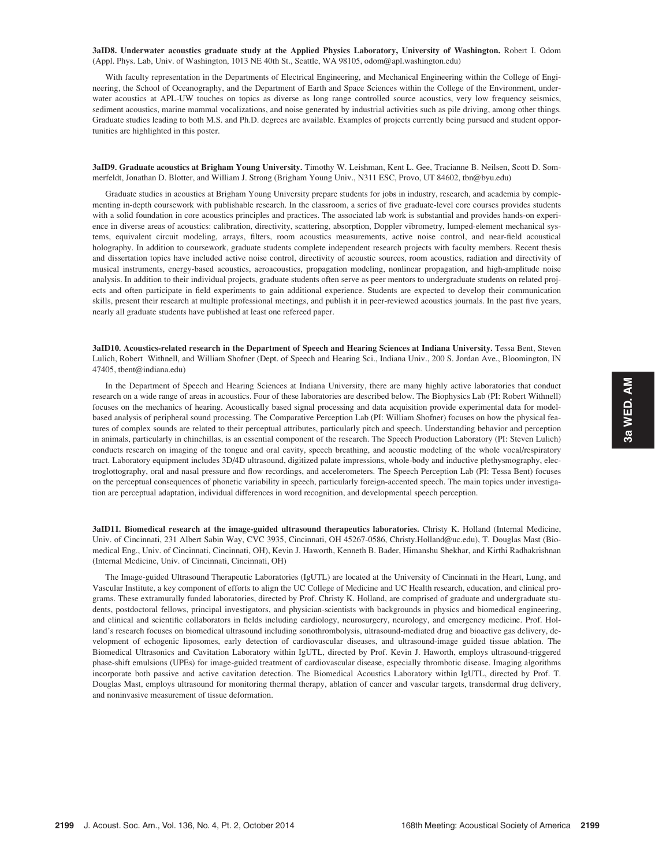### 3aID8. Underwater acoustics graduate study at the Applied Physics Laboratory, University of Washington. Robert I. Odom (Appl. Phys. Lab, Univ. of Washington, 1013 NE 40th St., Seattle, WA 98105, odom@apl.washington.edu)

With faculty representation in the Departments of Electrical Engineering, and Mechanical Engineering within the College of Engineering, the School of Oceanography, and the Department of Earth and Space Sciences within the College of the Environment, underwater acoustics at APL-UW touches on topics as diverse as long range controlled source acoustics, very low frequency seismics, sediment acoustics, marine mammal vocalizations, and noise generated by industrial activities such as pile driving, among other things. Graduate studies leading to both M.S. and Ph.D. degrees are available. Examples of projects currently being pursued and student opportunities are highlighted in this poster.

# 3aID9. Graduate acoustics at Brigham Young University. Timothy W. Leishman, Kent L. Gee, Tracianne B. Neilsen, Scott D. Sommerfeldt, Jonathan D. Blotter, and William J. Strong (Brigham Young Univ., N311 ESC, Provo, UT 84602, tbn@byu.edu)

Graduate studies in acoustics at Brigham Young University prepare students for jobs in industry, research, and academia by complementing in-depth coursework with publishable research. In the classroom, a series of five graduate-level core courses provides students with a solid foundation in core acoustics principles and practices. The associated lab work is substantial and provides hands-on experience in diverse areas of acoustics: calibration, directivity, scattering, absorption, Doppler vibrometry, lumped-element mechanical systems, equivalent circuit modeling, arrays, filters, room acoustics measurements, active noise control, and near-field acoustical holography. In addition to coursework, graduate students complete independent research projects with faculty members. Recent thesis and dissertation topics have included active noise control, directivity of acoustic sources, room acoustics, radiation and directivity of musical instruments, energy-based acoustics, aeroacoustics, propagation modeling, nonlinear propagation, and high-amplitude noise analysis. In addition to their individual projects, graduate students often serve as peer mentors to undergraduate students on related projects and often participate in field experiments to gain additional experience. Students are expected to develop their communication skills, present their research at multiple professional meetings, and publish it in peer-reviewed acoustics journals. In the past five years, nearly all graduate students have published at least one refereed paper.

3aID10. Acoustics-related research in the Department of Speech and Hearing Sciences at Indiana University. Tessa Bent, Steven Lulich, Robert Withnell, and William Shofner (Dept. of Speech and Hearing Sci., Indiana Univ., 200 S. Jordan Ave., Bloomington, IN 47405, tbent@indiana.edu)

In the Department of Speech and Hearing Sciences at Indiana University, there are many highly active laboratories that conduct research on a wide range of areas in acoustics. Four of these laboratories are described below. The Biophysics Lab (PI: Robert Withnell) focuses on the mechanics of hearing. Acoustically based signal processing and data acquisition provide experimental data for modelbased analysis of peripheral sound processing. The Comparative Perception Lab (PI: William Shofner) focuses on how the physical features of complex sounds are related to their perceptual attributes, particularly pitch and speech. Understanding behavior and perception in animals, particularly in chinchillas, is an essential component of the research. The Speech Production Laboratory (PI: Steven Lulich) conducts research on imaging of the tongue and oral cavity, speech breathing, and acoustic modeling of the whole vocal/respiratory tract. Laboratory equipment includes 3D/4D ultrasound, digitized palate impressions, whole-body and inductive plethysmography, electroglottography, oral and nasal pressure and flow recordings, and accelerometers. The Speech Perception Lab (PI: Tessa Bent) focuses on the perceptual consequences of phonetic variability in speech, particularly foreign-accented speech. The main topics under investigation are perceptual adaptation, individual differences in word recognition, and developmental speech perception.

3aID11. Biomedical research at the image-guided ultrasound therapeutics laboratories. Christy K. Holland (Internal Medicine, Univ. of Cincinnati, 231 Albert Sabin Way, CVC 3935, Cincinnati, OH 45267-0586, Christy.Holland@uc.edu), T. Douglas Mast (Biomedical Eng., Univ. of Cincinnati, Cincinnati, OH), Kevin J. Haworth, Kenneth B. Bader, Himanshu Shekhar, and Kirthi Radhakrishnan (Internal Medicine, Univ. of Cincinnati, Cincinnati, OH)

The Image-guided Ultrasound Therapeutic Laboratories (IgUTL) are located at the University of Cincinnati in the Heart, Lung, and Vascular Institute, a key component of efforts to align the UC College of Medicine and UC Health research, education, and clinical programs. These extramurally funded laboratories, directed by Prof. Christy K. Holland, are comprised of graduate and undergraduate students, postdoctoral fellows, principal investigators, and physician-scientists with backgrounds in physics and biomedical engineering, and clinical and scientific collaborators in fields including cardiology, neurosurgery, neurology, and emergency medicine. Prof. Holland's research focuses on biomedical ultrasound including sonothrombolysis, ultrasound-mediated drug and bioactive gas delivery, development of echogenic liposomes, early detection of cardiovascular diseases, and ultrasound-image guided tissue ablation. The Biomedical Ultrasonics and Cavitation Laboratory within IgUTL, directed by Prof. Kevin J. Haworth, employs ultrasound-triggered phase-shift emulsions (UPEs) for image-guided treatment of cardiovascular disease, especially thrombotic disease. Imaging algorithms incorporate both passive and active cavitation detection. The Biomedical Acoustics Laboratory within IgUTL, directed by Prof. T. Douglas Mast, employs ultrasound for monitoring thermal therapy, ablation of cancer and vascular targets, transdermal drug delivery, and noninvasive measurement of tissue deformation.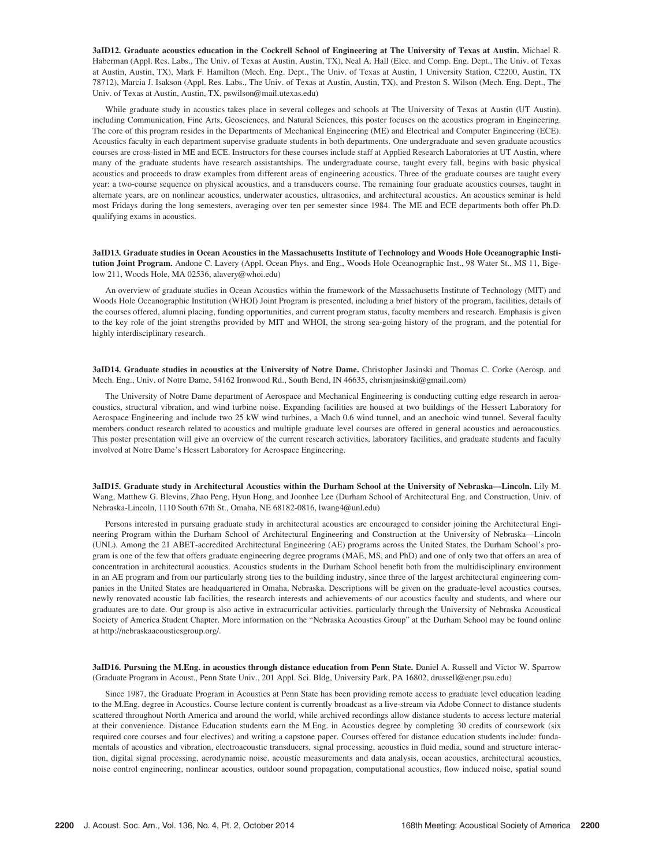3aID12. Graduate acoustics education in the Cockrell School of Engineering at The University of Texas at Austin. Michael R. Haberman (Appl. Res. Labs., The Univ. of Texas at Austin, Austin, TX), Neal A. Hall (Elec. and Comp. Eng. Dept., The Univ. of Texas at Austin, Austin, TX), Mark F. Hamilton (Mech. Eng. Dept., The Univ. of Texas at Austin, 1 University Station, C2200, Austin, TX 78712), Marcia J. Isakson (Appl. Res. Labs., The Univ. of Texas at Austin, Austin, TX), and Preston S. Wilson (Mech. Eng. Dept., The Univ. of Texas at Austin, Austin, TX, pswilson@mail.utexas.edu)

While graduate study in acoustics takes place in several colleges and schools at The University of Texas at Austin (UT Austin), including Communication, Fine Arts, Geosciences, and Natural Sciences, this poster focuses on the acoustics program in Engineering. The core of this program resides in the Departments of Mechanical Engineering (ME) and Electrical and Computer Engineering (ECE). Acoustics faculty in each department supervise graduate students in both departments. One undergraduate and seven graduate acoustics courses are cross-listed in ME and ECE. Instructors for these courses include staff at Applied Research Laboratories at UT Austin, where many of the graduate students have research assistantships. The undergraduate course, taught every fall, begins with basic physical acoustics and proceeds to draw examples from different areas of engineering acoustics. Three of the graduate courses are taught every year: a two-course sequence on physical acoustics, and a transducers course. The remaining four graduate acoustics courses, taught in alternate years, are on nonlinear acoustics, underwater acoustics, ultrasonics, and architectural acoustics. An acoustics seminar is held most Fridays during the long semesters, averaging over ten per semester since 1984. The ME and ECE departments both offer Ph.D. qualifying exams in acoustics.

3aID13. Graduate studies in Ocean Acoustics in the Massachusetts Institute of Technology and Woods Hole Oceanographic Institution Joint Program. Andone C. Lavery (Appl. Ocean Phys. and Eng., Woods Hole Oceanographic Inst., 98 Water St., MS 11, Bigelow 211, Woods Hole, MA 02536, alavery@whoi.edu)

An overview of graduate studies in Ocean Acoustics within the framework of the Massachusetts Institute of Technology (MIT) and Woods Hole Oceanographic Institution (WHOI) Joint Program is presented, including a brief history of the program, facilities, details of the courses offered, alumni placing, funding opportunities, and current program status, faculty members and research. Emphasis is given to the key role of the joint strengths provided by MIT and WHOI, the strong sea-going history of the program, and the potential for highly interdisciplinary research.

3aID14. Graduate studies in acoustics at the University of Notre Dame. Christopher Jasinski and Thomas C. Corke (Aerosp. and Mech. Eng., Univ. of Notre Dame, 54162 Ironwood Rd., South Bend, IN 46635, chrismjasinski@gmail.com)

The University of Notre Dame department of Aerospace and Mechanical Engineering is conducting cutting edge research in aeroacoustics, structural vibration, and wind turbine noise. Expanding facilities are housed at two buildings of the Hessert Laboratory for Aerospace Engineering and include two 25 kW wind turbines, a Mach 0.6 wind tunnel, and an anechoic wind tunnel. Several faculty members conduct research related to acoustics and multiple graduate level courses are offered in general acoustics and aeroacoustics. This poster presentation will give an overview of the current research activities, laboratory facilities, and graduate students and faculty involved at Notre Dame's Hessert Laboratory for Aerospace Engineering.

3aID15. Graduate study in Architectural Acoustics within the Durham School at the University of Nebraska—Lincoln. Lily M. Wang, Matthew G. Blevins, Zhao Peng, Hyun Hong, and Joonhee Lee (Durham School of Architectural Eng. and Construction, Univ. of Nebraska-Lincoln, 1110 South 67th St., Omaha, NE 68182-0816, lwang4@unl.edu)

Persons interested in pursuing graduate study in architectural acoustics are encouraged to consider joining the Architectural Engineering Program within the Durham School of Architectural Engineering and Construction at the University of Nebraska—Lincoln (UNL). Among the 21 ABET-accredited Architectural Engineering (AE) programs across the United States, the Durham School's program is one of the few that offers graduate engineering degree programs (MAE, MS, and PhD) and one of only two that offers an area of concentration in architectural acoustics. Acoustics students in the Durham School benefit both from the multidisciplinary environment in an AE program and from our particularly strong ties to the building industry, since three of the largest architectural engineering companies in the United States are headquartered in Omaha, Nebraska. Descriptions will be given on the graduate-level acoustics courses, newly renovated acoustic lab facilities, the research interests and achievements of our acoustics faculty and students, and where our graduates are to date. Our group is also active in extracurricular activities, particularly through the University of Nebraska Acoustical Society of America Student Chapter. More information on the "Nebraska Acoustics Group" at the Durham School may be found online at http://nebraskaacousticsgroup.org/.

3aID16. Pursuing the M.Eng. in acoustics through distance education from Penn State. Daniel A. Russell and Victor W. Sparrow (Graduate Program in Acoust., Penn State Univ., 201 Appl. Sci. Bldg, University Park, PA 16802, drussell@engr.psu.edu)

Since 1987, the Graduate Program in Acoustics at Penn State has been providing remote access to graduate level education leading to the M.Eng. degree in Acoustics. Course lecture content is currently broadcast as a live-stream via Adobe Connect to distance students scattered throughout North America and around the world, while archived recordings allow distance students to access lecture material at their convenience. Distance Education students earn the M.Eng. in Acoustics degree by completing 30 credits of coursework (six required core courses and four electives) and writing a capstone paper. Courses offered for distance education students include: fundamentals of acoustics and vibration, electroacoustic transducers, signal processing, acoustics in fluid media, sound and structure interaction, digital signal processing, aerodynamic noise, acoustic measurements and data analysis, ocean acoustics, architectural acoustics, noise control engineering, nonlinear acoustics, outdoor sound propagation, computational acoustics, flow induced noise, spatial sound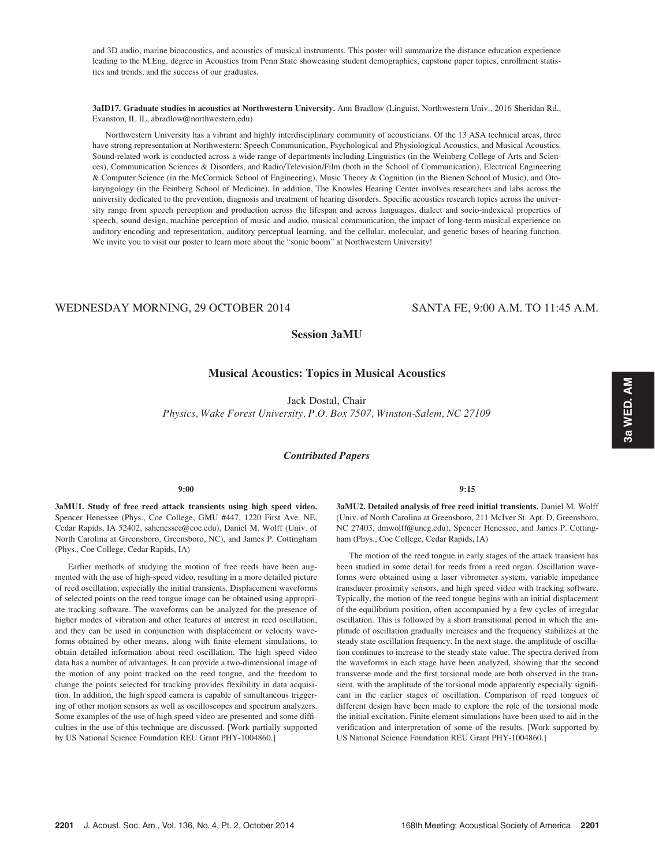and 3D audio, marine bioacoustics, and acoustics of musical instruments. This poster will summarize the distance education experience leading to the M.Eng. degree in Acoustics from Penn State showcasing student demographics, capstone paper topics, enrollment statistics and trends, and the success of our graduates.

3aID17. Graduate studies in acoustics at Northwestern University. Ann Bradlow (Linguist, Northwestern Univ., 2016 Sheridan Rd., Evanston, IL IL, abradlow@northwestern.edu)

Northwestern University has a vibrant and highly interdisciplinary community of acousticians. Of the 13 ASA technical areas, three have strong representation at Northwestern: Speech Communication, Psychological and Physiological Acoustics, and Musical Acoustics. Sound-related work is conducted across a wide range of departments including Linguistics (in the Weinberg College of Arts and Sciences), Communication Sciences & Disorders, and Radio/Television/Film (both in the School of Communication), Electrical Engineering & Computer Science (in the McCormick School of Engineering), Music Theory & Cognition (in the Bienen School of Music), and Otolaryngology (in the Feinberg School of Medicine). In addition, The Knowles Hearing Center involves researchers and labs across the university dedicated to the prevention, diagnosis and treatment of hearing disorders. Specific acoustics research topics across the university range from speech perception and production across the lifespan and across languages, dialect and socio-indexical properties of speech, sound design, machine perception of music and audio, musical communication, the impact of long-term musical experience on auditory encoding and representation, auditory perceptual learning, and the cellular, molecular, and genetic bases of hearing function. We invite you to visit our poster to learn more about the "sonic boom" at Northwestern University!

# WEDNESDAY MORNING, 29 OCTOBER 2014 SANTA FE, 9:00 A.M. TO 11:45 A.M.

# Session 3aMU

# Musical Acoustics: Topics in Musical Acoustics

Jack Dostal, Chair Physics, Wake Forest University, P.O. Box 7507, Winston-Salem, NC 27109

# Contributed Papers

# 9:00

3aMU1. Study of free reed attack transients using high speed video. Spencer Henessee (Phys., Coe College, GMU #447, 1220 First Ave. NE, Cedar Rapids, IA 52402, sahenessee@coe.edu), Daniel M. Wolff (Univ. of North Carolina at Greensboro, Greensboro, NC), and James P. Cottingham (Phys., Coe College, Cedar Rapids, IA)

Earlier methods of studying the motion of free reeds have been augmented with the use of high-speed video, resulting in a more detailed picture of reed oscillation, especially the initial transients. Displacement waveforms of selected points on the reed tongue image can be obtained using appropriate tracking software. The waveforms can be analyzed for the presence of higher modes of vibration and other features of interest in reed oscillation, and they can be used in conjunction with displacement or velocity waveforms obtained by other means, along with finite element simulations, to obtain detailed information about reed oscillation. The high speed video data has a number of advantages. It can provide a two-dimensional image of the motion of any point tracked on the reed tongue, and the freedom to change the points selected for tracking provides flexibility in data acquisition. In addition, the high speed camera is capable of simultaneous triggering of other motion sensors as well as oscilloscopes and spectrum analyzers. Some examples of the use of high speed video are presented and some difficulties in the use of this technique are discussed. [Work partially supported by US National Science Foundation REU Grant PHY-1004860.]

## 9:15

3aMU2. Detailed analysis of free reed initial transients. Daniel M. Wolff (Univ. of North Carolina at Greensboro, 211 McIver St. Apt. D, Greensboro, NC 27403, dmwolff@uncg.edu), Spencer Henessee, and James P. Cottingham (Phys., Coe College, Cedar Rapids, IA)

The motion of the reed tongue in early stages of the attack transient has been studied in some detail for reeds from a reed organ. Oscillation waveforms were obtained using a laser vibrometer system, variable impedance transducer proximity sensors, and high speed video with tracking software. Typically, the motion of the reed tongue begins with an initial displacement of the equilibrium position, often accompanied by a few cycles of irregular oscillation. This is followed by a short transitional period in which the amplitude of oscillation gradually increases and the frequency stabilizes at the steady state oscillation frequency. In the next stage, the amplitude of oscillation continues to increase to the steady state value. The spectra derived from the waveforms in each stage have been analyzed, showing that the second transverse mode and the first torsional mode are both observed in the transient, with the amplitude of the torsional mode apparently especially significant in the earlier stages of oscillation. Comparison of reed tongues of different design have been made to explore the role of the torsional mode the initial excitation. Finite element simulations have been used to aid in the verification and interpretation of some of the results. [Work supported by US National Science Foundation REU Grant PHY-1004860.]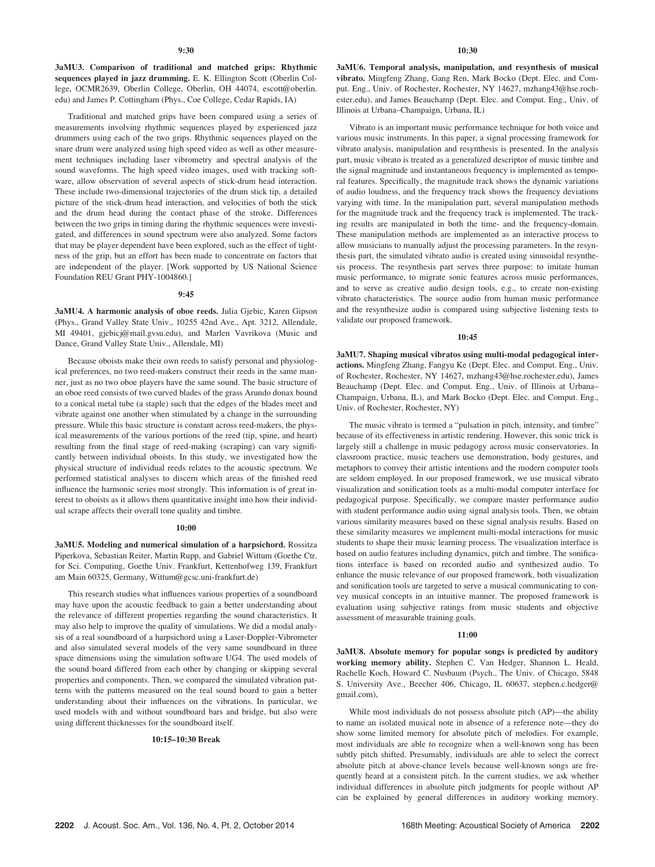3aMU3. Comparison of traditional and matched grips: Rhythmic sequences played in jazz drumming. E. K. Ellington Scott (Oberlin College, OCMR2639, Oberlin College, Oberlin, OH 44074, escott@oberlin. edu) and James P. Cottingham (Phys., Coe College, Cedar Rapids, IA)

Traditional and matched grips have been compared using a series of measurements involving rhythmic sequences played by experienced jazz drummers using each of the two grips. Rhythmic sequences played on the snare drum were analyzed using high speed video as well as other measurement techniques including laser vibrometry and spectral analysis of the sound waveforms. The high speed video images, used with tracking software, allow observation of several aspects of stick-drum head interaction. These include two-dimensional trajectories of the drum stick tip, a detailed picture of the stick-drum head interaction, and velocities of both the stick and the drum head during the contact phase of the stroke. Differences between the two grips in timing during the rhythmic sequences were investigated, and differences in sound spectrum were also analyzed. Some factors that may be player dependent have been explored, such as the effect of tightness of the grip, but an effort has been made to concentrate on factors that are independent of the player. [Work supported by US National Science Foundation REU Grant PHY-1004860.]

## 9:45

3aMU4. A harmonic analysis of oboe reeds. Julia Gjebic, Karen Gipson (Phys., Grand Valley State Univ., 10255 42nd Ave., Apt. 3212, Allendale, MI 49401, gjebicj@mail.gvsu.edu), and Marlen Vavrikova (Music and Dance, Grand Valley State Univ., Allendale, MI)

Because oboists make their own reeds to satisfy personal and physiological preferences, no two reed-makers construct their reeds in the same manner, just as no two oboe players have the same sound. The basic structure of an oboe reed consists of two curved blades of the grass Arundo donax bound to a conical metal tube (a staple) such that the edges of the blades meet and vibrate against one another when stimulated by a change in the surrounding pressure. While this basic structure is constant across reed-makers, the physical measurements of the various portions of the reed (tip, spine, and heart) resulting from the final stage of reed-making (scraping) can vary significantly between individual oboists. In this study, we investigated how the physical structure of individual reeds relates to the acoustic spectrum. We performed statistical analyses to discern which areas of the finished reed influence the harmonic series most strongly. This information is of great interest to oboists as it allows them quantitative insight into how their individual scrape affects their overall tone quality and timbre.

### 10:00

3aMU5. Modeling and numerical simulation of a harpsichord. Rossitza Piperkova, Sebastian Reiter, Martin Rupp, and Gabriel Wittum (Goethe Ctr. for Sci. Computing, Goethe Univ. Frankfurt, Kettenhofweg 139, Frankfurt am Main 60325, Germany, Wittum@gcsc.uni-frankfurt.de)

This research studies what influences various properties of a soundboard may have upon the acoustic feedback to gain a better understanding about the relevance of different properties regarding the sound characteristics. It may also help to improve the quality of simulations. We did a modal analysis of a real soundboard of a harpsichord using a Laser-Doppler-Vibrometer and also simulated several models of the very same soundboard in three space dimensions using the simulation software UG4. The used models of the sound board differed from each other by changing or skipping several properties and components. Then, we compared the simulated vibration patterns with the patterns measured on the real sound board to gain a better understanding about their influences on the vibrations. In particular, we used models with and without soundboard bars and bridge, but also were using different thicknesses for the soundboard itself.

## 10:15–10:30 Break

10:30

3aMU6. Temporal analysis, manipulation, and resynthesis of musical vibrato. Mingfeng Zhang, Gang Ren, Mark Bocko (Dept. Elec. and Comput. Eng., Univ. of Rochester, Rochester, NY 14627, mzhang43@hse.rochester.edu), and James Beauchamp (Dept. Elec. and Comput. Eng., Univ. of Illinois at Urbana–Champaign, Urbana, IL)

Vibrato is an important music performance technique for both voice and various music instruments. In this paper, a signal processing framework for vibrato analysis, manipulation and resynthesis is presented. In the analysis part, music vibrato is treated as a generalized descriptor of music timbre and the signal magnitude and instantaneous frequency is implemented as temporal features. Specifically, the magnitude track shows the dynamic variations of audio loudness, and the frequency track shows the frequency deviations varying with time. In the manipulation part, several manipulation methods for the magnitude track and the frequency track is implemented. The tracking results are manipulated in both the time- and the frequency-domain. These manipulation methods are implemented as an interactive process to allow musicians to manually adjust the processing parameters. In the resynthesis part, the simulated vibrato audio is created using sinusoidal resynthesis process. The resynthesis part serves three purpose: to imitate human music performance, to migrate sonic features across music performances, and to serve as creative audio design tools, e.g., to create non-existing vibrato characteristics. The source audio from human music performance and the resynthesize audio is compared using subjective listening tests to validate our proposed framework.

## 10:45

3aMU7. Shaping musical vibratos using multi-modal pedagogical interactions. Mingfeng Zhang, Fangyu Ke (Dept. Elec. and Comput. Eng., Univ. of Rochester, Rochester, NY 14627, mzhang43@hse.rochester.edu), James Beauchamp (Dept. Elec. and Comput. Eng., Univ. of Illinois at Urbana– Champaign, Urbana, IL), and Mark Bocko (Dept. Elec. and Comput. Eng., Univ. of Rochester, Rochester, NY)

The music vibrato is termed a "pulsation in pitch, intensity, and timbre" because of its effectiveness in artistic rendering. However, this sonic trick is largely still a challenge in music pedagogy across music conservatories. In classroom practice, music teachers use demonstration, body gestures, and metaphors to convey their artistic intentions and the modern computer tools are seldom employed. In our proposed framework, we use musical vibrato visualization and sonification tools as a multi-modal computer interface for pedagogical purpose. Specifically, we compare master performance audio with student performance audio using signal analysis tools. Then, we obtain various similarity measures based on these signal analysis results. Based on these similarity measures we implement multi-modal interactions for music students to shape their music learning process. The visualization interface is based on audio features including dynamics, pitch and timbre. The sonifications interface is based on recorded audio and synthesized audio. To enhance the music relevance of our proposed framework, both visualization and sonification tools are targeted to serve a musical communicating to convey musical concepts in an intuitive manner. The proposed framework is evaluation using subjective ratings from music students and objective assessment of measurable training goals.

### $11:00$

3aMU8. Absolute memory for popular songs is predicted by auditory working memory ability. Stephen C. Van Hedger, Shannon L. Heald, Rachelle Koch, Howard C. Nusbaum (Psych., The Univ. of Chicago, 5848 S. University Ave., Beecher 406, Chicago, IL 60637, stephen.c.hedger@ gmail.com),

While most individuals do not possess absolute pitch (AP)—the ability to name an isolated musical note in absence of a reference note—they do show some limited memory for absolute pitch of melodies. For example, most individuals are able to recognize when a well-known song has been subtly pitch shifted. Presumably, individuals are able to select the correct absolute pitch at above-chance levels because well-known songs are frequently heard at a consistent pitch. In the current studies, we ask whether individual differences in absolute pitch judgments for people without AP can be explained by general differences in auditory working memory.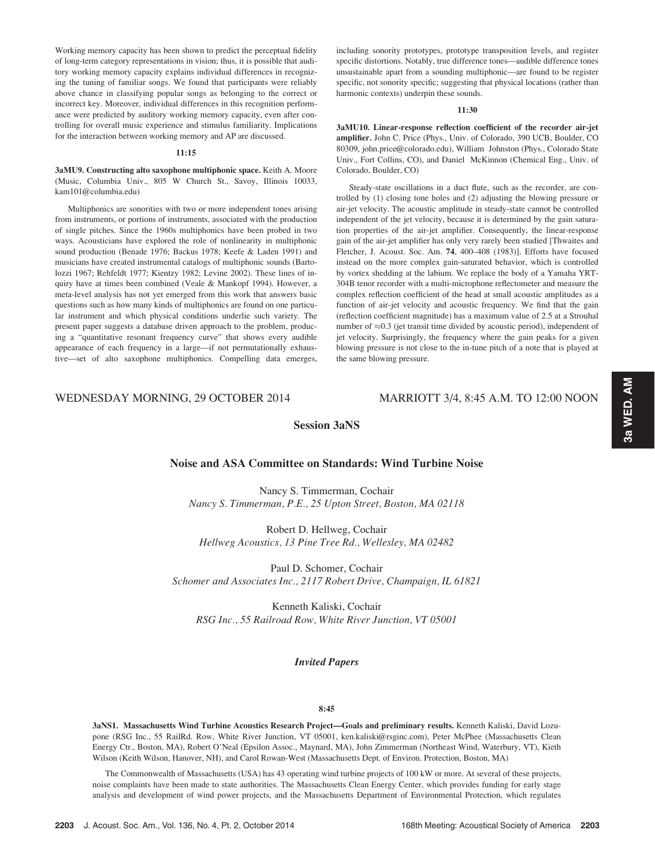Working memory capacity has been shown to predict the perceptual fidelity of long-term category representations in vision; thus, it is possible that auditory working memory capacity explains individual differences in recognizing the tuning of familiar songs. We found that participants were reliably above chance in classifying popular songs as belonging to the correct or incorrect key. Moreover, individual differences in this recognition performance were predicted by auditory working memory capacity, even after controlling for overall music experience and stimulus familiarity. Implications for the interaction between working memory and AP are discussed.

### 11:15

# 3aMU9. Constructing alto saxophone multiphonic space. Keith A. Moore (Music, Columbia Univ., 805 W Church St., Savoy, Illinois 10033, kam101@columbia.edu)

Multiphonics are sonorities with two or more independent tones arising from instruments, or portions of instruments, associated with the production of single pitches. Since the 1960s multiphonics have been probed in two ways. Acousticians have explored the role of nonlinearity in multiphonic sound production (Benade 1976; Backus 1978; Keefe & Laden 1991) and musicians have created instrumental catalogs of multiphonic sounds (Bartolozzi 1967; Rehfeldt 1977; Kientzy 1982; Levine 2002). These lines of inquiry have at times been combined (Veale & Mankopf 1994). However, a meta-level analysis has not yet emerged from this work that answers basic questions such as how many kinds of multiphonics are found on one particular instrument and which physical conditions underlie such variety. The present paper suggests a database driven approach to the problem, producing a "quantitative resonant frequency curve" that shows every audible appearance of each frequency in a large—if not permutationally exhaustive—set of alto saxophone multiphonics. Compelling data emerges, including sonority prototypes, prototype transposition levels, and register specific distortions. Notably, true difference tones—audible difference tones unsustainable apart from a sounding multiphonic—are found to be register specific, not sonority specific; suggesting that physical locations (rather than harmonic contexts) underpin these sounds.

# 11:30

3aMU10. Linear-response reflection coefficient of the recorder air-jet amplifier. John C. Price (Phys., Univ. of Colorado, 390 UCB, Boulder, CO 80309, john.price@colorado.edu), William Johnston (Phys., Colorado State Univ., Fort Collins, CO), and Daniel McKinnon (Chemical Eng., Univ. of Colorado, Boulder, CO)

Steady-state oscillations in a duct flute, such as the recorder, are controlled by (1) closing tone holes and (2) adjusting the blowing pressure or air-jet velocity. The acoustic amplitude in steady-state cannot be controlled independent of the jet velocity, because it is determined by the gain saturation properties of the air-jet amplifier. Consequently, the linear-response gain of the air-jet amplifier has only very rarely been studied [Thwaites and Fletcher, J. Acoust. Soc. Am. 74, 400–408 (1983)]. Efforts have focused instead on the more complex gain-saturated behavior, which is controlled by vortex shedding at the labium. We replace the body of a Yamaha YRT-304B tenor recorder with a multi-microphone reflectometer and measure the complex reflection coefficient of the head at small acoustic amplitudes as a function of air-jet velocity and acoustic frequency. We find that the gain (reflection coefficient magnitude) has a maximum value of 2.5 at a Strouhal number of  $\approx 0.3$  (jet transit time divided by acoustic period), independent of jet velocity. Surprisingly, the frequency where the gain peaks for a given blowing pressure is not close to the in-tune pitch of a note that is played at the same blowing pressure.

# WEDNESDAY MORNING, 29 OCTOBER 2014 MARRIOTT 3/4, 8:45 A.M. TO 12:00 NOON

# Session 3aNS

# Noise and ASA Committee on Standards: Wind Turbine Noise

Nancy S. Timmerman, Cochair Nancy S. Timmerman, P.E., 25 Upton Street, Boston, MA 02118

Robert D. Hellweg, Cochair Hellweg Acoustics, 13 Pine Tree Rd., Wellesley, MA 02482

Paul D. Schomer, Cochair Schomer and Associates Inc., 2117 Robert Drive, Champaign, IL 61821

Kenneth Kaliski, Cochair RSG Inc., 55 Railroad Row, White River Junction, VT 05001

# Invited Papers

### 8:45

3aNS1. Massachusetts Wind Turbine Acoustics Research Project—Goals and preliminary results. Kenneth Kaliski, David Lozupone (RSG Inc., 55 RailRd. Row, White River Junction, VT 05001, ken.kaliski@rsginc.com), Peter McPhee (Massachusetts Clean Energy Ctr., Boston, MA), Robert O'Neal (Epsilon Assoc., Maynard, MA), John Zimmerman (Northeast Wind, Waterbury, VT), Kieth Wilson (Keith Wilson, Hanover, NH), and Carol Rowan-West (Massachusetts Dept. of Environ. Protection, Boston, MA)

The Commonwealth of Massachusetts (USA) has 43 operating wind turbine projects of 100 kW or more. At several of these projects, noise complaints have been made to state authorities. The Massachusetts Clean Energy Center, which provides funding for early stage analysis and development of wind power projects, and the Massachusetts Department of Environmental Protection, which regulates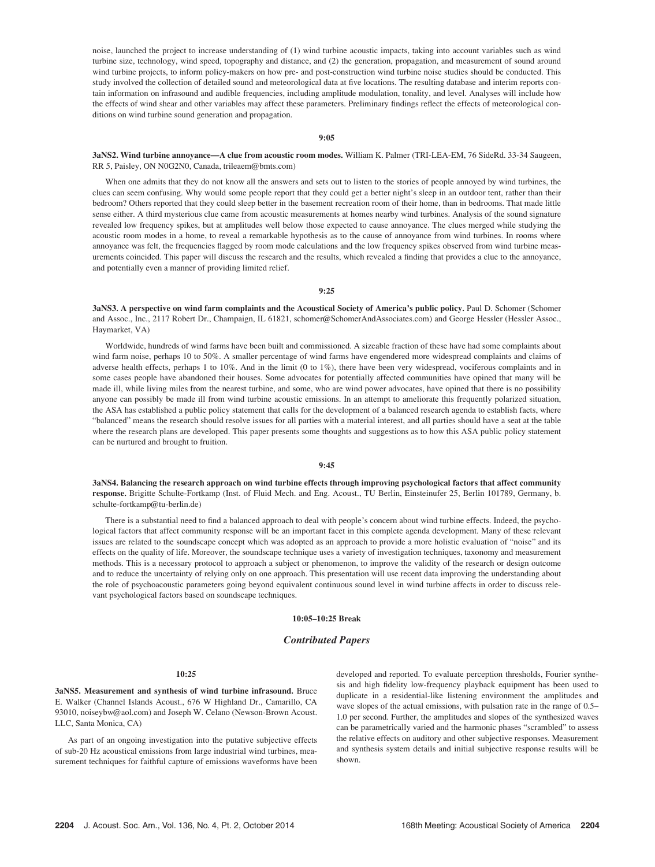noise, launched the project to increase understanding of (1) wind turbine acoustic impacts, taking into account variables such as wind turbine size, technology, wind speed, topography and distance, and (2) the generation, propagation, and measurement of sound around wind turbine projects, to inform policy-makers on how pre- and post-construction wind turbine noise studies should be conducted. This study involved the collection of detailed sound and meteorological data at five locations. The resulting database and interim reports contain information on infrasound and audible frequencies, including amplitude modulation, tonality, and level. Analyses will include how the effects of wind shear and other variables may affect these parameters. Preliminary findings reflect the effects of meteorological conditions on wind turbine sound generation and propagation.

9:05

## 3aNS2. Wind turbine annoyance—A clue from acoustic room modes. William K. Palmer (TRI-LEA-EM, 76 SideRd. 33-34 Saugeen, RR 5, Paisley, ON N0G2N0, Canada, trileaem@bmts.com)

When one admits that they do not know all the answers and sets out to listen to the stories of people annoyed by wind turbines, the clues can seem confusing. Why would some people report that they could get a better night's sleep in an outdoor tent, rather than their bedroom? Others reported that they could sleep better in the basement recreation room of their home, than in bedrooms. That made little sense either. A third mysterious clue came from acoustic measurements at homes nearby wind turbines. Analysis of the sound signature revealed low frequency spikes, but at amplitudes well below those expected to cause annoyance. The clues merged while studying the acoustic room modes in a home, to reveal a remarkable hypothesis as to the cause of annoyance from wind turbines. In rooms where annoyance was felt, the frequencies flagged by room mode calculations and the low frequency spikes observed from wind turbine measurements coincided. This paper will discuss the research and the results, which revealed a finding that provides a clue to the annoyance, and potentially even a manner of providing limited relief.

### 9:25

3aNS3. A perspective on wind farm complaints and the Acoustical Society of America's public policy. Paul D. Schomer (Schomer and Assoc., Inc., 2117 Robert Dr., Champaign, IL 61821, schomer@SchomerAndAssociates.com) and George Hessler (Hessler Assoc., Haymarket, VA)

Worldwide, hundreds of wind farms have been built and commissioned. A sizeable fraction of these have had some complaints about wind farm noise, perhaps 10 to 50%. A smaller percentage of wind farms have engendered more widespread complaints and claims of adverse health effects, perhaps 1 to 10%. And in the limit (0 to 1%), there have been very widespread, vociferous complaints and in some cases people have abandoned their houses. Some advocates for potentially affected communities have opined that many will be made ill, while living miles from the nearest turbine, and some, who are wind power advocates, have opined that there is no possibility anyone can possibly be made ill from wind turbine acoustic emissions. In an attempt to ameliorate this frequently polarized situation, the ASA has established a public policy statement that calls for the development of a balanced research agenda to establish facts, where "balanced" means the research should resolve issues for all parties with a material interest, and all parties should have a seat at the table where the research plans are developed. This paper presents some thoughts and suggestions as to how this ASA public policy statement can be nurtured and brought to fruition.

## 9:45

3aNS4. Balancing the research approach on wind turbine effects through improving psychological factors that affect community response. Brigitte Schulte-Fortkamp (Inst. of Fluid Mech. and Eng. Acoust., TU Berlin, Einsteinufer 25, Berlin 101789, Germany, b. schulte-fortkamp@tu-berlin.de)

There is a substantial need to find a balanced approach to deal with people's concern about wind turbine effects. Indeed, the psychological factors that affect community response will be an important facet in this complete agenda development. Many of these relevant issues are related to the soundscape concept which was adopted as an approach to provide a more holistic evaluation of "noise" and its effects on the quality of life. Moreover, the soundscape technique uses a variety of investigation techniques, taxonomy and measurement methods. This is a necessary protocol to approach a subject or phenomenon, to improve the validity of the research or design outcome and to reduce the uncertainty of relying only on one approach. This presentation will use recent data improving the understanding about the role of psychoacoustic parameters going beyond equivalent continuous sound level in wind turbine affects in order to discuss relevant psychological factors based on soundscape techniques.

# 10:05–10:25 Break

# Contributed Papers

## 10:25

3aNS5. Measurement and synthesis of wind turbine infrasound. Bruce E. Walker (Channel Islands Acoust., 676 W Highland Dr., Camarillo, CA 93010, noiseybw@aol.com) and Joseph W. Celano (Newson-Brown Acoust. LLC, Santa Monica, CA)

As part of an ongoing investigation into the putative subjective effects of sub-20 Hz acoustical emissions from large industrial wind turbines, measurement techniques for faithful capture of emissions waveforms have been developed and reported. To evaluate perception thresholds, Fourier synthesis and high fidelity low-frequency playback equipment has been used to duplicate in a residential-like listening environment the amplitudes and wave slopes of the actual emissions, with pulsation rate in the range of 0.5– 1.0 per second. Further, the amplitudes and slopes of the synthesized waves can be parametrically varied and the harmonic phases "scrambled" to assess the relative effects on auditory and other subjective responses. Measurement and synthesis system details and initial subjective response results will be shown.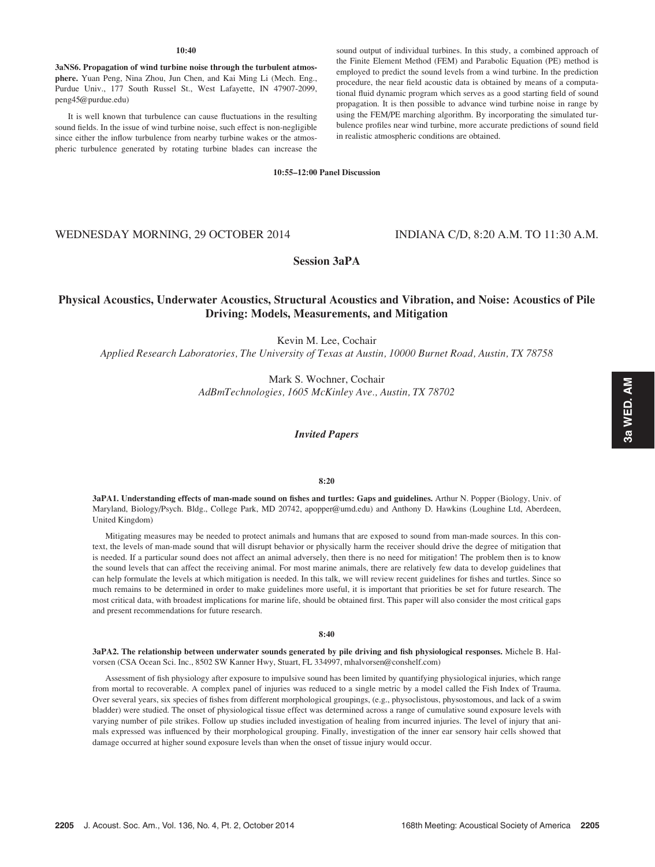### $10 - 40$

3aNS6. Propagation of wind turbine noise through the turbulent atmosphere. Yuan Peng, Nina Zhou, Jun Chen, and Kai Ming Li (Mech. Eng., Purdue Univ., 177 South Russel St., West Lafayette, IN 47907-2099, peng45@purdue.edu)

It is well known that turbulence can cause fluctuations in the resulting sound fields. In the issue of wind turbine noise, such effect is non-negligible since either the inflow turbulence from nearby turbine wakes or the atmospheric turbulence generated by rotating turbine blades can increase the sound output of individual turbines. In this study, a combined approach of the Finite Element Method (FEM) and Parabolic Equation (PE) method is employed to predict the sound levels from a wind turbine. In the prediction procedure, the near field acoustic data is obtained by means of a computational fluid dynamic program which serves as a good starting field of sound propagation. It is then possible to advance wind turbine noise in range by using the FEM/PE marching algorithm. By incorporating the simulated turbulence profiles near wind turbine, more accurate predictions of sound field in realistic atmospheric conditions are obtained.

10:55–12:00 Panel Discussion

# WEDNESDAY MORNING, 29 OCTOBER 2014 INDIANA C/D, 8:20 A.M. TO 11:30 A.M.

# Session 3aPA

# Physical Acoustics, Underwater Acoustics, Structural Acoustics and Vibration, and Noise: Acoustics of Pile Driving: Models, Measurements, and Mitigation

Kevin M. Lee, Cochair

Applied Research Laboratories, The University of Texas at Austin, 10000 Burnet Road, Austin, TX 78758

Mark S. Wochner, Cochair AdBmTechnologies, 1605 McKinley Ave., Austin, TX 78702

Invited Papers

# 8:20

3aPA1. Understanding effects of man-made sound on fishes and turtles: Gaps and guidelines. Arthur N. Popper (Biology, Univ. of Maryland, Biology/Psych. Bldg., College Park, MD 20742, apopper@umd.edu) and Anthony D. Hawkins (Loughine Ltd, Aberdeen, United Kingdom)

Mitigating measures may be needed to protect animals and humans that are exposed to sound from man-made sources. In this context, the levels of man-made sound that will disrupt behavior or physically harm the receiver should drive the degree of mitigation that is needed. If a particular sound does not affect an animal adversely, then there is no need for mitigation! The problem then is to know the sound levels that can affect the receiving animal. For most marine animals, there are relatively few data to develop guidelines that can help formulate the levels at which mitigation is needed. In this talk, we will review recent guidelines for fishes and turtles. Since so much remains to be determined in order to make guidelines more useful, it is important that priorities be set for future research. The most critical data, with broadest implications for marine life, should be obtained first. This paper will also consider the most critical gaps and present recommendations for future research.

# 8:40

3aPA2. The relationship between underwater sounds generated by pile driving and fish physiological responses. Michele B. Halvorsen (CSA Ocean Sci. Inc., 8502 SW Kanner Hwy, Stuart, FL 334997, mhalvorsen@conshelf.com)

Assessment of fish physiology after exposure to impulsive sound has been limited by quantifying physiological injuries, which range from mortal to recoverable. A complex panel of injuries was reduced to a single metric by a model called the Fish Index of Trauma. Over several years, six species of fishes from different morphological groupings, (e.g., physoclistous, physostomous, and lack of a swim bladder) were studied. The onset of physiological tissue effect was determined across a range of cumulative sound exposure levels with varying number of pile strikes. Follow up studies included investigation of healing from incurred injuries. The level of injury that animals expressed was influenced by their morphological grouping. Finally, investigation of the inner ear sensory hair cells showed that damage occurred at higher sound exposure levels than when the onset of tissue injury would occur.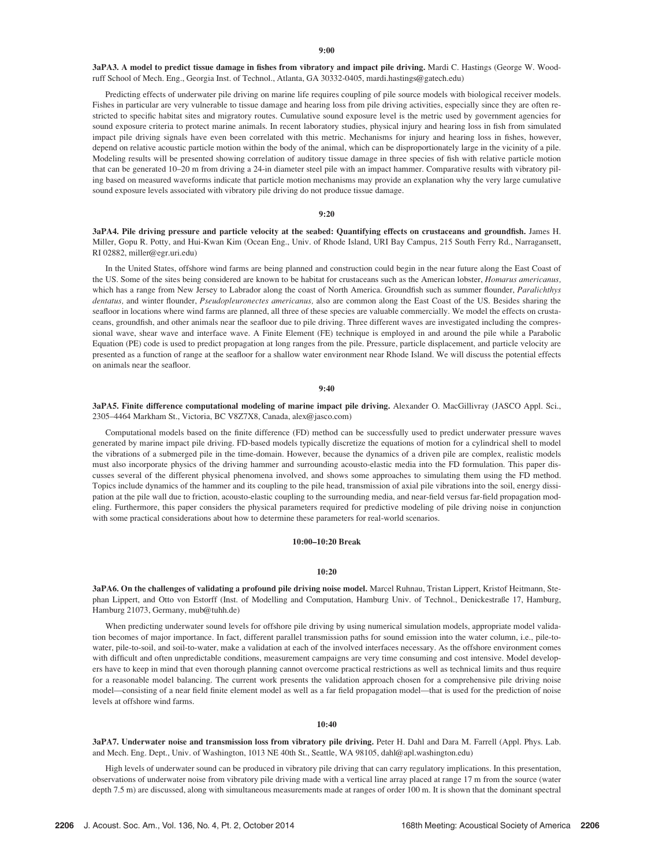3aPA3. A model to predict tissue damage in fishes from vibratory and impact pile driving. Mardi C. Hastings (George W. Woodruff School of Mech. Eng., Georgia Inst. of Technol., Atlanta, GA 30332-0405, mardi.hastings@gatech.edu)

Predicting effects of underwater pile driving on marine life requires coupling of pile source models with biological receiver models. Fishes in particular are very vulnerable to tissue damage and hearing loss from pile driving activities, especially since they are often restricted to specific habitat sites and migratory routes. Cumulative sound exposure level is the metric used by government agencies for sound exposure criteria to protect marine animals. In recent laboratory studies, physical injury and hearing loss in fish from simulated impact pile driving signals have even been correlated with this metric. Mechanisms for injury and hearing loss in fishes, however, depend on relative acoustic particle motion within the body of the animal, which can be disproportionately large in the vicinity of a pile. Modeling results will be presented showing correlation of auditory tissue damage in three species of fish with relative particle motion that can be generated 10–20 m from driving a 24-in diameter steel pile with an impact hammer. Comparative results with vibratory piling based on measured waveforms indicate that particle motion mechanisms may provide an explanation why the very large cumulative sound exposure levels associated with vibratory pile driving do not produce tissue damage.

# 9:20

3aPA4. Pile driving pressure and particle velocity at the seabed: Quantifying effects on crustaceans and groundfish. James H. Miller, Gopu R. Potty, and Hui-Kwan Kim (Ocean Eng., Univ. of Rhode Island, URI Bay Campus, 215 South Ferry Rd., Narragansett, RI 02882, miller@egr.uri.edu)

In the United States, offshore wind farms are being planned and construction could begin in the near future along the East Coast of the US. Some of the sites being considered are known to be habitat for crustaceans such as the American lobster, *Homarus americanus*, which has a range from New Jersey to Labrador along the coast of North America. Groundfish such as summer flounder, Paralichthys dentatus, and winter flounder, Pseudopleuronectes americanus, also are common along the East Coast of the US. Besides sharing the seafloor in locations where wind farms are planned, all three of these species are valuable commercially. We model the effects on crustaceans, groundfish, and other animals near the seafloor due to pile driving. Three different waves are investigated including the compressional wave, shear wave and interface wave. A Finite Element (FE) technique is employed in and around the pile while a Parabolic Equation (PE) code is used to predict propagation at long ranges from the pile. Pressure, particle displacement, and particle velocity are presented as a function of range at the seafloor for a shallow water environment near Rhode Island. We will discuss the potential effects on animals near the seafloor.

### 9:40

3aPA5. Finite difference computational modeling of marine impact pile driving. Alexander O. MacGillivray (JASCO Appl. Sci., 2305–4464 Markham St., Victoria, BC V8Z7X8, Canada, alex@jasco.com)

Computational models based on the finite difference (FD) method can be successfully used to predict underwater pressure waves generated by marine impact pile driving. FD-based models typically discretize the equations of motion for a cylindrical shell to model the vibrations of a submerged pile in the time-domain. However, because the dynamics of a driven pile are complex, realistic models must also incorporate physics of the driving hammer and surrounding acousto-elastic media into the FD formulation. This paper discusses several of the different physical phenomena involved, and shows some approaches to simulating them using the FD method. Topics include dynamics of the hammer and its coupling to the pile head, transmission of axial pile vibrations into the soil, energy dissipation at the pile wall due to friction, acousto-elastic coupling to the surrounding media, and near-field versus far-field propagation modeling. Furthermore, this paper considers the physical parameters required for predictive modeling of pile driving noise in conjunction with some practical considerations about how to determine these parameters for real-world scenarios.

# 10:00–10:20 Break

## 10:20

3aPA6. On the challenges of validating a profound pile driving noise model. Marcel Ruhnau, Tristan Lippert, Kristof Heitmann, Stephan Lippert, and Otto von Estorff (Inst. of Modelling and Computation, Hamburg Univ. of Technol., Denickestraße 17, Hamburg, Hamburg 21073, Germany, mub@tuhh.de)

When predicting underwater sound levels for offshore pile driving by using numerical simulation models, appropriate model validation becomes of major importance. In fact, different parallel transmission paths for sound emission into the water column, i.e., pile-towater, pile-to-soil, and soil-to-water, make a validation at each of the involved interfaces necessary. As the offshore environment comes with difficult and often unpredictable conditions, measurement campaigns are very time consuming and cost intensive. Model developers have to keep in mind that even thorough planning cannot overcome practical restrictions as well as technical limits and thus require for a reasonable model balancing. The current work presents the validation approach chosen for a comprehensive pile driving noise model—consisting of a near field finite element model as well as a far field propagation model—that is used for the prediction of noise levels at offshore wind farms.

### 10:40

3aPA7. Underwater noise and transmission loss from vibratory pile driving. Peter H. Dahl and Dara M. Farrell (Appl. Phys. Lab. and Mech. Eng. Dept., Univ. of Washington, 1013 NE 40th St., Seattle, WA 98105, dahl@apl.washington.edu)

High levels of underwater sound can be produced in vibratory pile driving that can carry regulatory implications. In this presentation, observations of underwater noise from vibratory pile driving made with a vertical line array placed at range 17 m from the source (water depth 7.5 m) are discussed, along with simultaneous measurements made at ranges of order 100 m. It is shown that the dominant spectral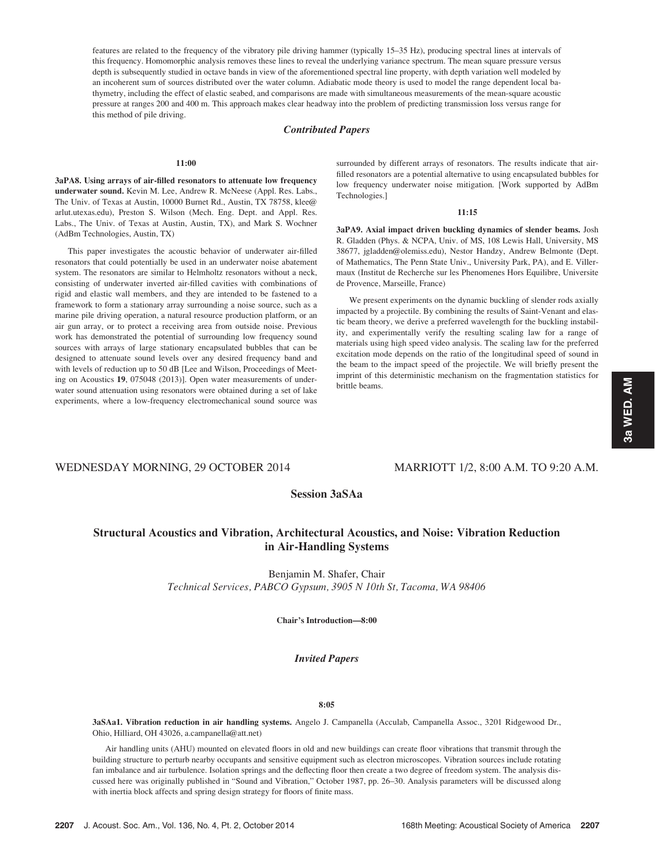features are related to the frequency of the vibratory pile driving hammer (typically 15–35 Hz), producing spectral lines at intervals of this frequency. Homomorphic analysis removes these lines to reveal the underlying variance spectrum. The mean square pressure versus depth is subsequently studied in octave bands in view of the aforementioned spectral line property, with depth variation well modeled by an incoherent sum of sources distributed over the water column. Adiabatic mode theory is used to model the range dependent local bathymetry, including the effect of elastic seabed, and comparisons are made with simultaneous measurements of the mean-square acoustic pressure at ranges 200 and 400 m. This approach makes clear headway into the problem of predicting transmission loss versus range for this method of pile driving.

# Contributed Papers

## 11:00

3aPA8. Using arrays of air-filled resonators to attenuate low frequency underwater sound. Kevin M. Lee, Andrew R. McNeese (Appl. Res. Labs., The Univ. of Texas at Austin, 10000 Burnet Rd., Austin, TX 78758, klee@ arlut.utexas.edu), Preston S. Wilson (Mech. Eng. Dept. and Appl. Res. Labs., The Univ. of Texas at Austin, Austin, TX), and Mark S. Wochner (AdBm Technologies, Austin, TX)

This paper investigates the acoustic behavior of underwater air-filled resonators that could potentially be used in an underwater noise abatement system. The resonators are similar to Helmholtz resonators without a neck, consisting of underwater inverted air-filled cavities with combinations of rigid and elastic wall members, and they are intended to be fastened to a framework to form a stationary array surrounding a noise source, such as a marine pile driving operation, a natural resource production platform, or an air gun array, or to protect a receiving area from outside noise. Previous work has demonstrated the potential of surrounding low frequency sound sources with arrays of large stationary encapsulated bubbles that can be designed to attenuate sound levels over any desired frequency band and with levels of reduction up to 50 dB [Lee and Wilson, Proceedings of Meeting on Acoustics 19, 075048 (2013)]. Open water measurements of underwater sound attenuation using resonators were obtained during a set of lake experiments, where a low-frequency electromechanical sound source was

surrounded by different arrays of resonators. The results indicate that airfilled resonators are a potential alternative to using encapsulated bubbles for low frequency underwater noise mitigation. [Work supported by AdBm Technologies.]

## 11:15

3aPA9. Axial impact driven buckling dynamics of slender beams. Josh R. Gladden (Phys. & NCPA, Univ. of MS, 108 Lewis Hall, University, MS 38677, jgladden@olemiss.edu), Nestor Handzy, Andrew Belmonte (Dept. of Mathematics, The Penn State Univ., University Park, PA), and E. Villermaux (Institut de Recherche sur les Phenomenes Hors Equilibre, Universite de Provence, Marseille, France)

We present experiments on the dynamic buckling of slender rods axially impacted by a projectile. By combining the results of Saint-Venant and elastic beam theory, we derive a preferred wavelength for the buckling instability, and experimentally verify the resulting scaling law for a range of materials using high speed video analysis. The scaling law for the preferred excitation mode depends on the ratio of the longitudinal speed of sound in the beam to the impact speed of the projectile. We will briefly present the imprint of this deterministic mechanism on the fragmentation statistics for brittle beams.

# WEDNESDAY MORNING, 29 OCTOBER 2014 MARRIOTT 1/2, 8:00 A.M. TO 9:20 A.M.

# Session 3aSAa

# Structural Acoustics and Vibration, Architectural Acoustics, and Noise: Vibration Reduction in Air-Handling Systems

Benjamin M. Shafer, Chair Technical Services, PABCO Gypsum, 3905 N 10th St, Tacoma, WA 98406

Chair's Introduction—8:00

# Invited Papers

# 8:05

3aSAa1. Vibration reduction in air handling systems. Angelo J. Campanella (Acculab, Campanella Assoc., 3201 Ridgewood Dr., Ohio, Hilliard, OH 43026, a.campanella@att.net)

Air handling units (AHU) mounted on elevated floors in old and new buildings can create floor vibrations that transmit through the building structure to perturb nearby occupants and sensitive equipment such as electron microscopes. Vibration sources include rotating fan imbalance and air turbulence. Isolation springs and the deflecting floor then create a two degree of freedom system. The analysis discussed here was originally published in "Sound and Vibration," October 1987, pp. 26–30. Analysis parameters will be discussed along with inertia block affects and spring design strategy for floors of finite mass.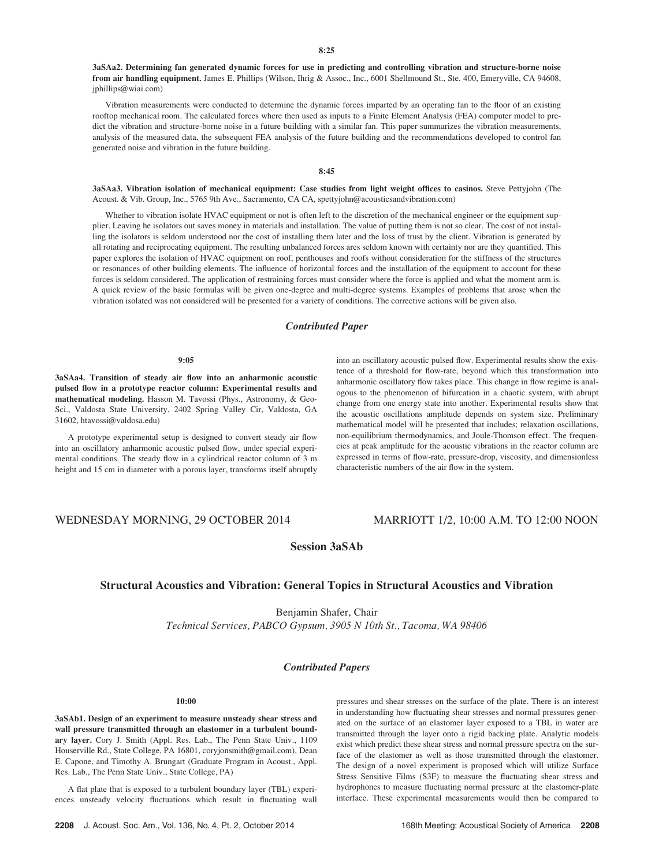3aSAa2. Determining fan generated dynamic forces for use in predicting and controlling vibration and structure-borne noise from air handling equipment. James E. Phillips (Wilson, Ihrig & Assoc., Inc., 6001 Shellmound St., Ste. 400, Emeryville, CA 94608, jphillips@wiai.com)

Vibration measurements were conducted to determine the dynamic forces imparted by an operating fan to the floor of an existing rooftop mechanical room. The calculated forces where then used as inputs to a Finite Element Analysis (FEA) computer model to predict the vibration and structure-borne noise in a future building with a similar fan. This paper summarizes the vibration measurements, analysis of the measured data, the subsequent FEA analysis of the future building and the recommendations developed to control fan generated noise and vibration in the future building.

# 8:45

3aSAa3. Vibration isolation of mechanical equipment: Case studies from light weight offices to casinos. Steve Pettyjohn (The Acoust. & Vib. Group, Inc., 5765 9th Ave., Sacramento, CA CA, spettyjohn@acousticsandvibration.com)

Whether to vibration isolate HVAC equipment or not is often left to the discretion of the mechanical engineer or the equipment supplier. Leaving he isolators out saves money in materials and installation. The value of putting them is not so clear. The cost of not installing the isolators is seldom understood nor the cost of installing them later and the loss of trust by the client. Vibration is generated by all rotating and reciprocating equipment. The resulting unbalanced forces ares seldom known with certainty nor are they quantified. This paper explores the isolation of HVAC equipment on roof, penthouses and roofs without consideration for the stiffness of the structures or resonances of other building elements. The influence of horizontal forces and the installation of the equipment to account for these forces is seldom considered. The application of restraining forces must consider where the force is applied and what the moment arm is. A quick review of the basic formulas will be given one-degree and multi-degree systems. Examples of problems that arose when the vibration isolated was not considered will be presented for a variety of conditions. The corrective actions will be given also.

# Contributed Paper

### 9:05

3aSAa4. Transition of steady air flow into an anharmonic acoustic pulsed flow in a prototype reactor column: Experimental results and mathematical modeling. Hasson M. Tavossi (Phys., Astronomy, & Geo-Sci., Valdosta State University, 2402 Spring Valley Cir, Valdosta, GA 31602, htavossi@valdosa.edu)

A prototype experimental setup is designed to convert steady air flow into an oscillatory anharmonic acoustic pulsed flow, under special experimental conditions. The steady flow in a cylindrical reactor column of 3 m height and 15 cm in diameter with a porous layer, transforms itself abruptly into an oscillatory acoustic pulsed flow. Experimental results show the existence of a threshold for flow-rate, beyond which this transformation into anharmonic oscillatory flow takes place. This change in flow regime is analogous to the phenomenon of bifurcation in a chaotic system, with abrupt change from one energy state into another. Experimental results show that the acoustic oscillations amplitude depends on system size. Preliminary mathematical model will be presented that includes; relaxation oscillations, non-equilibrium thermodynamics, and Joule-Thomson effect. The frequencies at peak amplitude for the acoustic vibrations in the reactor column are expressed in terms of flow-rate, pressure-drop, viscosity, and dimensionless characteristic numbers of the air flow in the system.

# WEDNESDAY MORNING, 29 OCTOBER 2014 MARRIOTT 1/2, 10:00 A.M. TO 12:00 NOON

Session 3aSAb

# Structural Acoustics and Vibration: General Topics in Structural Acoustics and Vibration

Benjamin Shafer, Chair Technical Services, PABCO Gypsum, 3905 N 10th St., Tacoma, WA 98406

# Contributed Papers

### 10:00

3aSAb1. Design of an experiment to measure unsteady shear stress and wall pressure transmitted through an elastomer in a turbulent boundary layer. Cory J. Smith (Appl. Res. Lab., The Penn State Univ., 1109 Houserville Rd., State College, PA 16801, coryjonsmith@gmail.com), Dean E. Capone, and Timothy A. Brungart (Graduate Program in Acoust., Appl. Res. Lab., The Penn State Univ., State College, PA)

A flat plate that is exposed to a turbulent boundary layer (TBL) experiences unsteady velocity fluctuations which result in fluctuating wall pressures and shear stresses on the surface of the plate. There is an interest in understanding how fluctuating shear stresses and normal pressures generated on the surface of an elastomer layer exposed to a TBL in water are transmitted through the layer onto a rigid backing plate. Analytic models exist which predict these shear stress and normal pressure spectra on the surface of the elastomer as well as those transmitted through the elastomer. The design of a novel experiment is proposed which will utilize Surface Stress Sensitive Films (S3F) to measure the fluctuating shear stress and hydrophones to measure fluctuating normal pressure at the elastomer-plate interface. These experimental measurements would then be compared to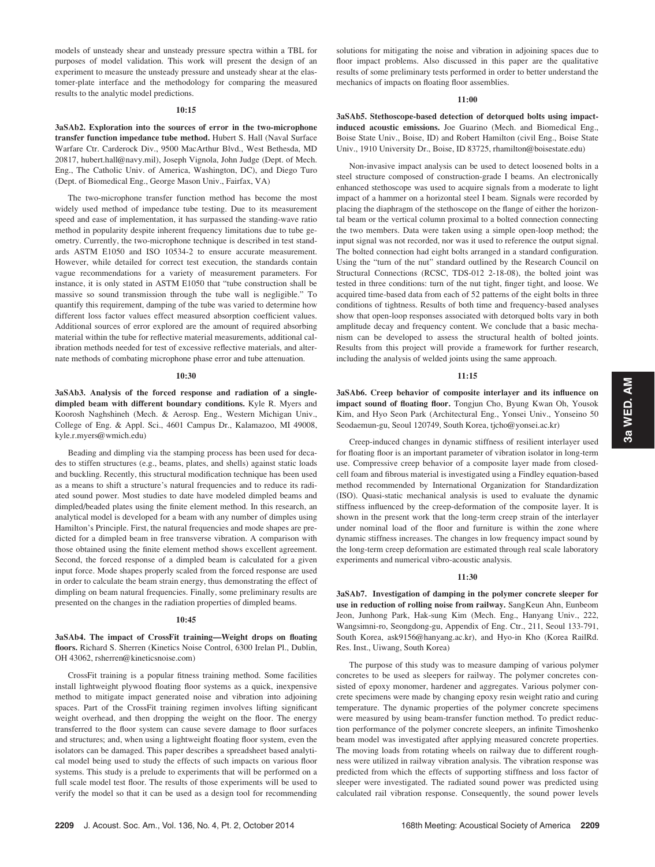models of unsteady shear and unsteady pressure spectra within a TBL for purposes of model validation. This work will present the design of an experiment to measure the unsteady pressure and unsteady shear at the elastomer-plate interface and the methodology for comparing the measured results to the analytic model predictions.

## 10:15

3aSAb2. Exploration into the sources of error in the two-microphone transfer function impedance tube method. Hubert S. Hall (Naval Surface Warfare Ctr. Carderock Div., 9500 MacArthur Blvd., West Bethesda, MD 20817, hubert.hall@navy.mil), Joseph Vignola, John Judge (Dept. of Mech. Eng., The Catholic Univ. of America, Washington, DC), and Diego Turo (Dept. of Biomedical Eng., George Mason Univ., Fairfax, VA)

The two-microphone transfer function method has become the most widely used method of impedance tube testing. Due to its measurement speed and ease of implementation, it has surpassed the standing-wave ratio method in popularity despite inherent frequency limitations due to tube geometry. Currently, the two-microphone technique is described in test standards ASTM E1050 and ISO 10534-2 to ensure accurate measurement. However, while detailed for correct test execution, the standards contain vague recommendations for a variety of measurement parameters. For instance, it is only stated in ASTM E1050 that "tube construction shall be massive so sound transmission through the tube wall is negligible." To quantify this requirement, damping of the tube was varied to determine how different loss factor values effect measured absorption coefficient values. Additional sources of error explored are the amount of required absorbing material within the tube for reflective material measurements, additional calibration methods needed for test of excessive reflective materials, and alternate methods of combating microphone phase error and tube attenuation.

## 10:30

3aSAb3. Analysis of the forced response and radiation of a singledimpled beam with different boundary conditions. Kyle R. Myers and Koorosh Naghshineh (Mech. & Aerosp. Eng., Western Michigan Univ., College of Eng. & Appl. Sci., 4601 Campus Dr., Kalamazoo, MI 49008, kyle.r.myers@wmich.edu)

Beading and dimpling via the stamping process has been used for decades to stiffen structures (e.g., beams, plates, and shells) against static loads and buckling. Recently, this structural modification technique has been used as a means to shift a structure's natural frequencies and to reduce its radiated sound power. Most studies to date have modeled dimpled beams and dimpled/beaded plates using the finite element method. In this research, an analytical model is developed for a beam with any number of dimples using Hamilton's Principle. First, the natural frequencies and mode shapes are predicted for a dimpled beam in free transverse vibration. A comparison with those obtained using the finite element method shows excellent agreement. Second, the forced response of a dimpled beam is calculated for a given input force. Mode shapes properly scaled from the forced response are used in order to calculate the beam strain energy, thus demonstrating the effect of dimpling on beam natural frequencies. Finally, some preliminary results are presented on the changes in the radiation properties of dimpled beams.

## 10:45

# 3aSAb4. The impact of CrossFit training—Weight drops on floating floors. Richard S. Sherren (Kinetics Noise Control, 6300 Irelan Pl., Dublin, OH 43062, rsherren@kineticsnoise.com)

CrossFit training is a popular fitness training method. Some facilities install lightweight plywood floating floor systems as a quick, inexpensive method to mitigate impact generated noise and vibration into adjoining spaces. Part of the CrossFit training regimen involves lifting significant weight overhead, and then dropping the weight on the floor. The energy transferred to the floor system can cause severe damage to floor surfaces and structures; and, when using a lightweight floating floor system, even the isolators can be damaged. This paper describes a spreadsheet based analytical model being used to study the effects of such impacts on various floor systems. This study is a prelude to experiments that will be performed on a full scale model test floor. The results of those experiments will be used to verify the model so that it can be used as a design tool for recommending solutions for mitigating the noise and vibration in adjoining spaces due to floor impact problems. Also discussed in this paper are the qualitative results of some preliminary tests performed in order to better understand the mechanics of impacts on floating floor assemblies.

## 11:00

3aSAb5. Stethoscope-based detection of detorqued bolts using impactinduced acoustic emissions. Joe Guarino (Mech. and Biomedical Eng., Boise State Univ., Boise, ID) and Robert Hamilton (civil Eng., Boise State Univ., 1910 University Dr., Boise, ID 83725, rhamilton@boisestate.edu)

Non-invasive impact analysis can be used to detect loosened bolts in a steel structure composed of construction-grade I beams. An electronically enhanced stethoscope was used to acquire signals from a moderate to light impact of a hammer on a horizontal steel I beam. Signals were recorded by placing the diaphragm of the stethoscope on the flange of either the horizontal beam or the vertical column proximal to a bolted connection connecting the two members. Data were taken using a simple open-loop method; the input signal was not recorded, nor was it used to reference the output signal. The bolted connection had eight bolts arranged in a standard configuration. Using the "turn of the nut" standard outlined by the Research Council on Structural Connections (RCSC, TDS-012 2-18-08), the bolted joint was tested in three conditions: turn of the nut tight, finger tight, and loose. We acquired time-based data from each of 52 patterns of the eight bolts in three conditions of tightness. Results of both time and frequency-based analyses show that open-loop responses associated with detorqued bolts vary in both amplitude decay and frequency content. We conclude that a basic mechanism can be developed to assess the structural health of bolted joints. Results from this project will provide a framework for further research, including the analysis of welded joints using the same approach.

## 11:15

3aSAb6. Creep behavior of composite interlayer and its influence on impact sound of floating floor. Tongjun Cho, Byung Kwan Oh, Yousok Kim, and Hyo Seon Park (Architectural Eng., Yonsei Univ., Yonseino 50 Seodaemun-gu, Seoul 120749, South Korea, tjcho@yonsei.ac.kr)

Creep-induced changes in dynamic stiffness of resilient interlayer used for floating floor is an important parameter of vibration isolator in long-term use. Compressive creep behavior of a composite layer made from closedcell foam and fibrous material is investigated using a Findley equation-based method recommended by International Organization for Standardization (ISO). Quasi-static mechanical analysis is used to evaluate the dynamic stiffness influenced by the creep-deformation of the composite layer. It is shown in the present work that the long-term creep strain of the interlayer under nominal load of the floor and furniture is within the zone where dynamic stiffness increases. The changes in low frequency impact sound by the long-term creep deformation are estimated through real scale laboratory experiments and numerical vibro-acoustic analysis.

### $11:30$

3aSAb7. Investigation of damping in the polymer concrete sleeper for use in reduction of rolling noise from railway. SangKeun Ahn, Eunbeom Jeon, Junhong Park, Hak-sung Kim (Mech. Eng., Hanyang Univ., 222, Wangsimni-ro, Seongdong-gu, Appendix of Eng. Ctr., 211, Seoul 133-791, South Korea, ask9156@hanyang.ac.kr), and Hyo-in Kho (Korea RailRd. Res. Inst., Uiwang, South Korea)

The purpose of this study was to measure damping of various polymer concretes to be used as sleepers for railway. The polymer concretes consisted of epoxy monomer, hardener and aggregates. Various polymer concrete specimens were made by changing epoxy resin weight ratio and curing temperature. The dynamic properties of the polymer concrete specimens were measured by using beam-transfer function method. To predict reduction performance of the polymer concrete sleepers, an infinite Timoshenko beam model was investigated after applying measured concrete properties. The moving loads from rotating wheels on railway due to different roughness were utilized in railway vibration analysis. The vibration response was predicted from which the effects of supporting stiffness and loss factor of sleeper were investigated. The radiated sound power was predicted using calculated rail vibration response. Consequently, the sound power levels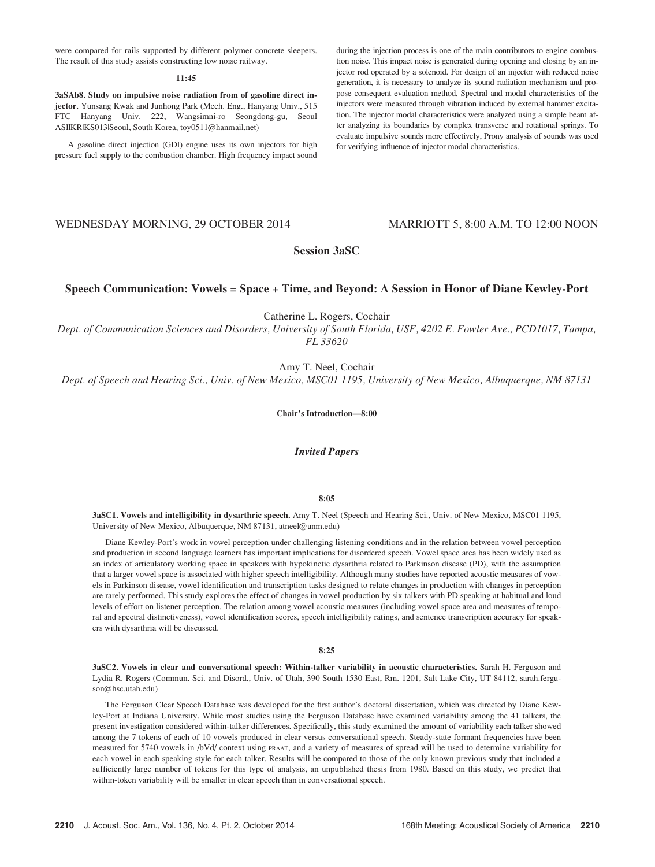were compared for rails supported by different polymer concrete sleepers. The result of this study assists constructing low noise railway.

### 11:45

3aSAb8. Study on impulsive noise radiation from of gasoline direct injector. Yunsang Kwak and Junhong Park (Mech. Eng., Hanyang Univ., 515 FTC Hanyang Univ. 222, Wangsimni-ro Seongdong-gu, Seoul ASI|KR|KS013|Seoul, South Korea, toy0511@hanmail.net)

A gasoline direct injection (GDI) engine uses its own injectors for high pressure fuel supply to the combustion chamber. High frequency impact sound during the injection process is one of the main contributors to engine combustion noise. This impact noise is generated during opening and closing by an injector rod operated by a solenoid. For design of an injector with reduced noise generation, it is necessary to analyze its sound radiation mechanism and propose consequent evaluation method. Spectral and modal characteristics of the injectors were measured through vibration induced by external hammer excitation. The injector modal characteristics were analyzed using a simple beam after analyzing its boundaries by complex transverse and rotational springs. To evaluate impulsive sounds more effectively, Prony analysis of sounds was used for verifying influence of injector modal characteristics.

# WEDNESDAY MORNING, 29 OCTOBER 2014 MARRIOTT 5, 8:00 A.M. TO 12:00 NOON

# Session 3aSC

# Speech Communication: Vowels = Space + Time, and Beyond: A Session in Honor of Diane Kewley-Port

Catherine L. Rogers, Cochair

Dept. of Communication Sciences and Disorders, University of South Florida, USF, 4202 E. Fowler Ave., PCD1017, Tampa, FL 33620

Amy T. Neel, Cochair

Dept. of Speech and Hearing Sci., Univ. of New Mexico, MSC01 1195, University of New Mexico, Albuquerque, NM 87131

Chair's Introduction—8:00

Invited Papers

# 8:05

3aSC1. Vowels and intelligibility in dysarthric speech. Amy T. Neel (Speech and Hearing Sci., Univ. of New Mexico, MSC01 1195, University of New Mexico, Albuquerque, NM 87131, atneel@unm.edu)

Diane Kewley-Port's work in vowel perception under challenging listening conditions and in the relation between vowel perception and production in second language learners has important implications for disordered speech. Vowel space area has been widely used as an index of articulatory working space in speakers with hypokinetic dysarthria related to Parkinson disease (PD), with the assumption that a larger vowel space is associated with higher speech intelligibility. Although many studies have reported acoustic measures of vowels in Parkinson disease, vowel identification and transcription tasks designed to relate changes in production with changes in perception are rarely performed. This study explores the effect of changes in vowel production by six talkers with PD speaking at habitual and loud levels of effort on listener perception. The relation among vowel acoustic measures (including vowel space area and measures of temporal and spectral distinctiveness), vowel identification scores, speech intelligibility ratings, and sentence transcription accuracy for speakers with dysarthria will be discussed.

### 8:25

3aSC2. Vowels in clear and conversational speech: Within-talker variability in acoustic characteristics. Sarah H. Ferguson and Lydia R. Rogers (Commun. Sci. and Disord., Univ. of Utah, 390 South 1530 East, Rm. 1201, Salt Lake City, UT 84112, sarah.ferguson@hsc.utah.edu)

The Ferguson Clear Speech Database was developed for the first author's doctoral dissertation, which was directed by Diane Kewley-Port at Indiana University. While most studies using the Ferguson Database have examined variability among the 41 talkers, the present investigation considered within-talker differences. Specifically, this study examined the amount of variability each talker showed among the 7 tokens of each of 10 vowels produced in clear versus conversational speech. Steady-state formant frequencies have been measured for 5740 vowels in /bVd/ context using PRAAT, and a variety of measures of spread will be used to determine variability for each vowel in each speaking style for each talker. Results will be compared to those of the only known previous study that included a sufficiently large number of tokens for this type of analysis, an unpublished thesis from 1980. Based on this study, we predict that within-token variability will be smaller in clear speech than in conversational speech.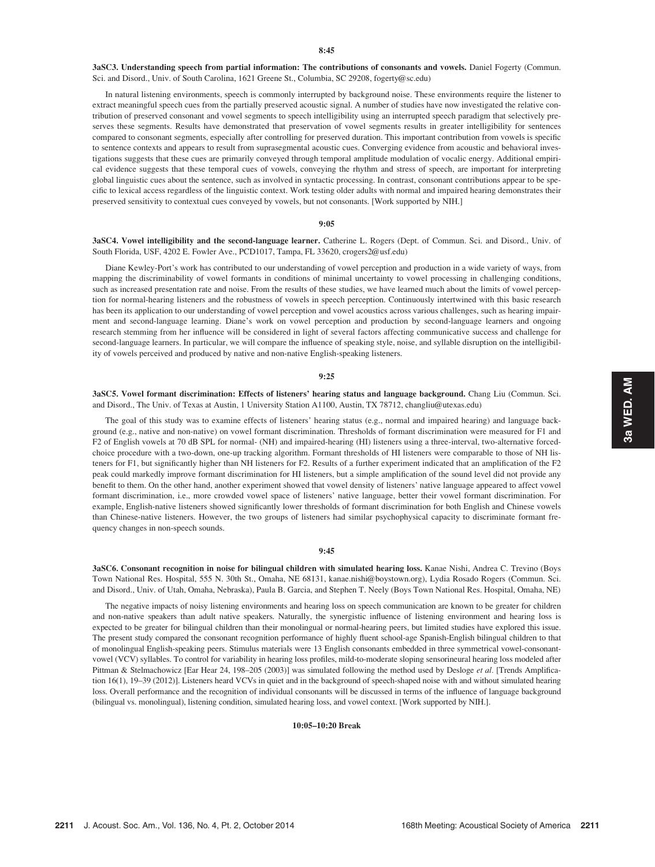3aSC3. Understanding speech from partial information: The contributions of consonants and vowels. Daniel Fogerty (Commun. Sci. and Disord., Univ. of South Carolina, 1621 Greene St., Columbia, SC 29208, fogerty@sc.edu)

In natural listening environments, speech is commonly interrupted by background noise. These environments require the listener to extract meaningful speech cues from the partially preserved acoustic signal. A number of studies have now investigated the relative contribution of preserved consonant and vowel segments to speech intelligibility using an interrupted speech paradigm that selectively preserves these segments. Results have demonstrated that preservation of vowel segments results in greater intelligibility for sentences compared to consonant segments, especially after controlling for preserved duration. This important contribution from vowels is specific to sentence contexts and appears to result from suprasegmental acoustic cues. Converging evidence from acoustic and behavioral investigations suggests that these cues are primarily conveyed through temporal amplitude modulation of vocalic energy. Additional empirical evidence suggests that these temporal cues of vowels, conveying the rhythm and stress of speech, are important for interpreting global linguistic cues about the sentence, such as involved in syntactic processing. In contrast, consonant contributions appear to be specific to lexical access regardless of the linguistic context. Work testing older adults with normal and impaired hearing demonstrates their preserved sensitivity to contextual cues conveyed by vowels, but not consonants. [Work supported by NIH.]

## 9:05

3aSC4. Vowel intelligibility and the second-language learner. Catherine L. Rogers (Dept. of Commun. Sci. and Disord., Univ. of South Florida, USF, 4202 E. Fowler Ave., PCD1017, Tampa, FL 33620, crogers2@usf.edu)

Diane Kewley-Port's work has contributed to our understanding of vowel perception and production in a wide variety of ways, from mapping the discriminability of vowel formants in conditions of minimal uncertainty to vowel processing in challenging conditions, such as increased presentation rate and noise. From the results of these studies, we have learned much about the limits of vowel perception for normal-hearing listeners and the robustness of vowels in speech perception. Continuously intertwined with this basic research has been its application to our understanding of vowel perception and vowel acoustics across various challenges, such as hearing impairment and second-language learning. Diane's work on vowel perception and production by second-language learners and ongoing research stemming from her influence will be considered in light of several factors affecting communicative success and challenge for second-language learners. In particular, we will compare the influence of speaking style, noise, and syllable disruption on the intelligibility of vowels perceived and produced by native and non-native English-speaking listeners.

### 9:25

3aSC5. Vowel formant discrimination: Effects of listeners' hearing status and language background. Chang Liu (Commun. Sci. and Disord., The Univ. of Texas at Austin, 1 University Station A1100, Austin, TX 78712, changliu@utexas.edu)

The goal of this study was to examine effects of listeners' hearing status (e.g., normal and impaired hearing) and language background (e.g., native and non-native) on vowel formant discrimination. Thresholds of formant discrimination were measured for F1 and F2 of English vowels at 70 dB SPL for normal- (NH) and impaired-hearing (HI) listeners using a three-interval, two-alternative forcedchoice procedure with a two-down, one-up tracking algorithm. Formant thresholds of HI listeners were comparable to those of NH listeners for F1, but significantly higher than NH listeners for F2. Results of a further experiment indicated that an amplification of the F2 peak could markedly improve formant discrimination for HI listeners, but a simple amplification of the sound level did not provide any benefit to them. On the other hand, another experiment showed that vowel density of listeners' native language appeared to affect vowel formant discrimination, i.e., more crowded vowel space of listeners' native language, better their vowel formant discrimination. For example, English-native listeners showed significantly lower thresholds of formant discrimination for both English and Chinese vowels than Chinese-native listeners. However, the two groups of listeners had similar psychophysical capacity to discriminate formant frequency changes in non-speech sounds.

# 9:45

3aSC6. Consonant recognition in noise for bilingual children with simulated hearing loss. Kanae Nishi, Andrea C. Trevino (Boys Town National Res. Hospital, 555 N. 30th St., Omaha, NE 68131, kanae.nishi@boystown.org), Lydia Rosado Rogers (Commun. Sci. and Disord., Univ. of Utah, Omaha, Nebraska), Paula B. Garcia, and Stephen T. Neely (Boys Town National Res. Hospital, Omaha, NE)

The negative impacts of noisy listening environments and hearing loss on speech communication are known to be greater for children and non-native speakers than adult native speakers. Naturally, the synergistic influence of listening environment and hearing loss is expected to be greater for bilingual children than their monolingual or normal-hearing peers, but limited studies have explored this issue. The present study compared the consonant recognition performance of highly fluent school-age Spanish-English bilingual children to that of monolingual English-speaking peers. Stimulus materials were 13 English consonants embedded in three symmetrical vowel-consonantvowel (VCV) syllables. To control for variability in hearing loss profiles, mild-to-moderate sloping sensorineural hearing loss modeled after Pittman & Stelmachowicz [Ear Hear 24, 198-205 (2003)] was simulated following the method used by Desloge et al. [Trends Amplification 16(1), 19–39 (2012)]. Listeners heard VCVs in quiet and in the background of speech-shaped noise with and without simulated hearing loss. Overall performance and the recognition of individual consonants will be discussed in terms of the influence of language background (bilingual vs. monolingual), listening condition, simulated hearing loss, and vowel context. [Work supported by NIH.].

10:05–10:20 Break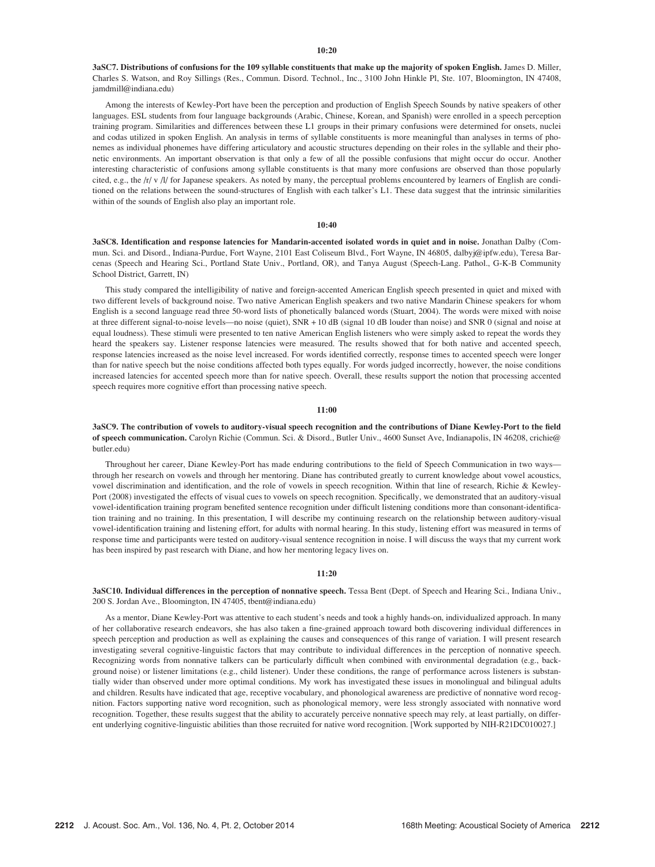## $10:20$

3aSC7. Distributions of confusions for the 109 syllable constituents that make up the majority of spoken English. James D. Miller, Charles S. Watson, and Roy Sillings (Res., Commun. Disord. Technol., Inc., 3100 John Hinkle Pl, Ste. 107, Bloomington, IN 47408, jamdmill@indiana.edu)

Among the interests of Kewley-Port have been the perception and production of English Speech Sounds by native speakers of other languages. ESL students from four language backgrounds (Arabic, Chinese, Korean, and Spanish) were enrolled in a speech perception training program. Similarities and differences between these L1 groups in their primary confusions were determined for onsets, nuclei and codas utilized in spoken English. An analysis in terms of syllable constituents is more meaningful than analyses in terms of phonemes as individual phonemes have differing articulatory and acoustic structures depending on their roles in the syllable and their phonetic environments. An important observation is that only a few of all the possible confusions that might occur do occur. Another interesting characteristic of confusions among syllable constituents is that many more confusions are observed than those popularly cited, e.g., the /r/ v /l/ for Japanese speakers. As noted by many, the perceptual problems encountered by learners of English are conditioned on the relations between the sound-structures of English with each talker's L1. These data suggest that the intrinsic similarities within of the sounds of English also play an important role.

## 10:40

3aSC8. Identification and response latencies for Mandarin-accented isolated words in quiet and in noise. Jonathan Dalby (Commun. Sci. and Disord., Indiana-Purdue, Fort Wayne, 2101 East Coliseum Blvd., Fort Wayne, IN 46805, dalbyj@ipfw.edu), Teresa Barcenas (Speech and Hearing Sci., Portland State Univ., Portland, OR), and Tanya August (Speech-Lang. Pathol., G-K-B Community School District, Garrett, IN)

This study compared the intelligibility of native and foreign-accented American English speech presented in quiet and mixed with two different levels of background noise. Two native American English speakers and two native Mandarin Chinese speakers for whom English is a second language read three 50-word lists of phonetically balanced words (Stuart, 2004). The words were mixed with noise at three different signal-to-noise levels—no noise (quiet), SNR + 10 dB (signal 10 dB louder than noise) and SNR 0 (signal and noise at equal loudness). These stimuli were presented to ten native American English listeners who were simply asked to repeat the words they heard the speakers say. Listener response latencies were measured. The results showed that for both native and accented speech, response latencies increased as the noise level increased. For words identified correctly, response times to accented speech were longer than for native speech but the noise conditions affected both types equally. For words judged incorrectly, however, the noise conditions increased latencies for accented speech more than for native speech. Overall, these results support the notion that processing accented speech requires more cognitive effort than processing native speech.

## 11:00

3aSC9. The contribution of vowels to auditory-visual speech recognition and the contributions of Diane Kewley-Port to the field of speech communication. Carolyn Richie (Commun. Sci. & Disord., Butler Univ., 4600 Sunset Ave, Indianapolis, IN 46208, crichie@ butler.edu)

Throughout her career, Diane Kewley-Port has made enduring contributions to the field of Speech Communication in two ways through her research on vowels and through her mentoring. Diane has contributed greatly to current knowledge about vowel acoustics, vowel discrimination and identification, and the role of vowels in speech recognition. Within that line of research, Richie & Kewley-Port (2008) investigated the effects of visual cues to vowels on speech recognition. Specifically, we demonstrated that an auditory-visual vowel-identification training program benefited sentence recognition under difficult listening conditions more than consonant-identification training and no training. In this presentation, I will describe my continuing research on the relationship between auditory-visual vowel-identification training and listening effort, for adults with normal hearing. In this study, listening effort was measured in terms of response time and participants were tested on auditory-visual sentence recognition in noise. I will discuss the ways that my current work has been inspired by past research with Diane, and how her mentoring legacy lives on.

## 11:20

3aSC10. Individual differences in the perception of nonnative speech. Tessa Bent (Dept. of Speech and Hearing Sci., Indiana Univ., 200 S. Jordan Ave., Bloomington, IN 47405, tbent@indiana.edu)

As a mentor, Diane Kewley-Port was attentive to each student's needs and took a highly hands-on, individualized approach. In many of her collaborative research endeavors, she has also taken a fine-grained approach toward both discovering individual differences in speech perception and production as well as explaining the causes and consequences of this range of variation. I will present research investigating several cognitive-linguistic factors that may contribute to individual differences in the perception of nonnative speech. Recognizing words from nonnative talkers can be particularly difficult when combined with environmental degradation (e.g., background noise) or listener limitations (e.g., child listener). Under these conditions, the range of performance across listeners is substantially wider than observed under more optimal conditions. My work has investigated these issues in monolingual and bilingual adults and children. Results have indicated that age, receptive vocabulary, and phonological awareness are predictive of nonnative word recognition. Factors supporting native word recognition, such as phonological memory, were less strongly associated with nonnative word recognition. Together, these results suggest that the ability to accurately perceive nonnative speech may rely, at least partially, on different underlying cognitive-linguistic abilities than those recruited for native word recognition. [Work supported by NIH-R21DC010027.]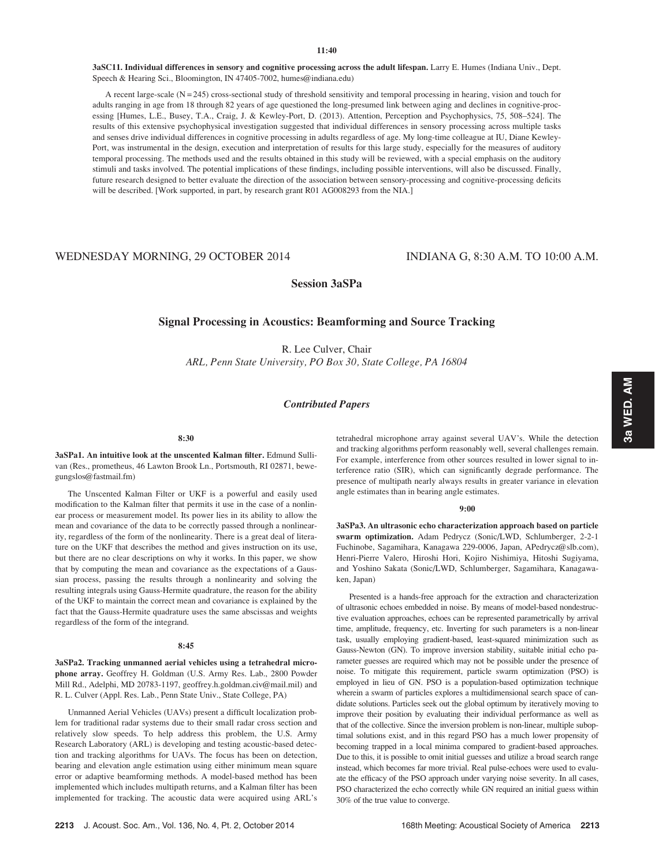3aSC11. Individual differences in sensory and cognitive processing across the adult lifespan. Larry E. Humes (Indiana Univ., Dept. Speech & Hearing Sci., Bloomington, IN 47405-7002, humes@indiana.edu)

A recent large-scale (N = 245) cross-sectional study of threshold sensitivity and temporal processing in hearing, vision and touch for adults ranging in age from 18 through 82 years of age questioned the long-presumed link between aging and declines in cognitive-processing [Humes, L.E., Busey, T.A., Craig, J. & Kewley-Port, D. (2013). Attention, Perception and Psychophysics, 75, 508–524]. The results of this extensive psychophysical investigation suggested that individual differences in sensory processing across multiple tasks and senses drive individual differences in cognitive processing in adults regardless of age. My long-time colleague at IU, Diane Kewley-Port, was instrumental in the design, execution and interpretation of results for this large study, especially for the measures of auditory temporal processing. The methods used and the results obtained in this study will be reviewed, with a special emphasis on the auditory stimuli and tasks involved. The potential implications of these findings, including possible interventions, will also be discussed. Finally, future research designed to better evaluate the direction of the association between sensory-processing and cognitive-processing deficits will be described. [Work supported, in part, by research grant R01 AG008293 from the NIA.]

# WEDNESDAY MORNING, 29 OCTOBER 2014 INDIANA G, 8:30 A.M. TO 10:00 A.M.

Session 3aSPa

# Signal Processing in Acoustics: Beamforming and Source Tracking

R. Lee Culver, Chair ARL, Penn State University, PO Box 30, State College, PA 16804

# Contributed Papers

### 8:30

3aSPa1. An intuitive look at the unscented Kalman filter. Edmund Sullivan (Res., prometheus, 46 Lawton Brook Ln., Portsmouth, RI 02871, bewegungslos@fastmail.fm)

The Unscented Kalman Filter or UKF is a powerful and easily used modification to the Kalman filter that permits it use in the case of a nonlinear process or measurement model. Its power lies in its ability to allow the mean and covariance of the data to be correctly passed through a nonlinearity, regardless of the form of the nonlinearity. There is a great deal of literature on the UKF that describes the method and gives instruction on its use, but there are no clear descriptions on why it works. In this paper, we show that by computing the mean and covariance as the expectations of a Gaussian process, passing the results through a nonlinearity and solving the resulting integrals using Gauss-Hermite quadrature, the reason for the ability of the UKF to maintain the correct mean and covariance is explained by the fact that the Gauss-Hermite quadrature uses the same abscissas and weights regardless of the form of the integrand.

### 8:45

3aSPa2. Tracking unmanned aerial vehicles using a tetrahedral microphone array. Geoffrey H. Goldman (U.S. Army Res. Lab., 2800 Powder Mill Rd., Adelphi, MD 20783-1197, geoffrey.h.goldman.civ@mail.mil) and R. L. Culver (Appl. Res. Lab., Penn State Univ., State College, PA)

Unmanned Aerial Vehicles (UAVs) present a difficult localization problem for traditional radar systems due to their small radar cross section and relatively slow speeds. To help address this problem, the U.S. Army Research Laboratory (ARL) is developing and testing acoustic-based detection and tracking algorithms for UAVs. The focus has been on detection, bearing and elevation angle estimation using either minimum mean square error or adaptive beamforming methods. A model-based method has been implemented which includes multipath returns, and a Kalman filter has been implemented for tracking. The acoustic data were acquired using ARL's tetrahedral microphone array against several UAV's. While the detection and tracking algorithms perform reasonably well, several challenges remain. For example, interference from other sources resulted in lower signal to interference ratio (SIR), which can significantly degrade performance. The presence of multipath nearly always results in greater variance in elevation angle estimates than in bearing angle estimates.

### 9:00

3aSPa3. An ultrasonic echo characterization approach based on particle swarm optimization. Adam Pedrycz (Sonic/LWD, Schlumberger, 2-2-1 Fuchinobe, Sagamihara, Kanagawa 229-0006, Japan, APedrycz@slb.com), Henri-Pierre Valero, Hiroshi Hori, Kojiro Nishimiya, Hitoshi Sugiyama, and Yoshino Sakata (Sonic/LWD, Schlumberger, Sagamihara, Kanagawaken, Japan)

Presented is a hands-free approach for the extraction and characterization of ultrasonic echoes embedded in noise. By means of model-based nondestructive evaluation approaches, echoes can be represented parametrically by arrival time, amplitude, frequency, etc. Inverting for such parameters is a non-linear task, usually employing gradient-based, least-squared minimization such as Gauss-Newton (GN). To improve inversion stability, suitable initial echo parameter guesses are required which may not be possible under the presence of noise. To mitigate this requirement, particle swarm optimization (PSO) is employed in lieu of GN. PSO is a population-based optimization technique wherein a swarm of particles explores a multidimensional search space of candidate solutions. Particles seek out the global optimum by iteratively moving to improve their position by evaluating their individual performance as well as that of the collective. Since the inversion problem is non-linear, multiple suboptimal solutions exist, and in this regard PSO has a much lower propensity of becoming trapped in a local minima compared to gradient-based approaches. Due to this, it is possible to omit initial guesses and utilize a broad search range instead, which becomes far more trivial. Real pulse-echoes were used to evaluate the efficacy of the PSO approach under varying noise severity. In all cases, PSO characterized the echo correctly while GN required an initial guess within 30% of the true value to converge.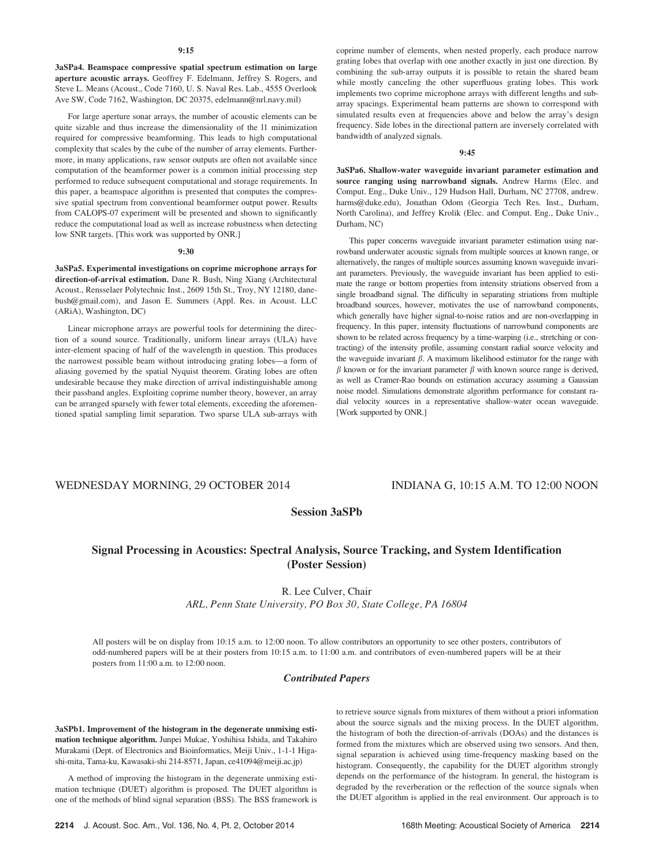3aSPa4. Beamspace compressive spatial spectrum estimation on large aperture acoustic arrays. Geoffrey F. Edelmann, Jeffrey S. Rogers, and Steve L. Means (Acoust., Code 7160, U. S. Naval Res. Lab., 4555 Overlook Ave SW, Code 7162, Washington, DC 20375, edelmann@nrl.navy.mil)

For large aperture sonar arrays, the number of acoustic elements can be quite sizable and thus increase the dimensionality of the l1 minimization required for compressive beamforming. This leads to high computational complexity that scales by the cube of the number of array elements. Furthermore, in many applications, raw sensor outputs are often not available since computation of the beamformer power is a common initial processing step performed to reduce subsequent computational and storage requirements. In this paper, a beamspace algorithm is presented that computes the compressive spatial spectrum from conventional beamformer output power. Results from CALOPS-07 experiment will be presented and shown to significantly reduce the computational load as well as increase robustness when detecting low SNR targets. [This work was supported by ONR.]

# 9:30

3aSPa5. Experimental investigations on coprime microphone arrays for direction-of-arrival estimation. Dane R. Bush, Ning Xiang (Architectural Acoust., Rensselaer Polytechnic Inst., 2609 15th St., Troy, NY 12180, danebush@gmail.com), and Jason E. Summers (Appl. Res. in Acoust. LLC (ARiA), Washington, DC)

Linear microphone arrays are powerful tools for determining the direction of a sound source. Traditionally, uniform linear arrays (ULA) have inter-element spacing of half of the wavelength in question. This produces the narrowest possible beam without introducing grating lobes—a form of aliasing governed by the spatial Nyquist theorem. Grating lobes are often undesirable because they make direction of arrival indistinguishable among their passband angles. Exploiting coprime number theory, however, an array can be arranged sparsely with fewer total elements, exceeding the aforementioned spatial sampling limit separation. Two sparse ULA sub-arrays with coprime number of elements, when nested properly, each produce narrow grating lobes that overlap with one another exactly in just one direction. By combining the sub-array outputs it is possible to retain the shared beam while mostly canceling the other superfluous grating lobes. This work implements two coprime microphone arrays with different lengths and subarray spacings. Experimental beam patterns are shown to correspond with simulated results even at frequencies above and below the array's design frequency. Side lobes in the directional pattern are inversely correlated with bandwidth of analyzed signals.

## 9:45

3aSPa6. Shallow-water waveguide invariant parameter estimation and source ranging using narrowband signals. Andrew Harms (Elec. and Comput. Eng., Duke Univ., 129 Hudson Hall, Durham, NC 27708, andrew. harms@duke.edu), Jonathan Odom (Georgia Tech Res. Inst., Durham, North Carolina), and Jeffrey Krolik (Elec. and Comput. Eng., Duke Univ., Durham, NC)

This paper concerns waveguide invariant parameter estimation using narrowband underwater acoustic signals from multiple sources at known range, or alternatively, the ranges of multiple sources assuming known waveguide invariant parameters. Previously, the waveguide invariant has been applied to estimate the range or bottom properties from intensity striations observed from a single broadband signal. The difficulty in separating striations from multiple broadband sources, however, motivates the use of narrowband components, which generally have higher signal-to-noise ratios and are non-overlapping in frequency. In this paper, intensity fluctuations of narrowband components are shown to be related across frequency by a time-warping (i.e., stretching or contracting) of the intensity profile, assuming constant radial source velocity and the waveguide invariant  $\beta$ . A maximum likelihood estimator for the range with  $\beta$  known or for the invariant parameter  $\beta$  with known source range is derived, as well as Cramer-Rao bounds on estimation accuracy assuming a Gaussian noise model. Simulations demonstrate algorithm performance for constant radial velocity sources in a representative shallow-water ocean waveguide. [Work supported by ONR.]

# WEDNESDAY MORNING, 29 OCTOBER 2014 INDIANA G, 10:15 A.M. TO 12:00 NOON

# Session 3aSPb

# Signal Processing in Acoustics: Spectral Analysis, Source Tracking, and System Identification (Poster Session)

R. Lee Culver, Chair

ARL, Penn State University, PO Box 30, State College, PA 16804

All posters will be on display from 10:15 a.m. to 12:00 noon. To allow contributors an opportunity to see other posters, contributors of odd-numbered papers will be at their posters from 10:15 a.m. to 11:00 a.m. and contributors of even-numbered papers will be at their posters from 11:00 a.m. to 12:00 noon.

## Contributed Papers

3aSPb1. Improvement of the histogram in the degenerate unmixing estimation technique algorithm. Junpei Mukae, Yoshihisa Ishida, and Takahiro Murakami (Dept. of Electronics and Bioinformatics, Meiji Univ., 1-1-1 Higashi-mita, Tama-ku, Kawasaki-shi 214-8571, Japan, ce41094@meiji.ac.jp)

A method of improving the histogram in the degenerate unmixing estimation technique (DUET) algorithm is proposed. The DUET algorithm is one of the methods of blind signal separation (BSS). The BSS framework is to retrieve source signals from mixtures of them without a priori information about the source signals and the mixing process. In the DUET algorithm, the histogram of both the direction-of-arrivals (DOAs) and the distances is formed from the mixtures which are observed using two sensors. And then, signal separation is achieved using time-frequency masking based on the histogram. Consequently, the capability for the DUET algorithm strongly depends on the performance of the histogram. In general, the histogram is degraded by the reverberation or the reflection of the source signals when the DUET algorithm is applied in the real environment. Our approach is to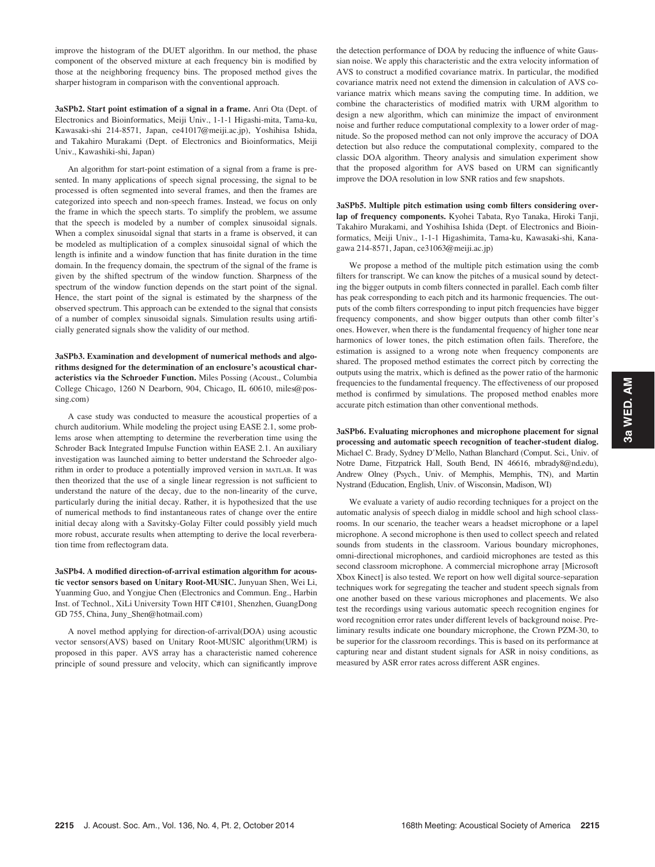improve the histogram of the DUET algorithm. In our method, the phase component of the observed mixture at each frequency bin is modified by those at the neighboring frequency bins. The proposed method gives the sharper histogram in comparison with the conventional approach.

3aSPb2. Start point estimation of a signal in a frame. Anri Ota (Dept. of Electronics and Bioinformatics, Meiji Univ., 1-1-1 Higashi-mita, Tama-ku, Kawasaki-shi 214-8571, Japan, ce41017@meiji.ac.jp), Yoshihisa Ishida, and Takahiro Murakami (Dept. of Electronics and Bioinformatics, Meiji Univ., Kawashiki-shi, Japan)

An algorithm for start-point estimation of a signal from a frame is presented. In many applications of speech signal processing, the signal to be processed is often segmented into several frames, and then the frames are categorized into speech and non-speech frames. Instead, we focus on only the frame in which the speech starts. To simplify the problem, we assume that the speech is modeled by a number of complex sinusoidal signals. When a complex sinusoidal signal that starts in a frame is observed, it can be modeled as multiplication of a complex sinusoidal signal of which the length is infinite and a window function that has finite duration in the time domain. In the frequency domain, the spectrum of the signal of the frame is given by the shifted spectrum of the window function. Sharpness of the spectrum of the window function depends on the start point of the signal. Hence, the start point of the signal is estimated by the sharpness of the observed spectrum. This approach can be extended to the signal that consists of a number of complex sinusoidal signals. Simulation results using artificially generated signals show the validity of our method.

3aSPb3. Examination and development of numerical methods and algorithms designed for the determination of an enclosure's acoustical characteristics via the Schroeder Function. Miles Possing (Acoust., Columbia College Chicago, 1260 N Dearborn, 904, Chicago, IL 60610, miles@possing.com)

A case study was conducted to measure the acoustical properties of a church auditorium. While modeling the project using EASE 2.1, some problems arose when attempting to determine the reverberation time using the Schroder Back Integrated Impulse Function within EASE 2.1. An auxiliary investigation was launched aiming to better understand the Schroeder algorithm in order to produce a potentially improved version in MATLAB. It was then theorized that the use of a single linear regression is not sufficient to understand the nature of the decay, due to the non-linearity of the curve, particularly during the initial decay. Rather, it is hypothesized that the use of numerical methods to find instantaneous rates of change over the entire initial decay along with a Savitsky-Golay Filter could possibly yield much more robust, accurate results when attempting to derive the local reverberation time from reflectogram data.

3aSPb4. A modified direction-of-arrival estimation algorithm for acoustic vector sensors based on Unitary Root-MUSIC. Junyuan Shen, Wei Li, Yuanming Guo, and Yongjue Chen (Electronics and Commun. Eng., Harbin Inst. of Technol., XiLi University Town HIT C#101, Shenzhen, GuangDong GD 755, China, Juny\_Shen@hotmail.com)

A novel method applying for direction-of-arrival(DOA) using acoustic vector sensors(AVS) based on Unitary Root-MUSIC algorithm(URM) is proposed in this paper. AVS array has a characteristic named coherence principle of sound pressure and velocity, which can significantly improve the detection performance of DOA by reducing the influence of white Gaussian noise. We apply this characteristic and the extra velocity information of AVS to construct a modified covariance matrix. In particular, the modified covariance matrix need not extend the dimension in calculation of AVS covariance matrix which means saving the computing time. In addition, we combine the characteristics of modified matrix with URM algorithm to design a new algorithm, which can minimize the impact of environment noise and further reduce computational complexity to a lower order of magnitude. So the proposed method can not only improve the accuracy of DOA detection but also reduce the computational complexity, compared to the classic DOA algorithm. Theory analysis and simulation experiment show that the proposed algorithm for AVS based on URM can significantly improve the DOA resolution in low SNR ratios and few snapshots.

3aSPb5. Multiple pitch estimation using comb filters considering overlap of frequency components. Kyohei Tabata, Ryo Tanaka, Hiroki Tanji, Takahiro Murakami, and Yoshihisa Ishida (Dept. of Electronics and Bioinformatics, Meiji Univ., 1-1-1 Higashimita, Tama-ku, Kawasaki-shi, Kanagawa 214-8571, Japan, ce31063@meiji.ac.jp)

We propose a method of the multiple pitch estimation using the comb filters for transcript. We can know the pitches of a musical sound by detecting the bigger outputs in comb filters connected in parallel. Each comb filter has peak corresponding to each pitch and its harmonic frequencies. The outputs of the comb filters corresponding to input pitch frequencies have bigger frequency components, and show bigger outputs than other comb filter's ones. However, when there is the fundamental frequency of higher tone near harmonics of lower tones, the pitch estimation often fails. Therefore, the estimation is assigned to a wrong note when frequency components are shared. The proposed method estimates the correct pitch by correcting the outputs using the matrix, which is defined as the power ratio of the harmonic frequencies to the fundamental frequency. The effectiveness of our proposed method is confirmed by simulations. The proposed method enables more accurate pitch estimation than other conventional methods.

3aSPb6. Evaluating microphones and microphone placement for signal processing and automatic speech recognition of teacher-student dialog. Michael C. Brady, Sydney D'Mello, Nathan Blanchard (Comput. Sci., Univ. of Notre Dame, Fitzpatrick Hall, South Bend, IN 46616, mbrady8@nd.edu), Andrew Olney (Psych., Univ. of Memphis, Memphis, TN), and Martin Nystrand (Education, English, Univ. of Wisconsin, Madison, WI)

We evaluate a variety of audio recording techniques for a project on the automatic analysis of speech dialog in middle school and high school classrooms. In our scenario, the teacher wears a headset microphone or a lapel microphone. A second microphone is then used to collect speech and related sounds from students in the classroom. Various boundary microphones, omni-directional microphones, and cardioid microphones are tested as this second classroom microphone. A commercial microphone array [Microsoft Xbox Kinect] is also tested. We report on how well digital source-separation techniques work for segregating the teacher and student speech signals from one another based on these various microphones and placements. We also test the recordings using various automatic speech recognition engines for word recognition error rates under different levels of background noise. Preliminary results indicate one boundary microphone, the Crown PZM-30, to be superior for the classroom recordings. This is based on its performance at capturing near and distant student signals for ASR in noisy conditions, as measured by ASR error rates across different ASR engines.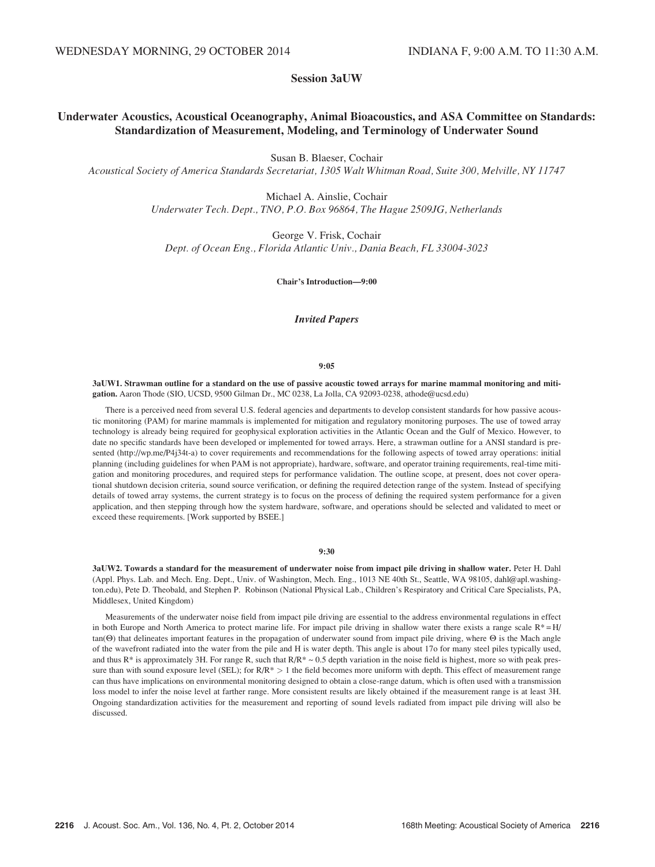# Session 3aUW

# Underwater Acoustics, Acoustical Oceanography, Animal Bioacoustics, and ASA Committee on Standards: Standardization of Measurement, Modeling, and Terminology of Underwater Sound

Susan B. Blaeser, Cochair

Acoustical Society of America Standards Secretariat, 1305 Walt Whitman Road, Suite 300, Melville, NY 11747

Michael A. Ainslie, Cochair Underwater Tech. Dept., TNO, P.O. Box 96864, The Hague 2509JG, Netherlands

George V. Frisk, Cochair Dept. of Ocean Eng., Florida Atlantic Univ., Dania Beach, FL 33004-3023

Chair's Introduction—9:00

# Invited Papers

### 9:05

3aUW1. Strawman outline for a standard on the use of passive acoustic towed arrays for marine mammal monitoring and mitigation. Aaron Thode (SIO, UCSD, 9500 Gilman Dr., MC 0238, La Jolla, CA 92093-0238, athode@ucsd.edu)

There is a perceived need from several U.S. federal agencies and departments to develop consistent standards for how passive acoustic monitoring (PAM) for marine mammals is implemented for mitigation and regulatory monitoring purposes. The use of towed array technology is already being required for geophysical exploration activities in the Atlantic Ocean and the Gulf of Mexico. However, to date no specific standards have been developed or implemented for towed arrays. Here, a strawman outline for a ANSI standard is presented (http://wp.me/P4j34t-a) to cover requirements and recommendations for the following aspects of towed array operations: initial planning (including guidelines for when PAM is not appropriate), hardware, software, and operator training requirements, real-time mitigation and monitoring procedures, and required steps for performance validation. The outline scope, at present, does not cover operational shutdown decision criteria, sound source verification, or defining the required detection range of the system. Instead of specifying details of towed array systems, the current strategy is to focus on the process of defining the required system performance for a given application, and then stepping through how the system hardware, software, and operations should be selected and validated to meet or exceed these requirements. [Work supported by BSEE.]

## 9:30

3aUW2. Towards a standard for the measurement of underwater noise from impact pile driving in shallow water. Peter H. Dahl (Appl. Phys. Lab. and Mech. Eng. Dept., Univ. of Washington, Mech. Eng., 1013 NE 40th St., Seattle, WA 98105, dahl@apl.washington.edu), Pete D. Theobald, and Stephen P. Robinson (National Physical Lab., Children's Respiratory and Critical Care Specialists, PA, Middlesex, United Kingdom)

Measurements of the underwater noise field from impact pile driving are essential to the address environmental regulations in effect in both Europe and North America to protect marine life. For impact pile driving in shallow water there exists a range scale R\*=H/  $tan(\Theta)$  that delineates important features in the propagation of underwater sound from impact pile driving, where  $\Theta$  is the Mach angle of the wavefront radiated into the water from the pile and H is water depth. This angle is about 17o for many steel piles typically used, and thus  $R^*$  is approximately 3H. For range R, such that  $R/R^* \sim 0.5$  depth variation in the noise field is highest, more so with peak pressure than with sound exposure level (SEL); for  $R/R^* > 1$  the field becomes more uniform with depth. This effect of measurement range can thus have implications on environmental monitoring designed to obtain a close-range datum, which is often used with a transmission loss model to infer the noise level at farther range. More consistent results are likely obtained if the measurement range is at least 3H. Ongoing standardization activities for the measurement and reporting of sound levels radiated from impact pile driving will also be discussed.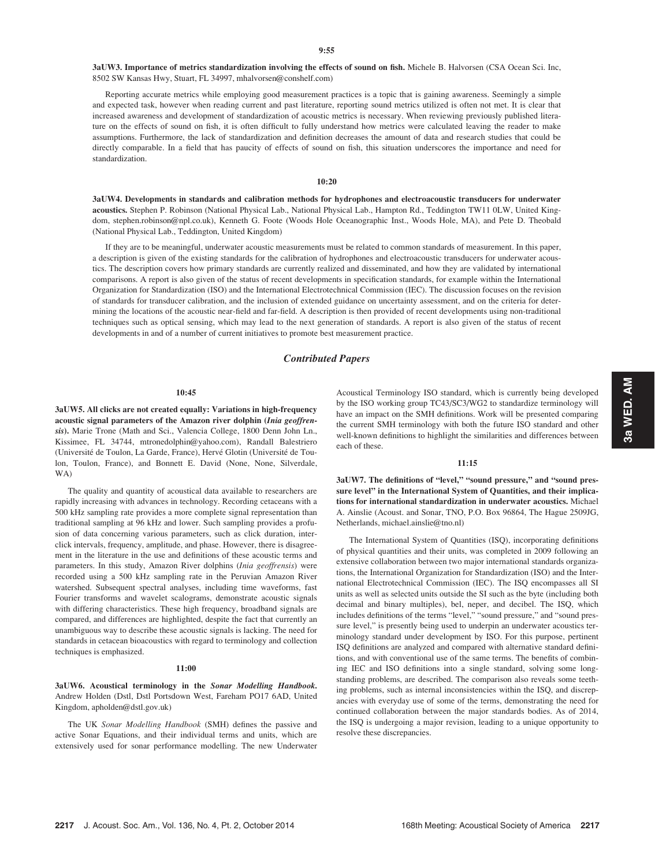3aUW3. Importance of metrics standardization involving the effects of sound on fish. Michele B. Halvorsen (CSA Ocean Sci. Inc, 8502 SW Kansas Hwy, Stuart, FL 34997, mhalvorsen@conshelf.com)

Reporting accurate metrics while employing good measurement practices is a topic that is gaining awareness. Seemingly a simple and expected task, however when reading current and past literature, reporting sound metrics utilized is often not met. It is clear that increased awareness and development of standardization of acoustic metrics is necessary. When reviewing previously published literature on the effects of sound on fish, it is often difficult to fully understand how metrics were calculated leaving the reader to make assumptions. Furthermore, the lack of standardization and definition decreases the amount of data and research studies that could be directly comparable. In a field that has paucity of effects of sound on fish, this situation underscores the importance and need for standardization.

10:20

3aUW4. Developments in standards and calibration methods for hydrophones and electroacoustic transducers for underwater acoustics. Stephen P. Robinson (National Physical Lab., National Physical Lab., Hampton Rd., Teddington TW11 0LW, United Kingdom, stephen.robinson@npl.co.uk), Kenneth G. Foote (Woods Hole Oceanographic Inst., Woods Hole, MA), and Pete D. Theobald (National Physical Lab., Teddington, United Kingdom)

If they are to be meaningful, underwater acoustic measurements must be related to common standards of measurement. In this paper, a description is given of the existing standards for the calibration of hydrophones and electroacoustic transducers for underwater acoustics. The description covers how primary standards are currently realized and disseminated, and how they are validated by international comparisons. A report is also given of the status of recent developments in specification standards, for example within the International Organization for Standardization (ISO) and the International Electrotechnical Commission (IEC). The discussion focuses on the revision of standards for transducer calibration, and the inclusion of extended guidance on uncertainty assessment, and on the criteria for determining the locations of the acoustic near-field and far-field. A description is then provided of recent developments using non-traditional techniques such as optical sensing, which may lead to the next generation of standards. A report is also given of the status of recent developments in and of a number of current initiatives to promote best measurement practice.

# Contributed Papers

### 10:45

3aUW5. All clicks are not created equally: Variations in high-frequency acoustic signal parameters of the Amazon river dolphin (Inia geoffrensis). Marie Trone (Math and Sci., Valencia College, 1800 Denn John Ln., Kissimee, FL 34744, mtronedolphin@yahoo.com), Randall Balestriero (Université de Toulon, La Garde, France), Hervé Glotin (Université de Toulon, Toulon, France), and Bonnett E. David (None, None, Silverdale, WA)

The quality and quantity of acoustical data available to researchers are rapidly increasing with advances in technology. Recording cetaceans with a 500 kHz sampling rate provides a more complete signal representation than traditional sampling at 96 kHz and lower. Such sampling provides a profusion of data concerning various parameters, such as click duration, interclick intervals, frequency, amplitude, and phase. However, there is disagreement in the literature in the use and definitions of these acoustic terms and parameters. In this study, Amazon River dolphins (Inia geoffrensis) were recorded using a 500 kHz sampling rate in the Peruvian Amazon River watershed. Subsequent spectral analyses, including time waveforms, fast Fourier transforms and wavelet scalograms, demonstrate acoustic signals with differing characteristics. These high frequency, broadband signals are compared, and differences are highlighted, despite the fact that currently an unambiguous way to describe these acoustic signals is lacking. The need for standards in cetacean bioacoustics with regard to terminology and collection techniques is emphasized.

## 11:00

3aUW6. Acoustical terminology in the Sonar Modelling Handbook. Andrew Holden (Dstl, Dstl Portsdown West, Fareham PO17 6AD, United Kingdom, apholden@dstl.gov.uk)

The UK Sonar Modelling Handbook (SMH) defines the passive and active Sonar Equations, and their individual terms and units, which are extensively used for sonar performance modelling. The new Underwater Acoustical Terminology ISO standard, which is currently being developed by the ISO working group TC43/SC3/WG2 to standardize terminology will have an impact on the SMH definitions. Work will be presented comparing the current SMH terminology with both the future ISO standard and other well-known definitions to highlight the similarities and differences between each of these.

### 11:15

3aUW7. The definitions of "level," "sound pressure," and "sound pressure level" in the International System of Quantities, and their implications for international standardization in underwater acoustics. Michael A. Ainslie (Acoust. and Sonar, TNO, P.O. Box 96864, The Hague 2509JG, Netherlands, michael.ainslie@tno.nl)

The International System of Quantities (ISQ), incorporating definitions of physical quantities and their units, was completed in 2009 following an extensive collaboration between two major international standards organizations, the International Organization for Standardization (ISO) and the International Electrotechnical Commission (IEC). The ISQ encompasses all SI units as well as selected units outside the SI such as the byte (including both decimal and binary multiples), bel, neper, and decibel. The ISQ, which includes definitions of the terms "level," "sound pressure," and "sound pressure level," is presently being used to underpin an underwater acoustics terminology standard under development by ISO. For this purpose, pertinent ISQ definitions are analyzed and compared with alternative standard definitions, and with conventional use of the same terms. The benefits of combining IEC and ISO definitions into a single standard, solving some longstanding problems, are described. The comparison also reveals some teething problems, such as internal inconsistencies within the ISQ, and discrepancies with everyday use of some of the terms, demonstrating the need for continued collaboration between the major standards bodies. As of 2014, the ISQ is undergoing a major revision, leading to a unique opportunity to resolve these discrepancies.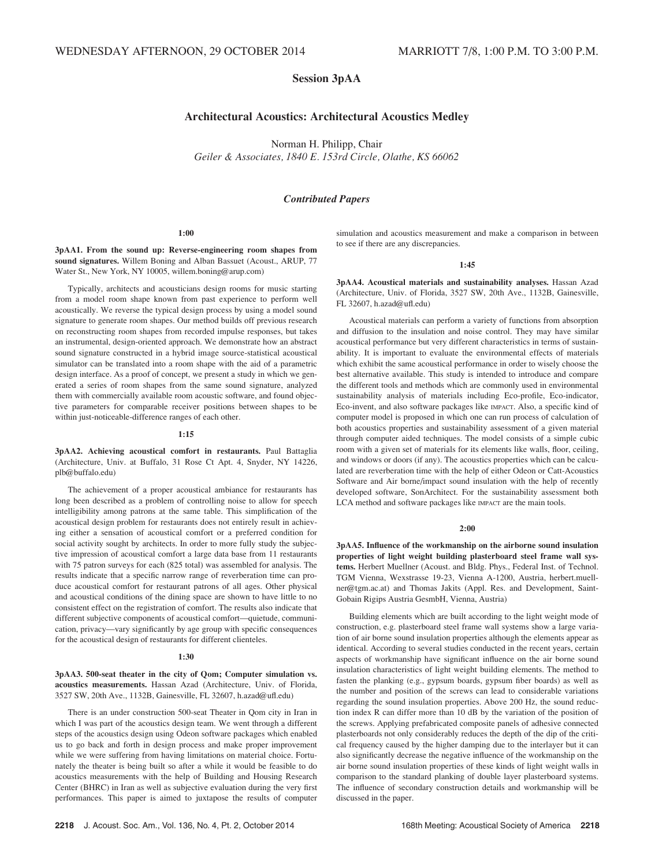# Session 3pAA

# Architectural Acoustics: Architectural Acoustics Medley

Norman H. Philipp, Chair Geiler & Associates, 1840 E. 153rd Circle, Olathe, KS 66062

# Contributed Papers

### 1:00

3pAA1. From the sound up: Reverse-engineering room shapes from sound signatures. Willem Boning and Alban Bassuet (Acoust., ARUP, 77 Water St., New York, NY 10005, willem.boning@arup.com)

Typically, architects and acousticians design rooms for music starting from a model room shape known from past experience to perform well acoustically. We reverse the typical design process by using a model sound signature to generate room shapes. Our method builds off previous research on reconstructing room shapes from recorded impulse responses, but takes an instrumental, design-oriented approach. We demonstrate how an abstract sound signature constructed in a hybrid image source-statistical acoustical simulator can be translated into a room shape with the aid of a parametric design interface. As a proof of concept, we present a study in which we generated a series of room shapes from the same sound signature, analyzed them with commercially available room acoustic software, and found objective parameters for comparable receiver positions between shapes to be within just-noticeable-difference ranges of each other.

# 1:15

3pAA2. Achieving acoustical comfort in restaurants. Paul Battaglia (Architecture, Univ. at Buffalo, 31 Rose Ct Apt. 4, Snyder, NY 14226, plb@buffalo.edu)

The achievement of a proper acoustical ambiance for restaurants has long been described as a problem of controlling noise to allow for speech intelligibility among patrons at the same table. This simplification of the acoustical design problem for restaurants does not entirely result in achieving either a sensation of acoustical comfort or a preferred condition for social activity sought by architects. In order to more fully study the subjective impression of acoustical comfort a large data base from 11 restaurants with 75 patron surveys for each (825 total) was assembled for analysis. The results indicate that a specific narrow range of reverberation time can produce acoustical comfort for restaurant patrons of all ages. Other physical and acoustical conditions of the dining space are shown to have little to no consistent effect on the registration of comfort. The results also indicate that different subjective components of acoustical comfort—quietude, communication, privacy—vary significantly by age group with specific consequences for the acoustical design of restaurants for different clienteles.

### 1:30

3pAA3. 500-seat theater in the city of Qom; Computer simulation vs. acoustics measurements. Hassan Azad (Architecture, Univ. of Florida, 3527 SW, 20th Ave., 1132B, Gainesville, FL 32607, h.azad@ufl.edu)

There is an under construction 500-seat Theater in Qom city in Iran in which I was part of the acoustics design team. We went through a different steps of the acoustics design using Odeon software packages which enabled us to go back and forth in design process and make proper improvement while we were suffering from having limitations on material choice. Fortunately the theater is being built so after a while it would be feasible to do acoustics measurements with the help of Building and Housing Research Center (BHRC) in Iran as well as subjective evaluation during the very first performances. This paper is aimed to juxtapose the results of computer simulation and acoustics measurement and make a comparison in between to see if there are any discrepancies.

### 1:45

3pAA4. Acoustical materials and sustainability analyses. Hassan Azad (Architecture, Univ. of Florida, 3527 SW, 20th Ave., 1132B, Gainesville, FL 32607, h.azad@ufl.edu)

Acoustical materials can perform a variety of functions from absorption and diffusion to the insulation and noise control. They may have similar acoustical performance but very different characteristics in terms of sustainability. It is important to evaluate the environmental effects of materials which exhibit the same acoustical performance in order to wisely choose the best alternative available. This study is intended to introduce and compare the different tools and methods which are commonly used in environmental sustainability analysis of materials including Eco-profile, Eco-indicator, Eco-invent, and also software packages like IMPACT. Also, a specific kind of computer model is proposed in which one can run process of calculation of both acoustics properties and sustainability assessment of a given material through computer aided techniques. The model consists of a simple cubic room with a given set of materials for its elements like walls, floor, ceiling, and windows or doors (if any). The acoustics properties which can be calculated are reverberation time with the help of either Odeon or Catt-Acoustics Software and Air borne/impact sound insulation with the help of recently developed software, SonArchitect. For the sustainability assessment both LCA method and software packages like IMPACT are the main tools.

### 2:00

3pAA5. Influence of the workmanship on the airborne sound insulation properties of light weight building plasterboard steel frame wall systems. Herbert Muellner (Acoust. and Bldg. Phys., Federal Inst. of Technol. TGM Vienna, Wexstrasse 19-23, Vienna A-1200, Austria, herbert.muellner@tgm.ac.at) and Thomas Jakits (Appl. Res. and Development, Saint-Gobain Rigips Austria GesmbH, Vienna, Austria)

Building elements which are built according to the light weight mode of construction, e.g. plasterboard steel frame wall systems show a large variation of air borne sound insulation properties although the elements appear as identical. According to several studies conducted in the recent years, certain aspects of workmanship have significant influence on the air borne sound insulation characteristics of light weight building elements. The method to fasten the planking (e.g., gypsum boards, gypsum fiber boards) as well as the number and position of the screws can lead to considerable variations regarding the sound insulation properties. Above 200 Hz, the sound reduction index R can differ more than 10 dB by the variation of the position of the screws. Applying prefabricated composite panels of adhesive connected plasterboards not only considerably reduces the depth of the dip of the critical frequency caused by the higher damping due to the interlayer but it can also significantly decrease the negative influence of the workmanship on the air borne sound insulation properties of these kinds of light weight walls in comparison to the standard planking of double layer plasterboard systems. The influence of secondary construction details and workmanship will be discussed in the paper.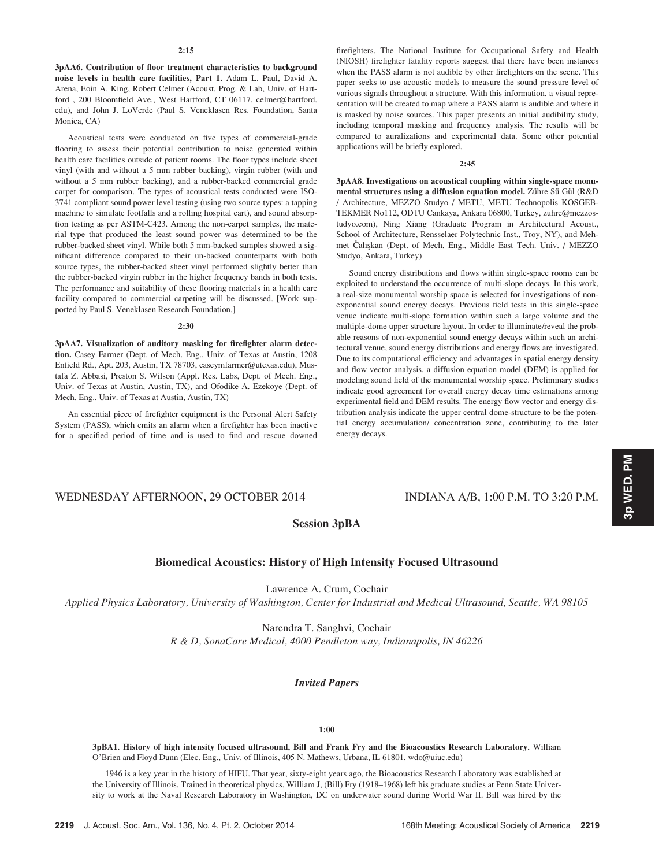### $2.15$

3pAA6. Contribution of floor treatment characteristics to background noise levels in health care facilities, Part 1. Adam L. Paul, David A. Arena, Eoin A. King, Robert Celmer (Acoust. Prog. & Lab, Univ. of Hartford , 200 Bloomfield Ave., West Hartford, CT 06117, celmer@hartford. edu), and John J. LoVerde (Paul S. Veneklasen Res. Foundation, Santa Monica, CA)

Acoustical tests were conducted on five types of commercial-grade flooring to assess their potential contribution to noise generated within health care facilities outside of patient rooms. The floor types include sheet vinyl (with and without a 5 mm rubber backing), virgin rubber (with and without a 5 mm rubber backing), and a rubber-backed commercial grade carpet for comparison. The types of acoustical tests conducted were ISO-3741 compliant sound power level testing (using two source types: a tapping machine to simulate footfalls and a rolling hospital cart), and sound absorption testing as per ASTM-C423. Among the non-carpet samples, the material type that produced the least sound power was determined to be the rubber-backed sheet vinyl. While both 5 mm-backed samples showed a significant difference compared to their un-backed counterparts with both source types, the rubber-backed sheet vinyl performed slightly better than the rubber-backed virgin rubber in the higher frequency bands in both tests. The performance and suitability of these flooring materials in a health care facility compared to commercial carpeting will be discussed. [Work supported by Paul S. Veneklasen Research Foundation.]

### 2:30

3pAA7. Visualization of auditory masking for firefighter alarm detection. Casey Farmer (Dept. of Mech. Eng., Univ. of Texas at Austin, 1208 Enfield Rd., Apt. 203, Austin, TX 78703, caseymfarmer@utexas.edu), Mustafa Z. Abbasi, Preston S. Wilson (Appl. Res. Labs, Dept. of Mech. Eng., Univ. of Texas at Austin, Austin, TX), and Ofodike A. Ezekoye (Dept. of Mech. Eng., Univ. of Texas at Austin, Austin, TX)

An essential piece of firefighter equipment is the Personal Alert Safety System (PASS), which emits an alarm when a firefighter has been inactive for a specified period of time and is used to find and rescue downed firefighters. The National Institute for Occupational Safety and Health (NIOSH) firefighter fatality reports suggest that there have been instances when the PASS alarm is not audible by other firefighters on the scene. This paper seeks to use acoustic models to measure the sound pressure level of various signals throughout a structure. With this information, a visual representation will be created to map where a PASS alarm is audible and where it is masked by noise sources. This paper presents an initial audibility study, including temporal masking and frequency analysis. The results will be compared to auralizations and experimental data. Some other potential applications will be briefly explored.

## 2:45

3pAA8. Investigations on acoustical coupling within single-space monumental structures using a diffusion equation model. Zühre Sü Gül (R&D) / Architecture, MEZZO Studyo / METU, METU Technopolis KOSGEB-TEKMER No112, ODTU Cankaya, Ankara 06800, Turkey, zuhre@mezzostudyo.com), Ning Xiang (Graduate Program in Architectural Acoust., School of Architecture, Rensselaer Polytechnic Inst., Troy, NY), and Mehschool of Architecture, Kensselaer Polytechnic Inst., 1 roy, NY), and Meh-<br>met Čalışkan (Dept. of Mech. Eng., Middle East Tech. Univ. / MEZZO Studyo, Ankara, Turkey)

Sound energy distributions and flows within single-space rooms can be exploited to understand the occurrence of multi-slope decays. In this work, a real-size monumental worship space is selected for investigations of nonexponential sound energy decays. Previous field tests in this single-space venue indicate multi-slope formation within such a large volume and the multiple-dome upper structure layout. In order to illuminate/reveal the probable reasons of non-exponential sound energy decays within such an architectural venue, sound energy distributions and energy flows are investigated. Due to its computational efficiency and advantages in spatial energy density and flow vector analysis, a diffusion equation model (DEM) is applied for modeling sound field of the monumental worship space. Preliminary studies indicate good agreement for overall energy decay time estimations among experimental field and DEM results. The energy flow vector and energy distribution analysis indicate the upper central dome-structure to be the potential energy accumulation/ concentration zone, contributing to the later energy decays.

# WEDNESDAY AFTERNOON, 29 OCTOBER 2014 INDIANA A/B, 1:00 P.M. TO 3:20 P.M.

# Session 3pBA

# Biomedical Acoustics: History of High Intensity Focused Ultrasound

Lawrence A. Crum, Cochair

Applied Physics Laboratory, University of Washington, Center for Industrial and Medical Ultrasound, Seattle, WA 98105

Narendra T. Sanghvi, Cochair

R & D, SonaCare Medical, 4000 Pendleton way, Indianapolis, IN 46226

# Invited Papers

## 1:00

3pBA1. History of high intensity focused ultrasound, Bill and Frank Fry and the Bioacoustics Research Laboratory. William O'Brien and Floyd Dunn (Elec. Eng., Univ. of Illinois, 405 N. Mathews, Urbana, IL 61801, wdo@uiuc.edu)

1946 is a key year in the history of HIFU. That year, sixty-eight years ago, the Bioacoustics Research Laboratory was established at the University of Illinois. Trained in theoretical physics, William J, (Bill) Fry (1918–1968) left his graduate studies at Penn State University to work at the Naval Research Laboratory in Washington, DC on underwater sound during World War II. Bill was hired by the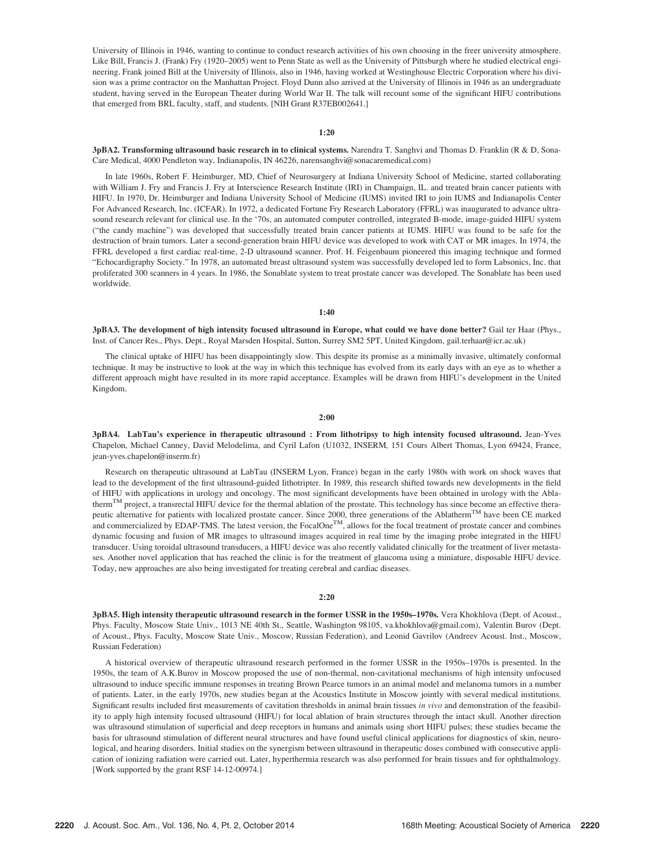University of Illinois in 1946, wanting to continue to conduct research activities of his own choosing in the freer university atmosphere. Like Bill, Francis J. (Frank) Fry (1920–2005) went to Penn State as well as the University of Pittsburgh where he studied electrical engineering. Frank joined Bill at the University of Illinois, also in 1946, having worked at Westinghouse Electric Corporation where his division was a prime contractor on the Manhattan Project. Floyd Dunn also arrived at the University of Illinois in 1946 as an undergraduate student, having served in the European Theater during World War II. The talk will recount some of the significant HIFU contributions that emerged from BRL faculty, staff, and students. [NIH Grant R37EB002641.]

### 1:20

# 3pBA2. Transforming ultrasound basic research in to clinical systems. Narendra T. Sanghvi and Thomas D. Franklin (R & D, Sona-Care Medical, 4000 Pendleton way, Indianapolis, IN 46226, narensanghvi@sonacaremedical.com)

In late 1960s, Robert F. Heimburger, MD, Chief of Neurosurgery at Indiana University School of Medicine, started collaborating with William J. Fry and Francis J. Fry at Interscience Research Institute (IRI) in Champaign, IL. and treated brain cancer patients with HIFU. In 1970, Dr. Heimburger and Indiana University School of Medicine (IUMS) invited IRI to join IUMS and Indianapolis Center For Advanced Research, Inc. (ICFAR). In 1972, a dedicated Fortune Fry Research Laboratory (FFRL) was inaugurated to advance ultrasound research relevant for clinical use. In the '70s, an automated computer controlled, integrated B-mode, image-guided HIFU system ("the candy machine") was developed that successfully treated brain cancer patients at IUMS. HIFU was found to be safe for the destruction of brain tumors. Later a second-generation brain HIFU device was developed to work with CAT or MR images. In 1974, the FFRL developed a first cardiac real-time, 2-D ultrasound scanner. Prof. H. Feigenbaum pioneered this imaging technique and formed "Echocardigraphy Society." In 1978, an automated breast ultrasound system was successfully developed led to form Labsonics, Inc. that proliferated 300 scanners in 4 years. In 1986, the Sonablate system to treat prostate cancer was developed. The Sonablate has been used worldwide.

## 1:40

3pBA3. The development of high intensity focused ultrasound in Europe, what could we have done better? Gail ter Haar (Phys., Inst. of Cancer Res., Phys. Dept., Royal Marsden Hospital, Sutton, Surrey SM2 5PT, United Kingdom, gail.terhaar@icr.ac.uk)

The clinical uptake of HIFU has been disappointingly slow. This despite its promise as a minimally invasive, ultimately conformal technique. It may be instructive to look at the way in which this technique has evolved from its early days with an eye as to whether a different approach might have resulted in its more rapid acceptance. Examples will be drawn from HIFU's development in the United Kingdom.

# 2:00

3pBA4. LabTau's experience in therapeutic ultrasound : From lithotripsy to high intensity focused ultrasound. Jean-Yves Chapelon, Michael Canney, David Melodelima, and Cyril Lafon (U1032, INSERM, 151 Cours Albert Thomas, Lyon 69424, France, jean-yves.chapelon@inserm.fr)

Research on therapeutic ultrasound at LabTau (INSERM Lyon, France) began in the early 1980s with work on shock waves that lead to the development of the first ultrasound-guided lithotripter. In 1989, this research shifted towards new developments in the field of HIFU with applications in urology and oncology. The most significant developments have been obtained in urology with the Ablatherm<sup>TM</sup> project, a transrectal HIFU device for the thermal ablation of the prostate. This technology has since become an effective therapeutic alternative for patients with localized prostate cancer. Since 2000, three generations of the Ablatherm<sup>TM</sup> have been CE marked and commercialized by EDAP-TMS. The latest version, the FocalOne<sup>TM</sup>, allows for the focal treatment of prostate cancer and combines dynamic focusing and fusion of MR images to ultrasound images acquired in real time by the imaging probe integrated in the HIFU transducer. Using toroidal ultrasound transducers, a HIFU device was also recently validated clinically for the treatment of liver metastases. Another novel application that has reached the clinic is for the treatment of glaucoma using a miniature, disposable HIFU device. Today, new approaches are also being investigated for treating cerebral and cardiac diseases.

# 2:20

3pBA5. High intensity therapeutic ultrasound research in the former USSR in the 1950s–1970s. Vera Khokhlova (Dept. of Acoust., Phys. Faculty, Moscow State Univ., 1013 NE 40th St., Seattle, Washington 98105, va.khokhlova@gmail.com), Valentin Burov (Dept. of Acoust., Phys. Faculty, Moscow State Univ., Moscow, Russian Federation), and Leonid Gavrilov (Andreev Acoust. Inst., Moscow, Russian Federation)

A historical overview of therapeutic ultrasound research performed in the former USSR in the 1950s–1970s is presented. In the 1950s, the team of A.K.Burov in Moscow proposed the use of non-thermal, non-cavitational mechanisms of high intensity unfocused ultrasound to induce specific immune responses in treating Brown Pearce tumors in an animal model and melanoma tumors in a number of patients. Later, in the early 1970s, new studies began at the Acoustics Institute in Moscow jointly with several medical institutions. Significant results included first measurements of cavitation thresholds in animal brain tissues in vivo and demonstration of the feasibility to apply high intensity focused ultrasound (HIFU) for local ablation of brain structures through the intact skull. Another direction was ultrasound stimulation of superficial and deep receptors in humans and animals using short HIFU pulses; these studies became the basis for ultrasound stimulation of different neural structures and have found useful clinical applications for diagnostics of skin, neurological, and hearing disorders. Initial studies on the synergism between ultrasound in therapeutic doses combined with consecutive application of ionizing radiation were carried out. Later, hyperthermia research was also performed for brain tissues and for ophthalmology. [Work supported by the grant RSF 14-12-00974.]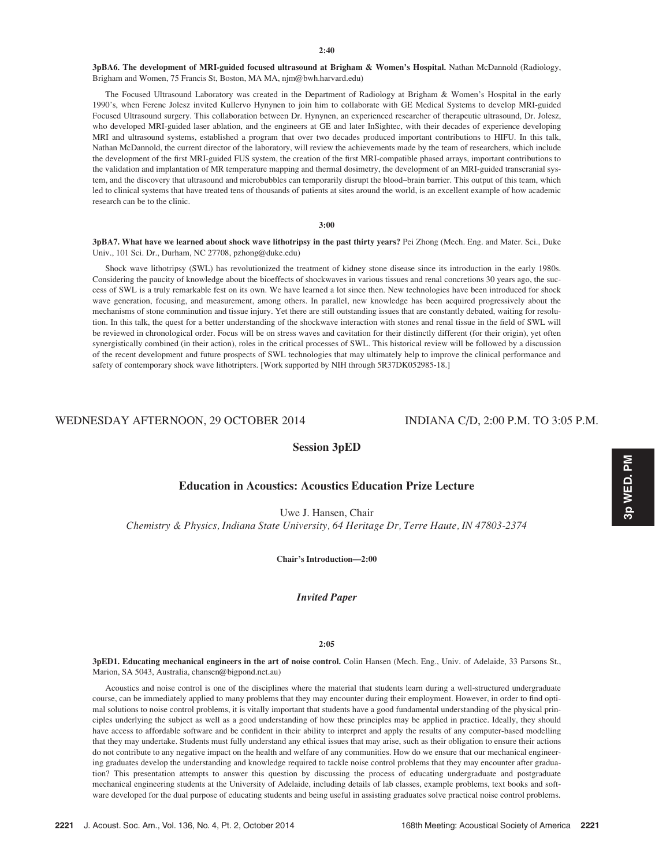3pBA6. The development of MRI-guided focused ultrasound at Brigham & Women's Hospital. Nathan McDannold (Radiology, Brigham and Women, 75 Francis St, Boston, MA MA, njm@bwh.harvard.edu)

The Focused Ultrasound Laboratory was created in the Department of Radiology at Brigham & Women's Hospital in the early 1990's, when Ferenc Jolesz invited Kullervo Hynynen to join him to collaborate with GE Medical Systems to develop MRI-guided Focused Ultrasound surgery. This collaboration between Dr. Hynynen, an experienced researcher of therapeutic ultrasound, Dr. Jolesz, who developed MRI-guided laser ablation, and the engineers at GE and later InSightec, with their decades of experience developing MRI and ultrasound systems, established a program that over two decades produced important contributions to HIFU. In this talk, Nathan McDannold, the current director of the laboratory, will review the achievements made by the team of researchers, which include the development of the first MRI-guided FUS system, the creation of the first MRI-compatible phased arrays, important contributions to the validation and implantation of MR temperature mapping and thermal dosimetry, the development of an MRI-guided transcranial system, and the discovery that ultrasound and microbubbles can temporarily disrupt the blood–brain barrier. This output of this team, which led to clinical systems that have treated tens of thousands of patients at sites around the world, is an excellent example of how academic research can be to the clinic.

## 3:00

3pBA7. What have we learned about shock wave lithotripsy in the past thirty years? Pei Zhong (Mech. Eng. and Mater. Sci., Duke Univ., 101 Sci. Dr., Durham, NC 27708, pzhong@duke.edu)

Shock wave lithotripsy (SWL) has revolutionized the treatment of kidney stone disease since its introduction in the early 1980s. Considering the paucity of knowledge about the bioeffects of shockwaves in various tissues and renal concretions 30 years ago, the success of SWL is a truly remarkable fest on its own. We have learned a lot since then. New technologies have been introduced for shock wave generation, focusing, and measurement, among others. In parallel, new knowledge has been acquired progressively about the mechanisms of stone comminution and tissue injury. Yet there are still outstanding issues that are constantly debated, waiting for resolution. In this talk, the quest for a better understanding of the shockwave interaction with stones and renal tissue in the field of SWL will be reviewed in chronological order. Focus will be on stress waves and cavitation for their distinctly different (for their origin), yet often synergistically combined (in their action), roles in the critical processes of SWL. This historical review will be followed by a discussion of the recent development and future prospects of SWL technologies that may ultimately help to improve the clinical performance and safety of contemporary shock wave lithotripters. [Work supported by NIH through 5R37DK052985-18.]

# WEDNESDAY AFTERNOON, 29 OCTOBER 2014 INDIANA C/D, 2:00 P.M. TO 3:05 P.M.

# Session 3pED

# Education in Acoustics: Acoustics Education Prize Lecture

Uwe J. Hansen, Chair

Chemistry & Physics, Indiana State University, 64 Heritage Dr, Terre Haute, IN 47803-2374

Chair's Introduction—2:00

Invited Paper

2:05

3pED1. Educating mechanical engineers in the art of noise control. Colin Hansen (Mech. Eng., Univ. of Adelaide, 33 Parsons St., Marion, SA 5043, Australia, chansen@bigpond.net.au)

Acoustics and noise control is one of the disciplines where the material that students learn during a well-structured undergraduate course, can be immediately applied to many problems that they may encounter during their employment. However, in order to find optimal solutions to noise control problems, it is vitally important that students have a good fundamental understanding of the physical principles underlying the subject as well as a good understanding of how these principles may be applied in practice. Ideally, they should have access to affordable software and be confident in their ability to interpret and apply the results of any computer-based modelling that they may undertake. Students must fully understand any ethical issues that may arise, such as their obligation to ensure their actions do not contribute to any negative impact on the health and welfare of any communities. How do we ensure that our mechanical engineering graduates develop the understanding and knowledge required to tackle noise control problems that they may encounter after graduation? This presentation attempts to answer this question by discussing the process of educating undergraduate and postgraduate mechanical engineering students at the University of Adelaide, including details of lab classes, example problems, text books and software developed for the dual purpose of educating students and being useful in assisting graduates solve practical noise control problems.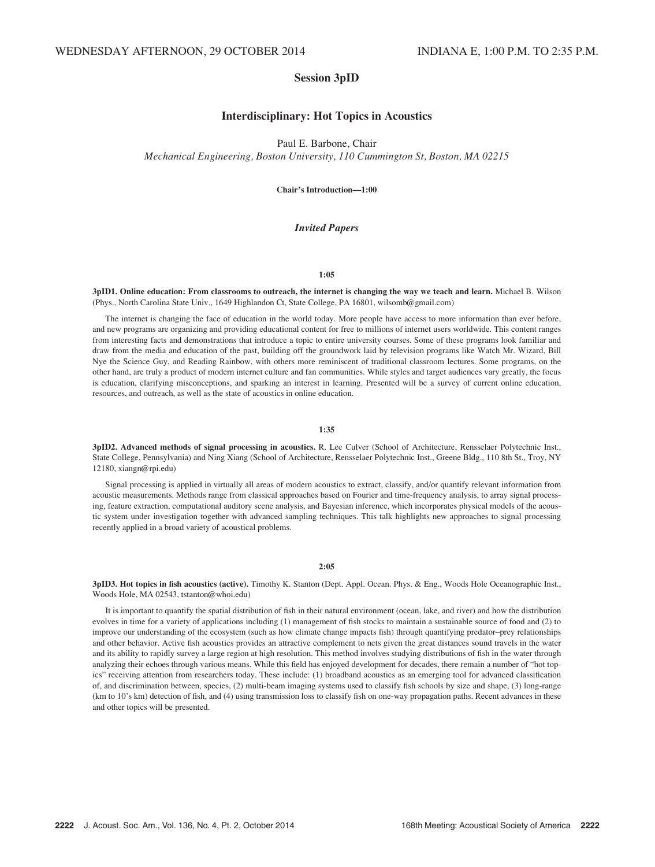# Session 3pID

# Interdisciplinary: Hot Topics in Acoustics

Paul E. Barbone, Chair

Mechanical Engineering, Boston University, 110 Cummington St, Boston, MA 02215

Chair's Introduction—1:00

# Invited Papers

# 1:05

## 3pID1. Online education: From classrooms to outreach, the internet is changing the way we teach and learn. Michael B. Wilson (Phys., North Carolina State Univ., 1649 Highlandon Ct, State College, PA 16801, wilsomb@gmail.com)

The internet is changing the face of education in the world today. More people have access to more information than ever before, and new programs are organizing and providing educational content for free to millions of internet users worldwide. This content ranges from interesting facts and demonstrations that introduce a topic to entire university courses. Some of these programs look familiar and draw from the media and education of the past, building off the groundwork laid by television programs like Watch Mr. Wizard, Bill Nye the Science Guy, and Reading Rainbow, with others more reminiscent of traditional classroom lectures. Some programs, on the other hand, are truly a product of modern internet culture and fan communities. While styles and target audiences vary greatly, the focus is education, clarifying misconceptions, and sparking an interest in learning. Presented will be a survey of current online education, resources, and outreach, as well as the state of acoustics in online education.

### 1:35

3pID2. Advanced methods of signal processing in acoustics. R. Lee Culver (School of Architecture, Rensselaer Polytechnic Inst., State College, Pennsylvania) and Ning Xiang (School of Architecture, Rensselaer Polytechnic Inst., Greene Bldg., 110 8th St., Troy, NY 12180, xiangn@rpi.edu)

Signal processing is applied in virtually all areas of modern acoustics to extract, classify, and/or quantify relevant information from acoustic measurements. Methods range from classical approaches based on Fourier and time-frequency analysis, to array signal processing, feature extraction, computational auditory scene analysis, and Bayesian inference, which incorporates physical models of the acoustic system under investigation together with advanced sampling techniques. This talk highlights new approaches to signal processing recently applied in a broad variety of acoustical problems.

# 2:05

3pID3. Hot topics in fish acoustics (active). Timothy K. Stanton (Dept. Appl. Ocean. Phys. & Eng., Woods Hole Oceanographic Inst., Woods Hole, MA 02543, tstanton@whoi.edu)

It is important to quantify the spatial distribution of fish in their natural environment (ocean, lake, and river) and how the distribution evolves in time for a variety of applications including (1) management of fish stocks to maintain a sustainable source of food and (2) to improve our understanding of the ecosystem (such as how climate change impacts fish) through quantifying predator–prey relationships and other behavior. Active fish acoustics provides an attractive complement to nets given the great distances sound travels in the water and its ability to rapidly survey a large region at high resolution. This method involves studying distributions of fish in the water through analyzing their echoes through various means. While this field has enjoyed development for decades, there remain a number of "hot topics" receiving attention from researchers today. These include: (1) broadband acoustics as an emerging tool for advanced classification of, and discrimination between, species, (2) multi-beam imaging systems used to classify fish schools by size and shape, (3) long-range (km to 10's km) detection of fish, and (4) using transmission loss to classify fish on one-way propagation paths. Recent advances in these and other topics will be presented.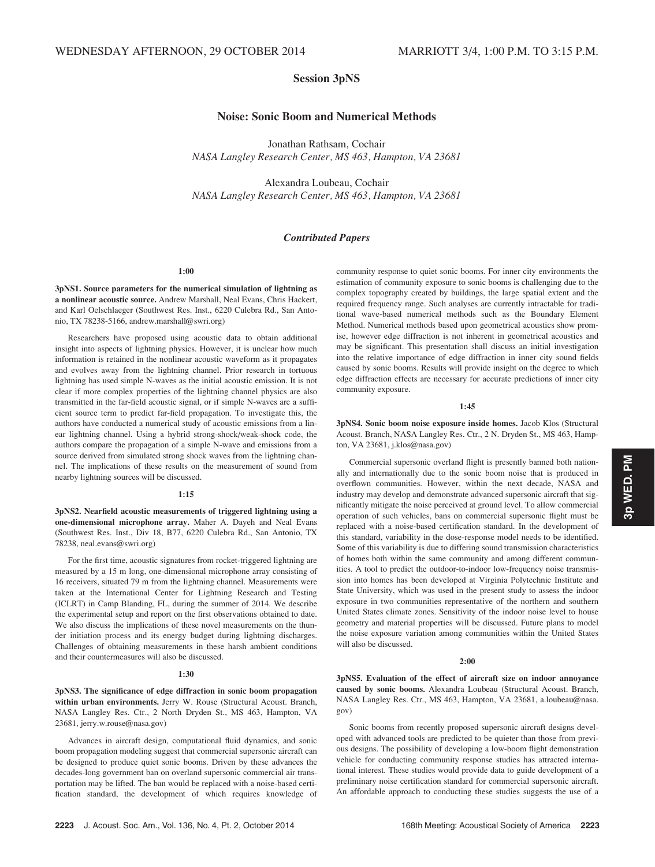# Session 3pNS

# Noise: Sonic Boom and Numerical Methods

Jonathan Rathsam, Cochair NASA Langley Research Center, MS 463, Hampton, VA 23681

Alexandra Loubeau, Cochair NASA Langley Research Center, MS 463, Hampton, VA 23681

# Contributed Papers

# 1:00

3pNS1. Source parameters for the numerical simulation of lightning as a nonlinear acoustic source. Andrew Marshall, Neal Evans, Chris Hackert, and Karl Oelschlaeger (Southwest Res. Inst., 6220 Culebra Rd., San Antonio, TX 78238-5166, andrew.marshall@swri.org)

Researchers have proposed using acoustic data to obtain additional insight into aspects of lightning physics. However, it is unclear how much information is retained in the nonlinear acoustic waveform as it propagates and evolves away from the lightning channel. Prior research in tortuous lightning has used simple N-waves as the initial acoustic emission. It is not clear if more complex properties of the lightning channel physics are also transmitted in the far-field acoustic signal, or if simple N-waves are a sufficient source term to predict far-field propagation. To investigate this, the authors have conducted a numerical study of acoustic emissions from a linear lightning channel. Using a hybrid strong-shock/weak-shock code, the authors compare the propagation of a simple N-wave and emissions from a source derived from simulated strong shock waves from the lightning channel. The implications of these results on the measurement of sound from nearby lightning sources will be discussed.

### 1:15

3pNS2. Nearfield acoustic measurements of triggered lightning using a one-dimensional microphone array. Maher A. Dayeh and Neal Evans (Southwest Res. Inst., Div 18, B77, 6220 Culebra Rd., San Antonio, TX 78238, neal.evans@swri.org)

For the first time, acoustic signatures from rocket-triggered lightning are measured by a 15 m long, one-dimensional microphone array consisting of 16 receivers, situated 79 m from the lightning channel. Measurements were taken at the International Center for Lightning Research and Testing (ICLRT) in Camp Blanding, FL, during the summer of 2014. We describe the experimental setup and report on the first observations obtained to date. We also discuss the implications of these novel measurements on the thunder initiation process and its energy budget during lightning discharges. Challenges of obtaining measurements in these harsh ambient conditions and their countermeasures will also be discussed.

# 1:30

3pNS3. The significance of edge diffraction in sonic boom propagation within urban environments. Jerry W. Rouse (Structural Acoust. Branch, NASA Langley Res. Ctr., 2 North Dryden St., MS 463, Hampton, VA 23681, jerry.w.rouse@nasa.gov)

Advances in aircraft design, computational fluid dynamics, and sonic boom propagation modeling suggest that commercial supersonic aircraft can be designed to produce quiet sonic booms. Driven by these advances the decades-long government ban on overland supersonic commercial air transportation may be lifted. The ban would be replaced with a noise-based certification standard, the development of which requires knowledge of community response to quiet sonic booms. For inner city environments the estimation of community exposure to sonic booms is challenging due to the complex topography created by buildings, the large spatial extent and the required frequency range. Such analyses are currently intractable for traditional wave-based numerical methods such as the Boundary Element Method. Numerical methods based upon geometrical acoustics show promise, however edge diffraction is not inherent in geometrical acoustics and may be significant. This presentation shall discuss an initial investigation into the relative importance of edge diffraction in inner city sound fields caused by sonic booms. Results will provide insight on the degree to which edge diffraction effects are necessary for accurate predictions of inner city community exposure.

### 1:45

3pNS4. Sonic boom noise exposure inside homes. Jacob Klos (Structural Acoust. Branch, NASA Langley Res. Ctr., 2 N. Dryden St., MS 463, Hampton, VA 23681, j.klos@nasa.gov)

Commercial supersonic overland flight is presently banned both nationally and internationally due to the sonic boom noise that is produced in overflown communities. However, within the next decade, NASA and industry may develop and demonstrate advanced supersonic aircraft that significantly mitigate the noise perceived at ground level. To allow commercial operation of such vehicles, bans on commercial supersonic flight must be replaced with a noise-based certification standard. In the development of this standard, variability in the dose-response model needs to be identified. Some of this variability is due to differing sound transmission characteristics of homes both within the same community and among different communities. A tool to predict the outdoor-to-indoor low-frequency noise transmission into homes has been developed at Virginia Polytechnic Institute and State University, which was used in the present study to assess the indoor exposure in two communities representative of the northern and southern United States climate zones. Sensitivity of the indoor noise level to house geometry and material properties will be discussed. Future plans to model the noise exposure variation among communities within the United States will also be discussed.

### $2:00$

3pNS5. Evaluation of the effect of aircraft size on indoor annoyance caused by sonic booms. Alexandra Loubeau (Structural Acoust. Branch, NASA Langley Res. Ctr., MS 463, Hampton, VA 23681, a.loubeau@nasa. gov)

Sonic booms from recently proposed supersonic aircraft designs developed with advanced tools are predicted to be quieter than those from previous designs. The possibility of developing a low-boom flight demonstration vehicle for conducting community response studies has attracted international interest. These studies would provide data to guide development of a preliminary noise certification standard for commercial supersonic aircraft. An affordable approach to conducting these studies suggests the use of a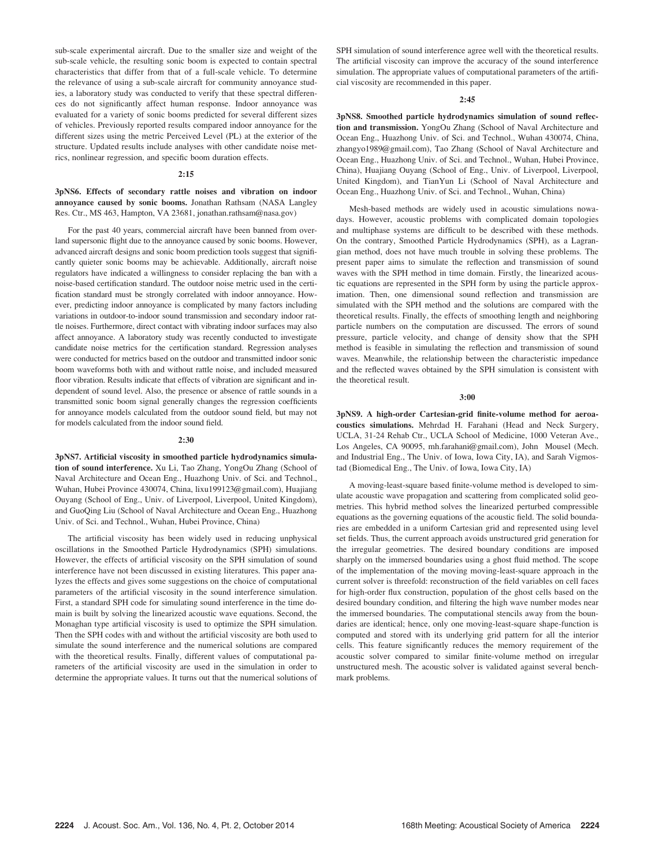sub-scale experimental aircraft. Due to the smaller size and weight of the sub-scale vehicle, the resulting sonic boom is expected to contain spectral characteristics that differ from that of a full-scale vehicle. To determine the relevance of using a sub-scale aircraft for community annoyance studies, a laboratory study was conducted to verify that these spectral differences do not significantly affect human response. Indoor annoyance was evaluated for a variety of sonic booms predicted for several different sizes of vehicles. Previously reported results compared indoor annoyance for the different sizes using the metric Perceived Level (PL) at the exterior of the structure. Updated results include analyses with other candidate noise metrics, nonlinear regression, and specific boom duration effects.

### 2:15

3pNS6. Effects of secondary rattle noises and vibration on indoor annoyance caused by sonic booms. Jonathan Rathsam (NASA Langley Res. Ctr., MS 463, Hampton, VA 23681, jonathan.rathsam@nasa.gov)

For the past 40 years, commercial aircraft have been banned from overland supersonic flight due to the annoyance caused by sonic booms. However, advanced aircraft designs and sonic boom prediction tools suggest that significantly quieter sonic booms may be achievable. Additionally, aircraft noise regulators have indicated a willingness to consider replacing the ban with a noise-based certification standard. The outdoor noise metric used in the certification standard must be strongly correlated with indoor annoyance. However, predicting indoor annoyance is complicated by many factors including variations in outdoor-to-indoor sound transmission and secondary indoor rattle noises. Furthermore, direct contact with vibrating indoor surfaces may also affect annoyance. A laboratory study was recently conducted to investigate candidate noise metrics for the certification standard. Regression analyses were conducted for metrics based on the outdoor and transmitted indoor sonic boom waveforms both with and without rattle noise, and included measured floor vibration. Results indicate that effects of vibration are significant and independent of sound level. Also, the presence or absence of rattle sounds in a transmitted sonic boom signal generally changes the regression coefficients for annoyance models calculated from the outdoor sound field, but may not for models calculated from the indoor sound field.

## 2:30

3pNS7. Artificial viscosity in smoothed particle hydrodynamics simulation of sound interference. Xu Li, Tao Zhang, YongOu Zhang (School of Naval Architecture and Ocean Eng., Huazhong Univ. of Sci. and Technol., Wuhan, Hubei Province 430074, China, lixu199123@gmail.com), Huajiang Ouyang (School of Eng., Univ. of Liverpool, Liverpool, United Kingdom), and GuoQing Liu (School of Naval Architecture and Ocean Eng., Huazhong Univ. of Sci. and Technol., Wuhan, Hubei Province, China)

The artificial viscosity has been widely used in reducing unphysical oscillations in the Smoothed Particle Hydrodynamics (SPH) simulations. However, the effects of artificial viscosity on the SPH simulation of sound interference have not been discussed in existing literatures. This paper analyzes the effects and gives some suggestions on the choice of computational parameters of the artificial viscosity in the sound interference simulation. First, a standard SPH code for simulating sound interference in the time domain is built by solving the linearized acoustic wave equations. Second, the Monaghan type artificial viscosity is used to optimize the SPH simulation. Then the SPH codes with and without the artificial viscosity are both used to simulate the sound interference and the numerical solutions are compared with the theoretical results. Finally, different values of computational parameters of the artificial viscosity are used in the simulation in order to determine the appropriate values. It turns out that the numerical solutions of SPH simulation of sound interference agree well with the theoretical results. The artificial viscosity can improve the accuracy of the sound interference simulation. The appropriate values of computational parameters of the artificial viscosity are recommended in this paper.

### 2:45

3pNS8. Smoothed particle hydrodynamics simulation of sound reflection and transmission. YongOu Zhang (School of Naval Architecture and Ocean Eng., Huazhong Univ. of Sci. and Technol., Wuhan 430074, China, zhangyo1989@gmail.com), Tao Zhang (School of Naval Architecture and Ocean Eng., Huazhong Univ. of Sci. and Technol., Wuhan, Hubei Province, China), Huajiang Ouyang (School of Eng., Univ. of Liverpool, Liverpool, United Kingdom), and TianYun Li (School of Naval Architecture and Ocean Eng., Huazhong Univ. of Sci. and Technol., Wuhan, China)

Mesh-based methods are widely used in acoustic simulations nowadays. However, acoustic problems with complicated domain topologies and multiphase systems are difficult to be described with these methods. On the contrary, Smoothed Particle Hydrodynamics (SPH), as a Lagrangian method, does not have much trouble in solving these problems. The present paper aims to simulate the reflection and transmission of sound waves with the SPH method in time domain. Firstly, the linearized acoustic equations are represented in the SPH form by using the particle approximation. Then, one dimensional sound reflection and transmission are simulated with the SPH method and the solutions are compared with the theoretical results. Finally, the effects of smoothing length and neighboring particle numbers on the computation are discussed. The errors of sound pressure, particle velocity, and change of density show that the SPH method is feasible in simulating the reflection and transmission of sound waves. Meanwhile, the relationship between the characteristic impedance and the reflected waves obtained by the SPH simulation is consistent with the theoretical result.

## 3:00

3pNS9. A high-order Cartesian-grid finite-volume method for aeroacoustics simulations. Mehrdad H. Farahani (Head and Neck Surgery, UCLA, 31-24 Rehab Ctr., UCLA School of Medicine, 1000 Veteran Ave., Los Angeles, CA 90095, mh.farahani@gmail.com), John Mousel (Mech. and Industrial Eng., The Univ. of Iowa, Iowa City, IA), and Sarah Vigmostad (Biomedical Eng., The Univ. of Iowa, Iowa City, IA)

A moving-least-square based finite-volume method is developed to simulate acoustic wave propagation and scattering from complicated solid geometries. This hybrid method solves the linearized perturbed compressible equations as the governing equations of the acoustic field. The solid boundaries are embedded in a uniform Cartesian grid and represented using level set fields. Thus, the current approach avoids unstructured grid generation for the irregular geometries. The desired boundary conditions are imposed sharply on the immersed boundaries using a ghost fluid method. The scope of the implementation of the moving moving-least-square approach in the current solver is threefold: reconstruction of the field variables on cell faces for high-order flux construction, population of the ghost cells based on the desired boundary condition, and filtering the high wave number modes near the immersed boundaries. The computational stencils away from the boundaries are identical; hence, only one moving-least-square shape-function is computed and stored with its underlying grid pattern for all the interior cells. This feature significantly reduces the memory requirement of the acoustic solver compared to similar finite-volume method on irregular unstructured mesh. The acoustic solver is validated against several benchmark problems.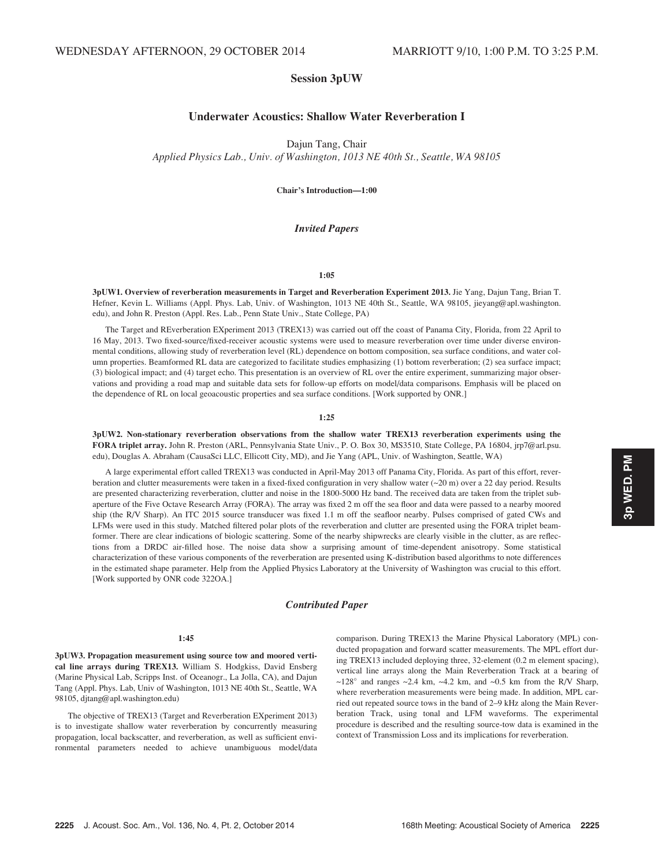# Session 3pUW

# Underwater Acoustics: Shallow Water Reverberation I

Dajun Tang, Chair

Applied Physics Lab., Univ. of Washington, 1013 NE 40th St., Seattle, WA 98105

Chair's Introduction—1:00

# Invited Papers

# 1:05

3pUW1. Overview of reverberation measurements in Target and Reverberation Experiment 2013. Jie Yang, Dajun Tang, Brian T. Hefner, Kevin L. Williams (Appl. Phys. Lab, Univ. of Washington, 1013 NE 40th St., Seattle, WA 98105, jieyang@apl.washington. edu), and John R. Preston (Appl. Res. Lab., Penn State Univ., State College, PA)

The Target and REverberation EXperiment 2013 (TREX13) was carried out off the coast of Panama City, Florida, from 22 April to 16 May, 2013. Two fixed-source/fixed-receiver acoustic systems were used to measure reverberation over time under diverse environmental conditions, allowing study of reverberation level (RL) dependence on bottom composition, sea surface conditions, and water column properties. Beamformed RL data are categorized to facilitate studies emphasizing (1) bottom reverberation; (2) sea surface impact; (3) biological impact; and (4) target echo. This presentation is an overview of RL over the entire experiment, summarizing major observations and providing a road map and suitable data sets for follow-up efforts on model/data comparisons. Emphasis will be placed on the dependence of RL on local geoacoustic properties and sea surface conditions. [Work supported by ONR.]

# 1:25

3pUW2. Non-stationary reverberation observations from the shallow water TREX13 reverberation experiments using the FORA triplet array. John R. Preston (ARL, Pennsylvania State Univ., P. O. Box 30, MS3510, State College, PA 16804, jrp7@arl.psu. edu), Douglas A. Abraham (CausaSci LLC, Ellicott City, MD), and Jie Yang (APL, Univ. of Washington, Seattle, WA)

A large experimental effort called TREX13 was conducted in April-May 2013 off Panama City, Florida. As part of this effort, reverberation and clutter measurements were taken in a fixed-fixed configuration in very shallow water (~20 m) over a 22 day period. Results are presented characterizing reverberation, clutter and noise in the 1800-5000 Hz band. The received data are taken from the triplet subaperture of the Five Octave Research Array (FORA). The array was fixed 2 m off the sea floor and data were passed to a nearby moored ship (the R/V Sharp). An ITC 2015 source transducer was fixed 1.1 m off the seafloor nearby. Pulses comprised of gated CWs and LFMs were used in this study. Matched filtered polar plots of the reverberation and clutter are presented using the FORA triplet beamformer. There are clear indications of biologic scattering. Some of the nearby shipwrecks are clearly visible in the clutter, as are reflections from a DRDC air-filled hose. The noise data show a surprising amount of time-dependent anisotropy. Some statistical characterization of these various components of the reverberation are presented using K-distribution based algorithms to note differences in the estimated shape parameter. Help from the Applied Physics Laboratory at the University of Washington was crucial to this effort. [Work supported by ONR code 322OA.]

# Contributed Paper

## 1:45

3pUW3. Propagation measurement using source tow and moored vertical line arrays during TREX13. William S. Hodgkiss, David Ensberg (Marine Physical Lab, Scripps Inst. of Oceanogr., La Jolla, CA), and Dajun Tang (Appl. Phys. Lab, Univ of Washington, 1013 NE 40th St., Seattle, WA 98105, djtang@apl.washington.edu)

The objective of TREX13 (Target and Reverberation EXperiment 2013) is to investigate shallow water reverberation by concurrently measuring propagation, local backscatter, and reverberation, as well as sufficient environmental parameters needed to achieve unambiguous model/data

comparison. During TREX13 the Marine Physical Laboratory (MPL) conducted propagation and forward scatter measurements. The MPL effort during TREX13 included deploying three, 32-element (0.2 m element spacing), vertical line arrays along the Main Reverberation Track at a bearing of  $\sim$ 128 $\degree$  and ranges  $\sim$ 2.4 km,  $\sim$ 4.2 km, and  $\sim$ 0.5 km from the R/V Sharp, where reverberation measurements were being made. In addition, MPL carried out repeated source tows in the band of 2–9 kHz along the Main Reverberation Track, using tonal and LFM waveforms. The experimental procedure is described and the resulting source-tow data is examined in the context of Transmission Loss and its implications for reverberation.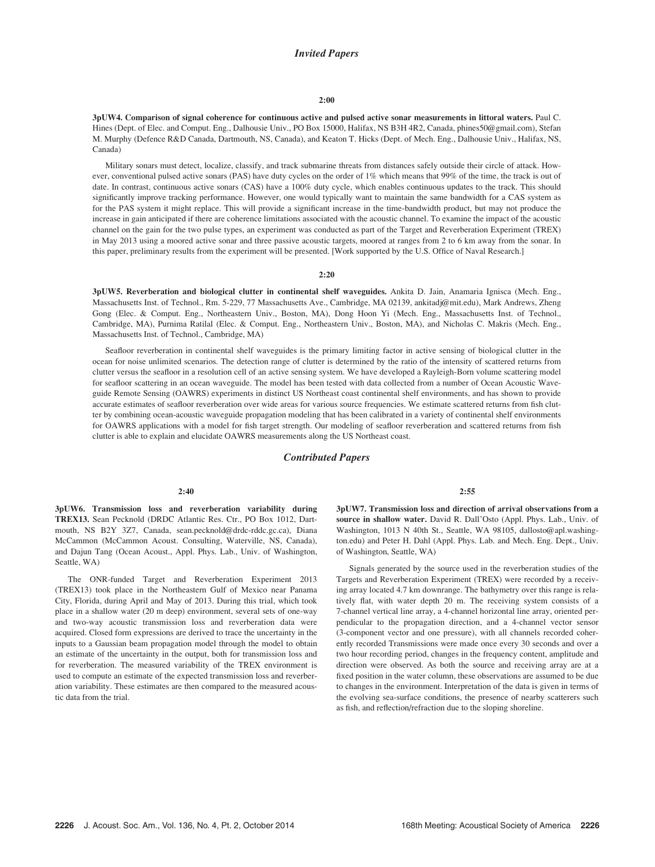# Invited Papers

## 2:00

3pUW4. Comparison of signal coherence for continuous active and pulsed active sonar measurements in littoral waters. Paul C. Hines (Dept. of Elec. and Comput. Eng., Dalhousie Univ., PO Box 15000, Halifax, NS B3H 4R2, Canada, phines50@gmail.com), Stefan M. Murphy (Defence R&D Canada, Dartmouth, NS, Canada), and Keaton T. Hicks (Dept. of Mech. Eng., Dalhousie Univ., Halifax, NS, Canada)

Military sonars must detect, localize, classify, and track submarine threats from distances safely outside their circle of attack. However, conventional pulsed active sonars (PAS) have duty cycles on the order of 1% which means that 99% of the time, the track is out of date. In contrast, continuous active sonars (CAS) have a 100% duty cycle, which enables continuous updates to the track. This should significantly improve tracking performance. However, one would typically want to maintain the same bandwidth for a CAS system as for the PAS system it might replace. This will provide a significant increase in the time-bandwidth product, but may not produce the increase in gain anticipated if there are coherence limitations associated with the acoustic channel. To examine the impact of the acoustic channel on the gain for the two pulse types, an experiment was conducted as part of the Target and Reverberation Experiment (TREX) in May 2013 using a moored active sonar and three passive acoustic targets, moored at ranges from 2 to 6 km away from the sonar. In this paper, preliminary results from the experiment will be presented. [Work supported by the U.S. Office of Naval Research.]

# 2:20

3pUW5. Reverberation and biological clutter in continental shelf waveguides. Ankita D. Jain, Anamaria Ignisca (Mech. Eng., Massachusetts Inst. of Technol., Rm. 5-229, 77 Massachusetts Ave., Cambridge, MA 02139, ankitadj@mit.edu), Mark Andrews, Zheng Gong (Elec. & Comput. Eng., Northeastern Univ., Boston, MA), Dong Hoon Yi (Mech. Eng., Massachusetts Inst. of Technol., Cambridge, MA), Purnima Ratilal (Elec. & Comput. Eng., Northeastern Univ., Boston, MA), and Nicholas C. Makris (Mech. Eng., Massachusetts Inst. of Technol., Cambridge, MA)

Seafloor reverberation in continental shelf waveguides is the primary limiting factor in active sensing of biological clutter in the ocean for noise unlimited scenarios. The detection range of clutter is determined by the ratio of the intensity of scattered returns from clutter versus the seafloor in a resolution cell of an active sensing system. We have developed a Rayleigh-Born volume scattering model for seafloor scattering in an ocean waveguide. The model has been tested with data collected from a number of Ocean Acoustic Waveguide Remote Sensing (OAWRS) experiments in distinct US Northeast coast continental shelf environments, and has shown to provide accurate estimates of seafloor reverberation over wide areas for various source frequencies. We estimate scattered returns from fish clutter by combining ocean-acoustic waveguide propagation modeling that has been calibrated in a variety of continental shelf environments for OAWRS applications with a model for fish target strength. Our modeling of seafloor reverberation and scattered returns from fish clutter is able to explain and elucidate OAWRS measurements along the US Northeast coast.

# Contributed Papers

## 2:40

3pUW6. Transmission loss and reverberation variability during TREX13. Sean Pecknold (DRDC Atlantic Res. Ctr., PO Box 1012, Dartmouth, NS B2Y 3Z7, Canada, sean.pecknold@drdc-rddc.gc.ca), Diana McCammon (McCammon Acoust. Consulting, Waterville, NS, Canada), and Dajun Tang (Ocean Acoust., Appl. Phys. Lab., Univ. of Washington, Seattle, WA)

The ONR-funded Target and Reverberation Experiment 2013 (TREX13) took place in the Northeastern Gulf of Mexico near Panama City, Florida, during April and May of 2013. During this trial, which took place in a shallow water (20 m deep) environment, several sets of one-way and two-way acoustic transmission loss and reverberation data were acquired. Closed form expressions are derived to trace the uncertainty in the inputs to a Gaussian beam propagation model through the model to obtain an estimate of the uncertainty in the output, both for transmission loss and for reverberation. The measured variability of the TREX environment is used to compute an estimate of the expected transmission loss and reverberation variability. These estimates are then compared to the measured acoustic data from the trial.

### 2:55

3pUW7. Transmission loss and direction of arrival observations from a source in shallow water. David R. Dall'Osto (Appl. Phys. Lab., Univ. of Washington, 1013 N 40th St., Seattle, WA 98105, dallosto@apl.washington.edu) and Peter H. Dahl (Appl. Phys. Lab. and Mech. Eng. Dept., Univ. of Washington, Seattle, WA)

Signals generated by the source used in the reverberation studies of the Targets and Reverberation Experiment (TREX) were recorded by a receiving array located 4.7 km downrange. The bathymetry over this range is relatively flat, with water depth 20 m. The receiving system consists of a 7-channel vertical line array, a 4-channel horizontal line array, oriented perpendicular to the propagation direction, and a 4-channel vector sensor (3-component vector and one pressure), with all channels recorded coherently recorded Transmissions were made once every 30 seconds and over a two hour recording period, changes in the frequency content, amplitude and direction were observed. As both the source and receiving array are at a fixed position in the water column, these observations are assumed to be due to changes in the environment. Interpretation of the data is given in terms of the evolving sea-surface conditions, the presence of nearby scatterers such as fish, and reflection/refraction due to the sloping shoreline.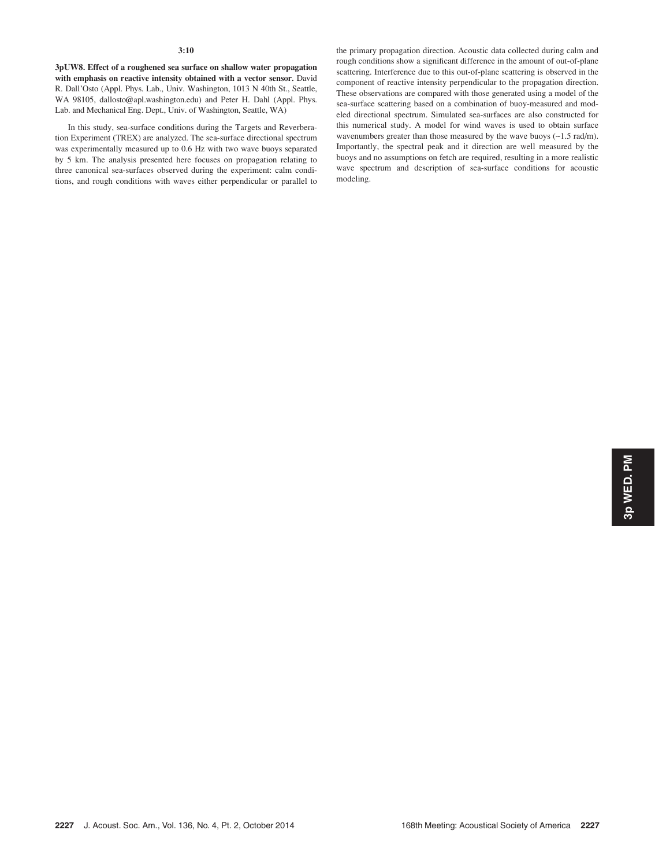3pUW8. Effect of a roughened sea surface on shallow water propagation with emphasis on reactive intensity obtained with a vector sensor. David R. Dall'Osto (Appl. Phys. Lab., Univ. Washington, 1013 N 40th St., Seattle, WA 98105, dallosto@apl.washington.edu) and Peter H. Dahl (Appl. Phys. Lab. and Mechanical Eng. Dept., Univ. of Washington, Seattle, WA)

In this study, sea-surface conditions during the Targets and Reverberation Experiment (TREX) are analyzed. The sea-surface directional spectrum was experimentally measured up to 0.6 Hz with two wave buoys separated by 5 km. The analysis presented here focuses on propagation relating to three canonical sea-surfaces observed during the experiment: calm conditions, and rough conditions with waves either perpendicular or parallel to the primary propagation direction. Acoustic data collected during calm and rough conditions show a significant difference in the amount of out-of-plane scattering. Interference due to this out-of-plane scattering is observed in the component of reactive intensity perpendicular to the propagation direction. These observations are compared with those generated using a model of the sea-surface scattering based on a combination of buoy-measured and modeled directional spectrum. Simulated sea-surfaces are also constructed for this numerical study. A model for wind waves is used to obtain surface wavenumbers greater than those measured by the wave buoys  $(\sim 1.5 \text{ rad/m})$ . Importantly, the spectral peak and it direction are well measured by the buoys and no assumptions on fetch are required, resulting in a more realistic wave spectrum and description of sea-surface conditions for acoustic modeling.